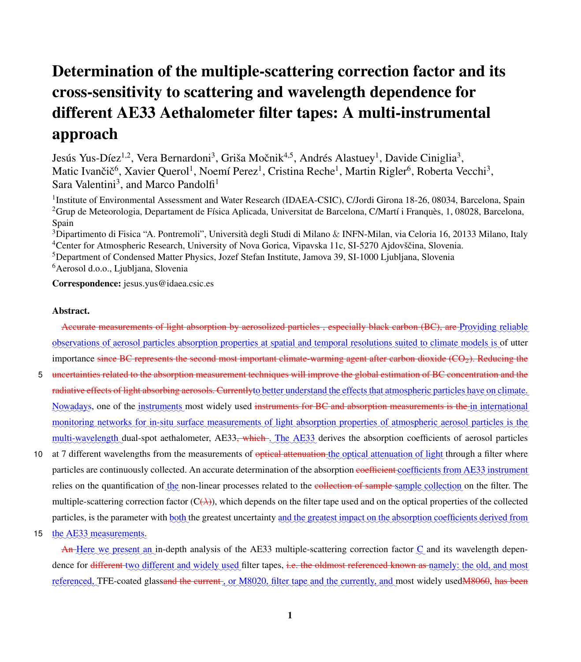# Determination of the multiple-scattering correction factor and its cross-sensitivity to scattering and wavelength dependence for different AE33 Aethalometer filter tapes: A multi-instrumental approach

Jesús Yus-Díez<sup>1,2</sup>, Vera Bernardoni<sup>3</sup>, Griša Močnik<sup>4,5</sup>, Andrés Alastuey<sup>1</sup>, Davide Ciniglia<sup>3</sup>, Matic Ivančič<sup>6</sup>, Xavier Querol<sup>1</sup>, Noemí Perez<sup>1</sup>, Cristina Reche<sup>1</sup>, Martin Rigler<sup>6</sup>, Roberta Vecchi<sup>3</sup>, Sara Valentini<sup>3</sup>, and Marco Pandolfi<sup>1</sup>

<sup>1</sup>Institute of Environmental Assessment and Water Research (IDAEA-CSIC), C/Jordi Girona 18-26, 08034, Barcelona, Spain <sup>2</sup>Grup de Meteorologia, Departament de Física Aplicada, Universitat de Barcelona, C/Martí i Franquès, 1, 08028, Barcelona, Spain

Dipartimento di Fisica "A. Pontremoli", Università degli Studi di Milano & INFN-Milan, via Celoria 16, 20133 Milano, Italy <sup>4</sup>Center for Atmospheric Research, University of Nova Gorica, Vipavska 11c, SI-5270 Ajdovščina, Slovenia. Department of Condensed Matter Physics, Jozef Stefan Institute, Jamova 39, SI-1000 Ljubljana, Slovenia Aerosol d.o.o., Ljubljana, Slovenia

Correspondence: jesus.yus@idaea.csic.es

### Abstract.

Accurate measurements of light absorption by aerosolized particles, especially black carbon (BC), are Providing reliable observations of aerosol particles absorption properties at spatial and temporal resolutions suited to climate models is of utter importance since BC represents the second most important climate-warming agent after carbon dioxide  $(CO<sub>2</sub>)$ . Reducing the

- 5 uncertainties related to the absorption measurement techniques will improve the global estimation of BC concentration and the radiative effects of light absorbing aerosols. Currentlyto better understand the effects that atmospheric particles have on climate. Nowadays, one of the instruments most widely used instruments for BC and absorption measurements is the in international monitoring networks for in-situ surface measurements of light absorption properties of atmospheric aerosol particles is the multi-wavelength dual-spot aethalometer, AE33<del>, which .</del> The AE33 derives the absorption coefficients of aerosol particles
- 10 at 7 different wavelengths from the measurements of <del>optical attenuation the</del> optical attenuation of light through a filter where particles are continuously collected. An accurate determination of the absorption <del>coefficient</del> coefficients from AE33 instrument relies on the quantification of the non-linear processes related to the collection of sample sample collection on the filter. The multiple-scattering correction factor  $(C(\lambda))$ , which depends on the filter tape used and on the optical properties of the collected particles, is the parameter with both the greatest uncertainty and the greatest impact on the absorption coefficients derived from
- 15 the AE33 measurements.

An Here we present an in-depth analysis of the AE33 multiple-scattering correction factor  $C$  and its wavelength dependence for <del>different</del> two different and widely used filter tapes, <del>i.e. the oldmost referenced known as namely</del>; the old, and most referenced, TFE-coated glassand the current, or M8020, filter tape and the currently, and most widely used M8060, has been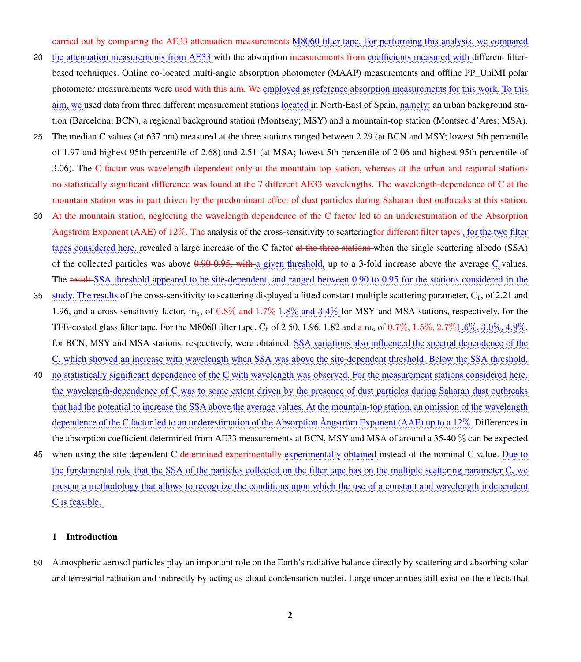carried out by comparing the AE33 attenuation measurements M8060 filter tape. For performing this analysis, we compared

- 20 the attenuation measurements from AE33 with the absorption <del>measurements from coefficients measured</del> with different filterbased techniques. Online co-located multi-angle absorption photometer (MAAP) measurements and offline PP\_UniMI polar photometer measurements were <del>used with this aim. We employed</del> as reference absorption measurements for this work. To this aim, we used data from three different measurement stations located in North-East of Spain, namely: an urban background station (Barcelona; BCN), a regional background station (Montseny; MSY) and a mountain-top station (Montsec d'Ares; MSA).
- 25 The median C values (at 637 nm) measured at the three stations ranged between 2.29 (at BCN and MSY; lowest 5th percentile of 1.97 and highest 95th percentile of 2.68) and 2.51 (at MSA; lowest 5th percentile of 2.06 and highest 95th percentile of 3.06). The C factor was wavelength-dependent only at the mountain-top station, whereas at the urban and regional stations no statistically significant difference was found at the 7 different AE33 wavelengths. The wavelength-dependence of C at the mountain station was in part driven by the predominant effect of dust particles during Saharan dust outbreaks at this station.
- 30 At the mountain station, neglecting the wavelength dependence of the C factor led to an underestimation of the Absorption Ångström Exponent (AAE) of 12%. The analysis of the cross-sensitivity to scattering<del>for different filter tapes</del>, for the two filter tapes considered here, revealed a large increase of the C factor at the three stations when the single scattering albedo (SSA) of the collected particles was above  $0.90-0.95$ , with a given threshold, up to a 3-fold increase above the average  $\mathcal{Q}$  values. The result SSA threshold appeared to be site-dependent, and ranged between 0.90 to 0.95 for the stations considered in the
- 35  $\frac{\text{study. The results}}{\text{results}}$  of the cross-sensitivity to scattering displayed a fitted constant multiple scattering parameter,  $C_f$ , of 2.21 and 1.96, and a cross-sensitivity factor,  $m_s$ , of  $0.8\%$  and  $1.7\%$  1.8% and  $3.4\%$  for MSY and MSA stations, respectively, for the TFE-coated glass filter tape. For the M8060 filter tape,  $C_f$  of 2.50, 1.96, 1.82 and  $a$  m<sub>s</sub> of  $0.7\%$ ,  $1.5\%$ ,  $2.7\%$   $1.6\%$ ,  $3.0\%$ ,  $4.9\%$ , for BCN, MSY and MSA stations, respectively, were obtained. SSA variations also influenced the spectral dependence of the C, which showed an increase with wavelength when SSA was above the site-dependent threshold. Below the SSA threshold,
- 40 no statistically significant dependence of the C with wavelength was observed. For the measurement stations considered here, the wavelength-dependence of C was to some extent driven by the presence of dust particles during Saharan dust outbreaks that had the potential to increase the SSA above the average values. At the mountain-top station, an omission of the wavelength dependence of the C factor led to an underestimation of the Absorption Ångström Exponent (AAE) up to a 12%. Differences in the absorption coefficient determined from AE33 measurements at BCN, MSY and MSA of around a 35-40 % can be expected
- 45 when using the site-dependent C determined experimentally experimentally obtained instead of the nominal C value. Due to the fundamental role that the SSA of the particles collected on the filter tape has on the multiple scattering parameter C, we present a methodology that allows to recognize the conditions upon which the use of a constant and wavelength independent  $\frac{C}{20}$  is feasible.

### 1 Introduction

50 Atmospheric aerosol particles play an important role on the Earth's radiative balance directly by scattering and absorbing solar and terrestrial radiation and indirectly by acting as cloud condensation nuclei. Large uncertainties still exist on the effects that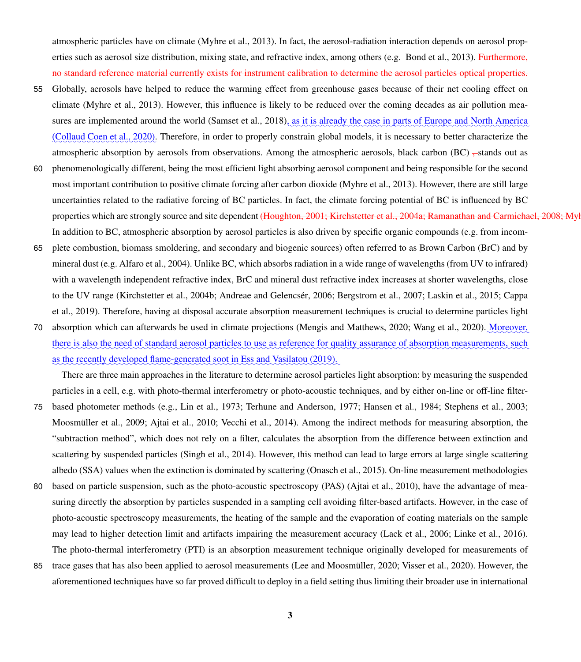atmospheric particles have on climate [\(Myhre et al., 2013\)](#page-35-0). In fact, the aerosol-radiation interaction depends on aerosol prop-erties such as aerosol size distribution, mixing state, and refractive index, among others (e.g. [Bond et al., 2013\)](#page-30-0). Furthermore, no standard reference material currently exists for instrument calibration to determine the aerosol particles optical properties.

- 55 Globally, aerosols have helped to reduce the warming effect from greenhouse gases because of their net cooling effect on climate [\(Myhre et al., 2013\)](#page-35-0). However, this influence is likely to be reduced over the coming decades as air pollution mea-sures are implemented around the world [\(Samset et al., 2018\)](#page-37-0), as it is already the case in parts of Europe and North America [\(Collaud Coen et al., 2020\)](#page-31-0). Therefore, in order to properly constrain global models, it is necessary to better characterize the atmospheric absorption by aerosols from observations. Among the atmospheric aerosols, black carbon (BC)  $\pm$ stands out as
- 60 phenomenologically different, being the most efficient light absorbing aerosol component and being responsible for the second most important contribution to positive climate forcing after carbon dioxide [\(Myhre et al., 2013\)](#page-35-0). However, there are still large uncertainties related to the radiative forcing of BC particles. In fact, the climate forcing potential of BC is influenced by BC properties which are strongly source and site dependent [\(Houghton, 2001;](#page-33-0) [Kirchstetter et al., 2004a;](#page-33-1) [Ramanathan and Carmichael, 2008;](#page-36-0) M In addition to BC, atmospheric absorption by aerosol particles is also driven by specific organic compounds (e.g. from incom-
- 65 plete combustion, biomass smoldering, and secondary and biogenic sources) often referred to as Brown Carbon (BrC) and by mineral dust (e.g. [Alfaro et al., 2004\)](#page-30-1). Unlike BC, which absorbs radiation in a wide range of wavelengths (from UV to infrared) with a wavelength independent refractive index, BrC and mineral dust refractive index increases at shorter wavelengths, close [t](#page-31-1)o the UV range [\(Kirchstetter et al., 2004b;](#page-33-2) [Andreae and Gelencsér, 2006;](#page-30-2) [Bergstrom et al., 2007;](#page-30-3) [Laskin et al., 2015;](#page-34-1) [Cappa](#page-31-1) [et al., 2019\)](#page-31-1). Therefore, having at disposal accurate absorption measurement techniques is crucial to determine particles light
- 70 absorption which can afterwards be used in climate projections [\(Mengis and Matthews, 2020;](#page-34-2) [Wang et al., 2020\)](#page-38-0). Moreover, there is also the need of standard aerosol particles to use as reference for quality assurance of absorption measurements, such as the recently developed flame-generated soot in [Ess and Vasilatou](#page-32-0) [\(2019\)](#page-32-0).

There are three main approaches in the literature to determine aerosol particles light absorption: by measuring the suspended particles in a cell, e.g. with photo-thermal interferometry or photo-acoustic techniques, and by either on-line or off-line filter-

- 75 based photometer methods (e.g., [Lin et al., 1973;](#page-34-3) [Terhune and Anderson, 1977;](#page-38-1) [Hansen et al., 1984;](#page-33-3) [Stephens et al., 2003;](#page-38-2) [Moosmüller et al., 2009;](#page-34-4) [Ajtai et al., 2010;](#page-30-4) [Vecchi et al., 2014\)](#page-38-3). Among the indirect methods for measuring absorption, the "subtraction method", which does not rely on a filter, calculates the absorption from the difference between extinction and scattering by suspended particles [\(Singh et al., 2014\)](#page-37-1). However, this method can lead to large errors at large single scattering albedo (SSA) values when the extinction is dominated by scattering [\(Onasch et al., 2015\)](#page-35-1). On-line measurement methodologies
- 80 based on particle suspension, such as the photo-acoustic spectroscopy (PAS) [\(Ajtai et al., 2010\)](#page-30-4), have the advantage of measuring directly the absorption by particles suspended in a sampling cell avoiding filter-based artifacts. However, in the case of photo-acoustic spectroscopy measurements, the heating of the sample and the evaporation of coating materials on the sample may lead to higher detection limit and artifacts impairing the measurement accuracy [\(Lack et al., 2006;](#page-33-4) [Linke et al., 2016\)](#page-34-5). The photo-thermal interferometry (PTI) is an absorption measurement technique originally developed for measurements of
- 85 trace gases that has also been applied to aerosol measurements [\(Lee and Moosmüller, 2020;](#page-34-6) [Visser et al., 2020\)](#page-38-4). However, the aforementioned techniques have so far proved difficult to deploy in a field setting thus limiting their broader use in international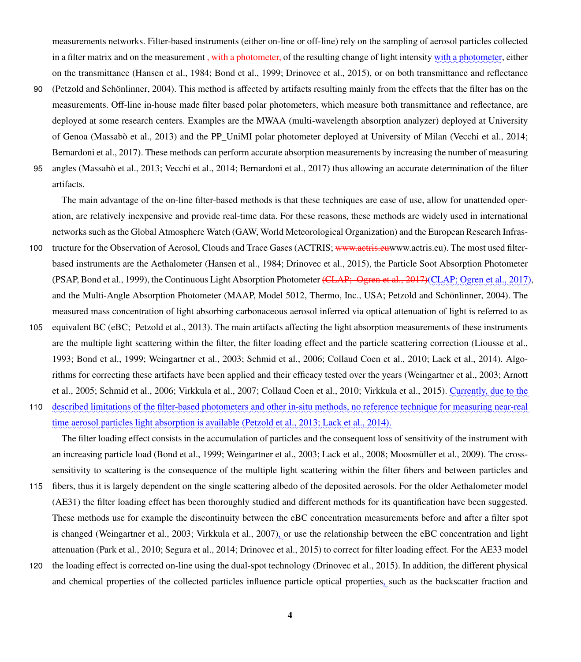measurements networks. Filter-based instruments (either on-line or off-line) rely on the sampling of aerosol particles collected in a filter matrix and on the measurement <del>, with a photometer, </del>of the resulting change of light intensity <u>with a photometer,</u> either on the transmittance [\(Hansen et al., 1984;](#page-33-3) [Bond et al., 1999;](#page-30-5) [Drinovec et al., 2015\)](#page-32-1), or on both transmittance and reflectance

90 [\(Petzold and Schönlinner, 2004\)](#page-36-2). This method is affected by artifacts resulting mainly from the effects that the filter has on the measurements. Off-line in-house made filter based polar photometers, which measure both transmittance and reflectance, are deployed at some research centers. Examples are the MWAA (multi-wavelength absorption analyzer) deployed at University of Genoa [\(Massabò et al., 2013\)](#page-34-7) and the PP\_UniMI polar photometer deployed at University of Milan [\(Vecchi et al., 2014;](#page-38-3) [Bernardoni et al., 2017\)](#page-30-6). These methods can perform accurate absorption measurements by increasing the number of measuring

95 angles [\(Massabò et al., 2013;](#page-34-7) [Vecchi et al., 2014;](#page-38-3) [Bernardoni et al., 2017\)](#page-30-6) thus allowing an accurate determination of the filter artifacts.

The main advantage of the on-line filter-based methods is that these techniques are ease of use, allow for unattended operation, are relatively inexpensive and provide real-time data. For these reasons, these methods are widely used in international networks such as the Global Atmosphere Watch (GAW, World Meteorological Organization) and the European Research Infras-

- 100 tructure for the Observation of Aerosol, Clouds and Trace Gases (ACTRIS; www.actris.e[uwww.actris.eu\)](www.actris.eu). The most used filterbased instruments are the Aethalometer [\(Hansen et al., 1984;](#page-33-3) [Drinovec et al., 2015\)](#page-32-1), the Particle Soot Absorption Photometer (PSAP, [Bond et al., 1999\)](#page-30-5), the Continuous Light Absorption Photometer <del>(CLAP; [Ogren et al., 2017\)](#page-35-2)</del> (CLAP; Ogren et al., 2017), and the Multi-Angle Absorption Photometer (MAAP, Model 5012, Thermo, Inc., USA; [Petzold and Schönlinner, 2004\)](#page-36-2). The measured mass concentration of light absorbing carbonaceous aerosol inferred via optical attenuation of light is referred to as
- 105 equivalent BC (eBC; [Petzold et al., 2013\)](#page-36-3). The main artifacts affecting the light absorption measurements of these instruments are the multiple light scattering within the filter, the filter loading effect and the particle scattering correction [\(Liousse et al.,](#page-34-8) [1993;](#page-34-8) [Bond et al., 1999;](#page-30-5) [Weingartner et al., 2003;](#page-38-5) [Schmid et al., 2006;](#page-37-2) [Collaud Coen et al., 2010;](#page-31-2) [Lack et al., 2014\)](#page-33-5). Algo[r](#page-30-7)ithms for correcting these artifacts have been applied and their efficacy tested over the years [\(Weingartner et al., 2003;](#page-38-5) [Arnott](#page-30-7) [et al., 2005;](#page-30-7) [Schmid et al., 2006;](#page-37-2) [Virkkula et al., 2007;](#page-38-6) [Collaud Coen et al., 2010;](#page-31-2) [Virkkula et al., 2015\)](#page-38-7). <u>Currently, due to the</u>
- 110 described limitations of the filter-based photometers and other in-situ methods, no reference technique for measuring near-real time aerosol particles light absorption is available [\(Petzold et al., 2013;](#page-36-3) [Lack et al., 2014\)](#page-33-5).

The filter loading effect consists in the accumulation of particles and the consequent loss of sensitivity of the instrument with an increasing particle load [\(Bond et al., 1999;](#page-30-5) [Weingartner et al., 2003;](#page-38-5) [Lack et al., 2008;](#page-33-6) [Moosmüller et al., 2009\)](#page-34-4). The crosssensitivity to scattering is the consequence of the multiple light scattering within the filter fibers and between particles and

- 115 fibers, thus it is largely dependent on the single scattering albedo of the deposited aerosols. For the older Aethalometer model (AE31) the filter loading effect has been thoroughly studied and different methods for its quantification have been suggested. These methods use for example the discontinuity between the eBC concentration measurements before and after a filter spot is changed [\(Weingartner et al., 2003;](#page-38-5) [Virkkula et al., 2007\)](#page-38-6)<sub>2</sub> or use the relationship between the eBC concentration and light attenuation [\(Park et al., 2010;](#page-35-3) [Segura et al., 2014;](#page-37-3) [Drinovec et al., 2015\)](#page-32-1) to correct for filter loading effect. For the AE33 model
- 120 the loading effect is corrected on-line using the dual-spot technology [\(Drinovec et al., 2015\)](#page-32-1). In addition, the different physical and chemical properties of the collected particles influence particle optical properties, such as the backscatter fraction and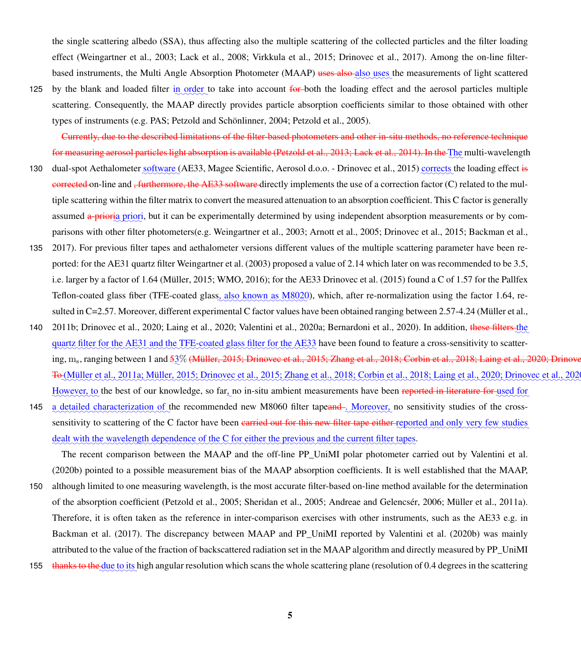the single scattering albedo (SSA), thus affecting also the multiple scattering of the collected particles and the filter loading effect [\(Weingartner et al., 2003;](#page-38-5) [Lack et al., 2008;](#page-33-6) [Virkkula et al., 2015;](#page-38-7) [Drinovec et al., 2017\)](#page-32-2). Among the on-line filterbased instruments, the Multi Angle Absorption Photometer (MAAP) <del>uses also also uses</del> the measurements of light scattered

125 by the blank and loaded filter in order to take into account for both the loading effect and the aerosol particles multiple scattering. Consequently, the MAAP directly provides particle absorption coefficients similar to those obtained with other types of instruments (e.g. PAS; [Petzold and Schönlinner, 2004;](#page-36-2) [Petzold et al., 2005\)](#page-36-4).

Currently, due to the described limitations of the filter-based photometers and other in-situ methods, no reference technique for measuring aerosol particles light absorption is available [\(Petzold et al., 2013;](#page-36-3) [Lack et al., 2014\)](#page-33-5). In the The multi-wavelength

- 130 dual-spot Aethalometer software (AE33, Magee Scientific, Aerosol d.o.o. - [Drinovec et al., 2015\)](#page-32-1) corrects the loading effect is corrected on-line and <del>, furthermore, the AE33 software</del> directly implements the use of a correction factor (C) related to the multiple scattering within the filter matrix to convert the measured attenuation to an absorption coefficient. This C factor is generally assumed a-prioria priori, but it can be experimentally determined by using independent absorption measurements or by comparisons with other filter photometers(e.g. [Weingartner et al., 2003;](#page-38-5) [Arnott et al., 2005;](#page-30-7) [Drinovec et al., 2015;](#page-32-1) [Backman et al.,](#page-30-8)
- 135 [2017\)](#page-30-8). For previous filter tapes and aethalometer versions different values of the multiple scattering parameter have been reported: for the AE31 quartz filter [Weingartner et al.](#page-38-5) [\(2003\)](#page-38-5) proposed a value of 2.14 which later on was recommended to be 3.5, i.e. larger by a factor of 1.64 [\(Müller, 2015;](#page-34-9) [WMO, 2016\)](#page-38-8); for the AE33 [Drinovec et al.](#page-32-1) [\(2015\)](#page-32-1) found a C of 1.57 for the Pallfex Teflon-coated glass fiber (TFE-coated glass, also known as M8020), which, after re-normalization using the factor 1.64, resulted in C=2.57. Moreover, different experimental C factor values have been obtained ranging between 2.57-4.24 [\(Müller et al.,](#page-35-4)
- 140 [2011b;](#page-35-4) [Drinovec et al., 2020;](#page-32-3) [Laing et al., 2020;](#page-33-7) [Valentini et al., 2020a;](#page-38-9) [Bernardoni et al., 2020\)](#page-30-9). In addition, these filters the quartz filter for the AE31 and the TFE-coated glass filter for the AE33 have been found to feature a cross-sensitivity to scatter-ing, m<sub>s</sub>, ranging between 1 and <del>5</del>3% <del>[\(Müller, 2015;](#page-34-9) [Drinovec et al., 2015;](#page-32-1) [Zhang et al., 2018;](#page-39-0) [Corbin et al., 2018;](#page-31-3) [Laing et al., 2020;](#page-33-7) Drino</del> <del>To</del> [\(Müller et al., 2011a;](#page-35-5) [Müller, 2015;](#page-34-9) [Drinovec et al., 2015;](#page-32-1) [Zhang et al., 2018;](#page-39-0) [Corbin et al., 2018;](#page-31-3) [Laing et al., 2020;](#page-33-7) Drinovec et al., 20 However, to the best of our knowledge, so far, no in-situ ambient measurements have been <del>reported in literature for used</del> for
- 145 a detailed characterization of the recommended new M8060 filter tapeand. Moreover, no sensitivity studies of the crosssensitivity to scattering of the C factor have been <del>carried out for this new filter tape either</del> reported and only very few studies dealt with the wavelength dependence of the C for either the previous and the current filter tapes.

The recent comparison between the MAAP and the off-line PP\_UniMI polar photometer carried out by [Valentini et al.](#page-38-10) [\(2020b\)](#page-38-10) pointed to a possible measurement bias of the MAAP absorption coefficients. It is well established that the MAAP,

- 150 although limited to one measuring wavelength, is the most accurate filter-based on-line method available for the determination of the absorption coefficient [\(Petzold et al., 2005;](#page-36-4) [Sheridan et al., 2005;](#page-37-4) [Andreae and Gelencsér, 2006;](#page-30-2) [Müller et al., 2011a\)](#page-35-5). Therefore, it is often taken as the reference in inter-comparison exercises with other instruments, such as the AE33 e.g. in [Backman et al.](#page-30-8) [\(2017\)](#page-30-8). The discrepancy between MAAP and PP\_UniMI reported by [Valentini et al.](#page-38-10) [\(2020b\)](#page-38-10) was mainly attributed to the value of the fraction of backscattered radiation set in the MAAP algorithm and directly measured by PP\_UniMI
- thanks to the due to its high angular resolution which scans the whole scattering plane (resolution of 0.4 degrees in the scattering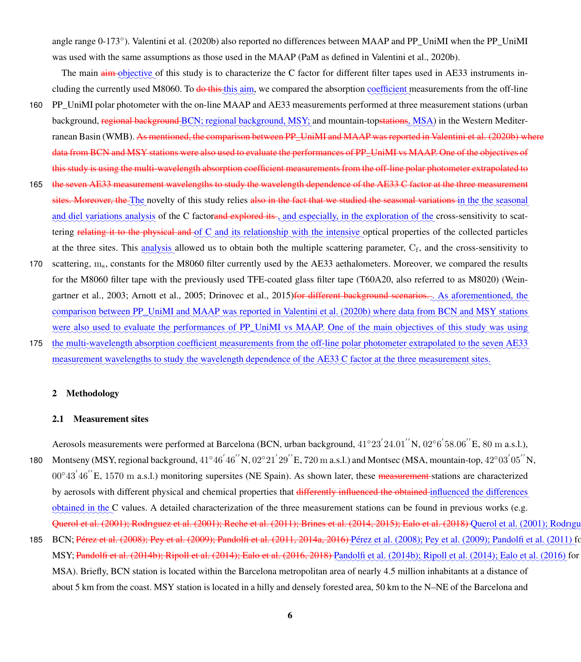angle range 0-173°). [Valentini et al.](#page-38-10) [\(2020b\)](#page-38-10) also reported no differences between MAAP and PP\_UniMI when the PP\_UniMI was used with the same assumptions as those used in the MAAP (PaM as defined in [Valentini et al., 2020b\)](#page-38-10).

The main  $\frac{a_{im}}{2}$  of this study is to characterize the C factor for different filter tapes used in AE33 instruments including the currently used M8060. To <del>do this this aim</del>, we compared the absorption coefficient measurements from the off-line

- 160 PP\_UniMI polar photometer with the on-line MAAP and AE33 measurements performed at three measurement stations (urban background, regional background BCN; regional background, MSY; and mountain-top<del>stations</del>, MSA) in the Western Mediter-ranean Basin (WMB). As mentioned, the comparison between PP\_UniMI and MAAP was reported in [Valentini et al.](#page-38-10) [\(2020b\)](#page-38-10) where data from BCN and MSY stations were also used to evaluate the performances of PP UniMI vs MAAP. One of the objectives of this study is using the multi-wavelength absorption coefficient measurements from the off-line polar photometer extrapolated to
- 165 the seven AE33 measurement wavelengths to study the wavelength dependence of the AE33 C factor at the three measurement sites. Moreover, the The novelty of this study relies also in the fact that we studied the seasonal variations in the the seasonal and diel variations analysis of the C factorand explored its , and especially, in the exploration of the cross-sensitivity to scattering relating it to the physical and of C and its relationship with the intensive optical properties of the collected particles at the three sites. This  $\frac{analysis}{analysis}$  allowed us to obtain both the multiple scattering parameter,  $C_f$ , and the cross-sensitivity to
- 170 scattering, ms, constants for the M8060 filter currently used by the AE33 aethalometers. Moreover, we compared the results [f](#page-38-5)or the M8060 filter tape with the previously used TFE-coated glass filter tape (T60A20, also referred to as M8020) [\(Wein](#page-38-5)[gartner et al., 2003;](#page-38-5) [Arnott et al., 2005;](#page-30-7) [Drinovec et al., 2015\)](#page-32-1)<del>for different background scenarios. As aforementioned, the</del> comparison between PP\_UniMI and MAAP was reported in [Valentini et al.](#page-38-10) [\(2020b\)](#page-38-10) where data from BCN and MSY stations were also used to evaluate the performances of PP UniMI vs MAAP. One of the main objectives of this study was using
- 175 the multi-wavelength absorption coefficient measurements from the off-line polar photometer extrapolated to the seven AE33 measurement wavelengths to study the wavelength dependence of the AE33 C factor at the three measurement sites.

### 2 Methodology

### 2.1 Measurement sites

Aerosols measurements were performed at Barcelona (BCN, urban background,  $41°23'24.01''N$ ,  $02°6'58.06''E$ ,  $80$  m a.s.l.), 180 Montseny (MSY, regional background,  $41°46'46''N$ ,  $02°21'29''E$ , 720 m a.s.l.) and Montsec (MSA, mountain-top,  $42°03'05''N$ , 00°43<sup>'</sup>46<sup>"</sup>E, 1570 m a.s.l.) monitoring supersites (NE Spain). As shown later, these <del>measurement s</del>tations are characterized by aerosols with different physical and chemical properties that differently influenced the obtained influenced the differences obtained in the C values. A detailed characterization of the three measurement stations can be found in previous works (e.g. Ouerol et al. (2001); Rodriguez et al. (2001); Reche et al. (2011); Brines et al. (2014, 2015); Ealo et al. (2018) [Querol et al.](#page-36-5) [\(2001\)](#page-37-5); Rodri

185 BCN; [Pérez et al.](#page-35-6) [\(2008\)](#page-35-6); [Pey et al.](#page-36-7) [\(2009\)](#page-36-7); [Pandolfi et al.](#page-35-7) [\(2011,](#page-35-7) [2014a,](#page-35-8) [2016\)](#page-35-9) Pérez et al. (2008); Pey et al. (2009); Pandolfi et al. [\(2011\)](#page-35-7) MSY; <del>[Pandolfi et al.](#page-35-10) [\(2014b\)](#page-35-10); [Ripoll et al.](#page-36-8) [\(2014\)](#page-36-8); [Ealo et al.](#page-32-5) [\(2016,](#page-32-5) [2018\)](#page-32-4) </del>Pandolfi et al. (2014b); Ripoll et al. (2014); Ealo et al. [\(2016\)](#page-32-5) fo MSA). Briefly, BCN station is located within the Barcelona metropolitan area of nearly 4.5 million inhabitants at a distance of about 5 km from the coast. MSY station is located in a hilly and densely forested area, 50 km to the N–NE of the Barcelona and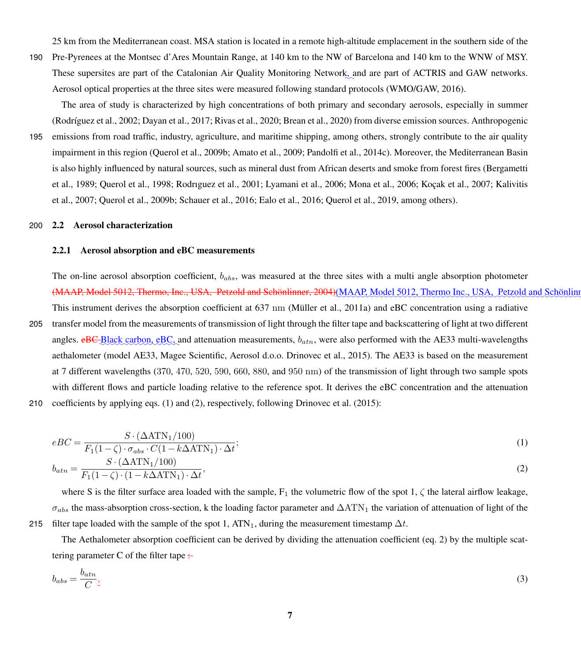25 km from the Mediterranean coast. MSA station is located in a remote high-altitude emplacement in the southern side of the

190 Pre-Pyrenees at the Montsec d'Ares Mountain Range, at 140 km to the NW of Barcelona and 140 km to the WNW of MSY. These supersites are part of the Catalonian Air Quality Monitoring Network<sub>s</sub> and are part of ACTRIS and GAW networks. Aerosol optical properties at the three sites were measured following standard protocols (WMO/GAW, 2016).

The area of study is characterized by high concentrations of both primary and secondary aerosols, especially in summer [\(Rodríguez et al., 2002;](#page-37-6) [Dayan et al., 2017;](#page-31-6) [Rivas et al., 2020;](#page-37-7) [Brean et al., 2020\)](#page-30-10) from diverse emission sources. Anthropogenic

195 emissions from road traffic, industry, agriculture, and maritime shipping, among others, strongly contribute to the air quality impairment in this region [\(Querol et al., 2009b;](#page-36-9) [Amato et al., 2009;](#page-30-11) [Pandolfi et al., 2014c\)](#page-35-11). Moreover, the Mediterranean Basin [i](#page-30-12)s also highly influenced by natural sources, such as mineral dust from African deserts and smoke from forest fires [\(Bergametti](#page-30-12) [et al., 1989;](#page-30-12) [Querol et al., 1998;](#page-36-10) [Rodrıguez et al., 2001;](#page-37-5) [Lyamani et al., 2006;](#page-34-10) [Mona et al., 2006;](#page-34-11) [Koçak et al., 2007;](#page-33-8) [Kalivitis](#page-33-9) [et al., 2007;](#page-33-9) [Querol et al., 2009b;](#page-36-9) [Schauer et al., 2016;](#page-37-8) [Ealo et al., 2016;](#page-32-5) [Querol et al., 2019,](#page-36-11) among others).

### 200 2.2 Aerosol characterization

### 2.2.1 Aerosol absorption and eBC measurements

The on-line aerosol absorption coefficient,  $b_{abs}$ , was measured at the three sites with a multi angle absorption photometer (MAAP, Model 5012, Thermo, Inc., USA, [Petzold and Schönlinner, 2004\)](#page-36-2)(MAAP, Model 5012, Thermo Inc., USA, Petzold and Schönli

205 transfer model from the measurements of transmission of light through the filter tape and backscattering of light at two different angles.  $e$ BC-Black carbon,  $e$ BC, and attenuation measurements,  $b_{atn}$ , were also performed with the AE33 multi-wavelengths aethalometer (model AE33, Magee Scientific, Aerosol d.o.o. [Drinovec et al., 2015\)](#page-32-1). The AE33 is based on the measurement at 7 different wavelengths (370, 470, 520, 590, 660, 880, and 950 nm) of the transmission of light through two sample spots with different flows and particle loading relative to the reference spot. It derives the eBC concentration and the attenuation

This instrument derives the absorption coefficient at 637 nm [\(Müller et al., 2011a\)](#page-35-5) and eBC concentration using a radiative

210 coefficients by applying eqs. [\(1\)](#page-6-0) and [\(2\)](#page-6-1), respectively, following [Drinovec et al.](#page-32-1) [\(2015\)](#page-32-1):

<span id="page-6-1"></span><span id="page-6-0"></span>
$$
eBC = \frac{S \cdot (\Delta \text{ATN}_1/100)}{F_1(1-\zeta) \cdot \sigma_{abs} \cdot C(1 - k\Delta \text{ATN}_1) \cdot \Delta t};
$$
  
\n
$$
b_{atn} = \frac{S \cdot (\Delta \text{ATN}_1/100)}{F_1(1-\zeta) \cdot (1 - k\Delta \text{ATN}_1) \cdot \Delta t},
$$
\n(2)

where S is the filter surface area loaded with the sample, 
$$
F_1
$$
 the volumetric flow of the spot 1,  $\zeta$  the lateral airflow leakage,  $\sigma_{abs}$  the mass-absorption cross-section, k the loading factor parameter and  $\Delta \text{ATN}_1$  the variation of attenuation of light of the filter tape loaded with the sample of the spot 1,  $\text{ATN}_1$ , during the measurement timestamp  $\Delta t$ .

The Aethalometer absorption coefficient can be derived by dividing the attenuation coefficient (eq. [2\)](#page-6-1) by the multiple scattering parameter C of the filter tape  $\div$ 

$$
b_{abs} = \frac{b_{atn}}{C}.
$$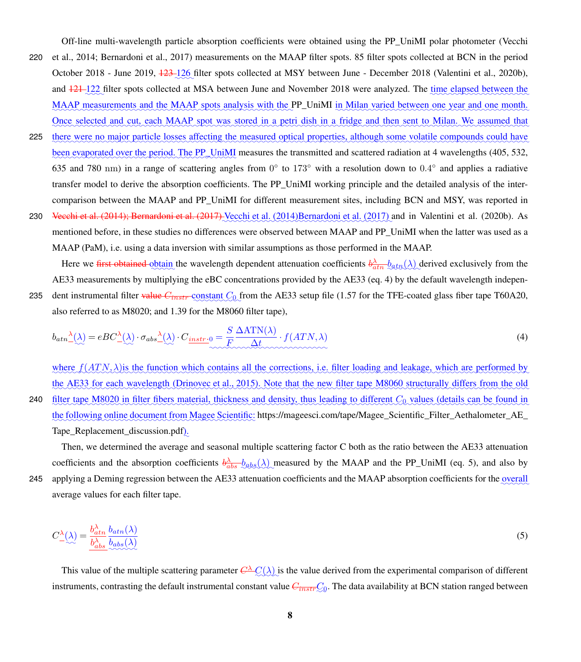Off-line multi-wavelength particle absorption coefficients were obtained using the PP\_UniMI polar photometer [\(Vecchi](#page-38-3) 220 [et al., 2014;](#page-38-3) [Bernardoni et al., 2017\)](#page-30-6) measurements on the MAAP filter spots. 85 filter spots collected at BCN in the period October 2018 - June 2019, <del>123 126</del> filter spots collected at MSY between June - December 2018 [\(Valentini et al., 2020b\)](#page-38-10), and  $\frac{121-122}{2}$  filter spots collected at MSA between June and November 2018 were analyzed. The time elapsed between the MAAP measurements and the MAAP spots analysis with the PP\_UniMI in Milan varied between one year and one month. Once selected and cut, each MAAP spot was stored in a petri dish in a fridge and then sent to Milan. We assumed that

- 225 there were no major particle losses affecting the measured optical properties, although some volatile compounds could have been evaporated over the period. The PP\_UniMI measures the transmitted and scattered radiation at 4 wavelengths (405, 532, 635 and 780 nm) in a range of scattering angles from  $0^{\circ}$  to 173 $^{\circ}$  with a resolution down to  $0.4^{\circ}$  and applies a radiative transfer model to derive the absorption coefficients. The PP\_UniMI working principle and the detailed analysis of the intercomparison between the MAAP and PP\_UniMI for different measurement sites, including BCN and MSY, was reported in
- 230 [Vecchi et al.](#page-38-3) [\(2014\)](#page-38-3); [Bernardoni et al.](#page-30-6) [\(2017\)](#page-30-6) Vecchi et al. (2014)[Bernardoni et al.](#page-30-6) (2017) and in [Valentini et al.](#page-38-10) [\(2020b\)](#page-38-10). As mentioned before, in these studies no differences were observed between MAAP and PP\_UniMI when the latter was used as a MAAP (PaM), i.e. using a data inversion with similar assumptions as those performed in the MAAP.

Here we first obtained obtain the wavelength dependent attenuation coefficients  $b_{atn}^{\lambda}$   $b_{atn}(\lambda)$  derived exclusively from the AE33 measurements by multiplying the eBC concentrations provided by the AE33 (eq. [4\)](#page-7-0) by the default wavelength indepen-235 dent instrumental filter <del>value  $C_{instr}$ </del> constant  $C_0$  from the AE33 setup file (1.57 for the TFE-coated glass fiber tape T60A20, also referred to as M8020; and 1.39 for the M8060 filter tape),

<span id="page-7-0"></span>
$$
b_{atn} \triangleq (\lambda) = eBC \triangleq (\lambda) \cdot \sigma_{abs} \triangleq (\lambda) \cdot C_{\underbrace{instr \cdot 0}_{\text{constrained}}} = \frac{S}{F} \frac{\Delta \text{ATN}(\lambda)}{\Delta t} \cdot f(ATN, \lambda) \tag{4}
$$

where  $f(ATN,\lambda)$  is the function which contains all the corrections, i.e. filter loading and leakage, which are performed by the AE33 for each wavelength [\(Drinovec et al., 2015\)](#page-32-1). Note that the new filter tape M8060 structurally differs from the old 240 filter tape M8020 in filter fibers material, thickness and density, thus leading to different C<sub>0</sub> values (details can be found in the following online document from Magee Scientific: [https://mageesci.com/tape/Magee\\_Scientific\\_Filter\\_Aethalometer\\_AE\\_](https://mageesci.com/tape/Magee_Scientific_Filter_Aethalometer_AE_Tape_Replacement_discussion.pdf) [Tape\\_Replacement\\_discussion.pdf](https://mageesci.com/tape/Magee_Scientific_Filter_Aethalometer_AE_Tape_Replacement_discussion.pdf)).

Then, we determined the average and seasonal multiple scattering factor C both as the ratio between the AE33 attenuation coefficients and the absorption coefficients  $\frac{\partial \lambda}{\partial abs}(\lambda)$  measured by the MAAP and the PP\_UniMI (eq. [5\)](#page-7-1), and also by 245 applying a Deming regression between the AE33 attenuation coefficients and the MAAP absorption coefficients for the overall average values for each filter tape.

<span id="page-7-1"></span>
$$
C_{-\langle\lambda\rangle}^{\lambda} = \frac{b_{atn}^{\lambda} b_{atn}(\lambda)}{b_{abs}^{\lambda} b_{abs}(\lambda)}
$$
(5)

This value of the multiple scattering parameter  $C^{\lambda}C(\lambda)$  is the value derived from the experimental comparison of different instruments, contrasting the default instrumental constant value  $C_{\overline{instr}}\mathcal{Q}_0$ . The data availability at BCN station ranged between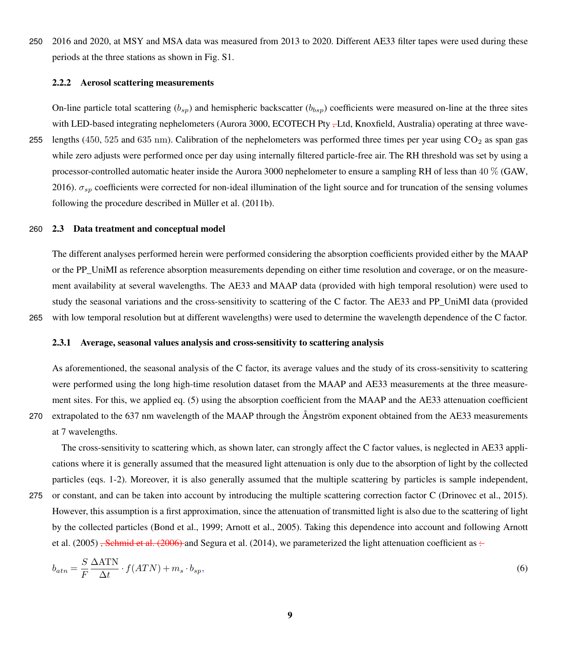250 2016 and 2020, at MSY and MSA data was measured from 2013 to 2020. Different AE33 filter tapes were used during these periods at the three stations as shown in Fig. S1.

### 2.2.2 Aerosol scattering measurements

On-line particle total scattering  $(b_{sp})$  and hemispheric backscatter  $(b_{bsp})$  coefficients were measured on-line at the three sites with LED-based integrating nephelometers (Aurora 3000, ECOTECH Pty <sub>r</sub>-Ltd, Knoxfield, Australia) operating at three wave-255 lengths (450, 525 and 635 nm). Calibration of the nephelometers was performed three times per year using  $CO<sub>2</sub>$  as span gas while zero adjusts were performed once per day using internally filtered particle-free air. The RH threshold was set by using a processor-controlled automatic heater inside the Aurora 3000 nephelometer to ensure a sampling RH of less than 40 % [\(GAW,](#page-33-10) [2016\)](#page-33-10).  $\sigma_{sp}$  coefficients were corrected for non-ideal illumination of the light source and for truncation of the sensing volumes following the procedure described in [Müller et al.](#page-35-4) [\(2011b\)](#page-35-4).

### 260 2.3 Data treatment and conceptual model

The different analyses performed herein were performed considering the absorption coefficients provided either by the MAAP or the PP\_UniMI as reference absorption measurements depending on either time resolution and coverage, or on the measurement availability at several wavelengths. The AE33 and MAAP data (provided with high temporal resolution) were used to study the seasonal variations and the cross-sensitivity to scattering of the C factor. The AE33 and PP\_UniMI data (provided 265 with low temporal resolution but at different wavelengths) were used to determine the wavelength dependence of the C factor.

#### <span id="page-8-0"></span>2.3.1 Average, seasonal values analysis and cross-sensitivity to scattering analysis

As aforementioned, the seasonal analysis of the C factor, its average values and the study of its cross-sensitivity to scattering were performed using the long high-time resolution dataset from the MAAP and AE33 measurements at the three measurement sites. For this, we applied eq. [\(5\)](#page-7-1) using the absorption coefficient from the MAAP and the AE33 attenuation coefficient 270 extrapolated to the 637 nm wavelength of the MAAP through the Ångström exponent obtained from the AE33 measurements at 7 wavelengths.

The cross-sensitivity to scattering which, as shown later, can strongly affect the C factor values, is neglected in AE33 applications where it is generally assumed that the measured light attenuation is only due to the absorption of light by the collected particles (eqs. [1](#page-6-0)[-2\)](#page-6-1). Moreover, it is also generally assumed that the multiple scattering by particles is sample independent,

275 or constant, and can be taken into account by introducing the multiple scattering correction factor C [\(Drinovec et al., 2015\)](#page-32-1). However, this assumption is a first approximation, since the attenuation of transmitted light is also due to the scattering of light [b](#page-30-7)y the collected particles [\(Bond et al., 1999;](#page-30-5) [Arnott et al., 2005\)](#page-30-7). Taking this dependence into account and following [Arnott](#page-30-7) [et al.](#page-30-7) [\(2005\)](#page-30-7) <del>, [Schmid et al.](#page-37-2) [\(2006\)](#page-37-2)</del> and [Segura et al.](#page-37-3) [\(2014\)](#page-37-3), we parameterized the light attenuation coefficient as  $\div$ 

$$
b_{atn} = \frac{S}{F} \frac{\Delta \text{ATN}}{\Delta t} \cdot f(ATN) + m_s \cdot b_{sp},\tag{6}
$$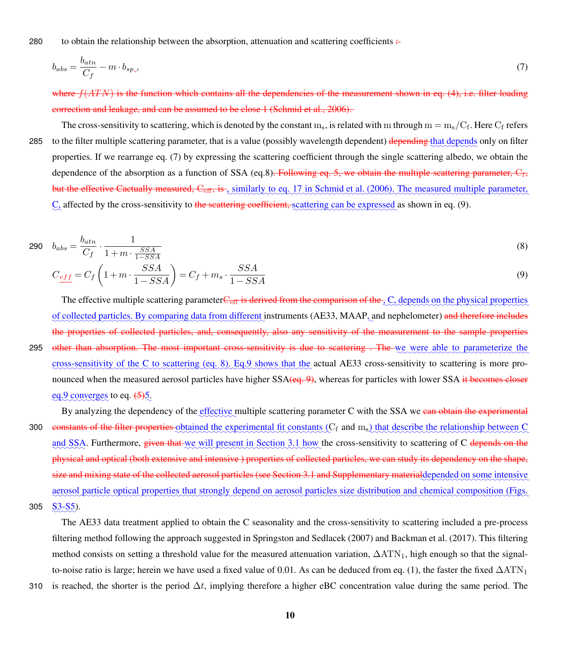280 to obtain the relationship between the absorption, attenuation and scattering coefficients  $\div$ 

<span id="page-9-0"></span>
$$
b_{abs} = \frac{b_{atn}}{C_f} - m \cdot b_{sp} \tag{7}
$$

where  $f(ATN)$  is the function which contains all the dependencies of the measurement shown in eq. [\(4\)](#page-7-0), i.e. filter loading correction and leakage, and can be assumed to be close 1 [\(Schmid et al., 2006\)](#page-37-2).

The cross-sensitivity to scattering, which is denoted by the constant  $m_s$ , is related with  $m$  through  $m=m_s/C_f.$  Here  $C_f$  refers 285 to the filter multiple scattering parameter, that is a value (possibly wavelength dependent) <del>depending t</del>hat depends only on filter properties. If we rearrange eq. [\(7\)](#page-9-0) by expressing the scattering coefficient through the single scattering albedo, we obtain the dependence of the absorption as a function of SSA (eq[.8\)](#page-9-1)<del>. Following eq. [5,](#page-7-1) we obtain the multiple scattering parameter, C<sub>f</sub>,</del> but the effective Cactually measured,  $C_{\text{eff}}$ , is , similarly to eq. 17 in [Schmid et al.](#page-37-2) [\(2006\)](#page-37-2). The measured multiple parameter,  $C<sub>z</sub>$  affected by the cross-sensitivity to the seattering coefficient, scattering can be expressed as shown in eq. [\(9\)](#page-9-2).

$$
290 \quad b_{abs} = \frac{b_{atn}}{C_f} \cdot \frac{1}{1 + m \cdot \frac{SSA}{1 - SSA}} \tag{8}
$$

<span id="page-9-2"></span><span id="page-9-1"></span>
$$
C_{\underline{eff}} = C_f \left( 1 + m \cdot \frac{SSA}{1 - SSA} \right) = C_f + m_s \cdot \frac{SSA}{1 - SSA} \tag{9}
$$

The effective multiple scattering parameter  $C_{\text{eff}}$  is derived from the comparison of the  $_{\alpha}$ C, depends on the physical properties of collected particles. By comparing data from different instruments (AE33, MAAP, and nephelometer) and therefore includes the properties of collected particles, and, consequently, also any sensitivity of the measurement to the sample properties 295 other than absorption. The most important cross-sensitivity is due to scattering . The we were able to parameterize the cross-sensitivity of the C to scattering (eq. [8\)](#page-9-1). Eq[.9](#page-9-2) shows that the actual AE33 cross-sensitivity to scattering is more pronounced when the measured aerosol particles have higher  $SSA$ ( $eq. 9$ ), whereas for particles with lower SSA it becomes closer  $eq.9$  $eq.9$  converges to eq.  $(5)5$  $(5)5$ .

By analyzing the dependency of the effective multiple scattering parameter C with the SSA we can obtain the experimental 300 constants of the filter properties obtained the experimental fit constants (C<sub>f</sub> and m<sub>s</sub>) that describe the relationship between C and SSA. Furthermore, given that we will present in Section [3.1](#page-10-0) how the cross-sensitivity to scattering of C depends on the physical and optical (both extensive and intensive ) properties of collected particles, we can study its dependency on the shape, size and mixing state of the collected aerosol particles (see Section [3.1](#page-10-0) and Supplementary materialdepended on some intensive aerosol particle optical properties that strongly depend on aerosol particles size distribution and chemical composition (Figs.  $305 \quad \underline{S3-S5}$ ).

The AE33 data treatment applied to obtain the C seasonality and the cross-sensitivity to scattering included a pre-process filtering method following the approach suggested in [Springston and Sedlacek](#page-37-9) [\(2007\)](#page-37-9) and [Backman et al.](#page-30-8) [\(2017\)](#page-30-8). This filtering method consists on setting a threshold value for the measured attenuation variation,  $\Delta ATN_1$ , high enough so that the signal-to-noise ratio is large; herein we have used a fixed value of 0.01. As can be deduced from eq. [\(1\)](#page-6-0), the faster the fixed  $\Delta ATN_1$ 

310 is reached, the shorter is the period  $\Delta t$ , implying therefore a higher eBC concentration value during the same period. The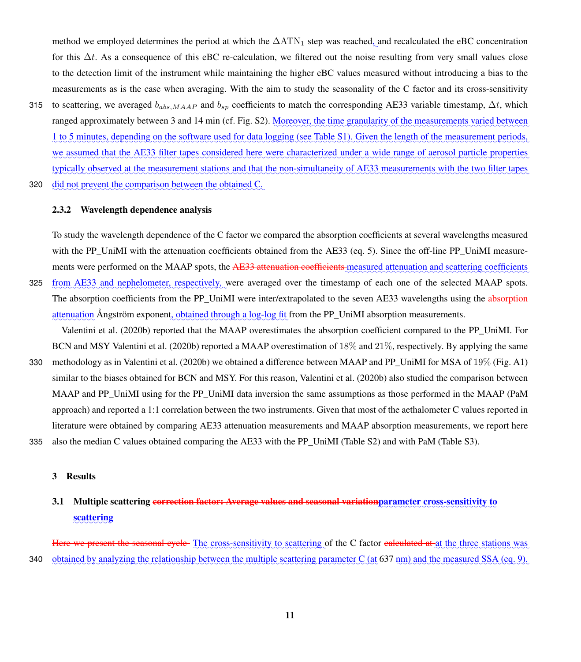method we employed determines the period at which the  $\Delta ATN_1$  step was reached, and recalculated the eBC concentration for this  $\Delta t$ . As a consequence of this eBC re-calculation, we filtered out the noise resulting from very small values close to the detection limit of the instrument while maintaining the higher eBC values measured without introducing a bias to the measurements as is the case when averaging. With the aim to study the seasonality of the C factor and its cross-sensitivity

- 315 to scattering, we averaged  $b_{abs,MAP}$  and  $b_{sp}$  coefficients to match the corresponding AE33 variable timestamp,  $\Delta t$ , which ranged approximately between 3 and 14 min (cf. Fig. S2). Moreover, the time granularity of the measurements varied between <u>1 to 5 minutes, depending on the software used for data logging (see Table S1). Given the length of the measurement periods,</u> we assumed that the AE33 filter tapes considered here were characterized under a wide range of aerosol particle properties typically observed at the measurement stations and that the non-simultaneity of AE33 measurements with the two filter tapes
- 320 did not prevent the comparison between the obtained C.

### 2.3.2 Wavelength dependence analysis

To study the wavelength dependence of the C factor we compared the absorption coefficients at several wavelengths measured with the PP\_UniMI with the attenuation coefficients obtained from the AE33 (eq. [5\)](#page-7-1). Since the off-line PP\_UniMI measurements were performed on the MAAP spots, the AE33 attenuation coefficients measured attenuation and scattering coefficients 325 from AE33 and nephelometer, respectively, were averaged over the timestamp of each one of the selected MAAP spots.

The absorption coefficients from the PP\_UniMI were inter/extrapolated to the seven AE33 wavelengths using the absorption attenuation Ångström exponent, obtained through a log-log fit from the PP\_UniMI absorption measurements.

[Valentini et al.](#page-38-10) [\(2020b\)](#page-38-10) reported that the MAAP overestimates the absorption coefficient compared to the PP\_UniMI. For BCN and MSY [Valentini et al.](#page-38-10) [\(2020b\)](#page-38-10) reported a MAAP overestimation of 18% and 21%, respectively. By applying the same

330 methodology as in [Valentini et al.](#page-38-10) [\(2020b\)](#page-38-10) we obtained a difference between MAAP and PP\_UniMI for MSA of 19% (Fig. [A1\)](#page-28-0) similar to the biases obtained for BCN and MSY. For this reason, [Valentini et al.](#page-38-10) [\(2020b\)](#page-38-10) also studied the comparison between MAAP and PP\_UniMI using for the PP\_UniMI data inversion the same assumptions as those performed in the MAAP (PaM approach) and reported a 1:1 correlation between the two instruments. Given that most of the aethalometer C values reported in literature were obtained by comparing AE33 attenuation measurements and MAAP absorption measurements, we report here 335 also the median C values obtained comparing the AE33 with the PP\_UniMI (Table S2) and with PaM (Table S3).

### 3 Results

# <span id="page-10-0"></span>3.1 Multiple scattering <del>correction factor: Average values and seasonal variation</del>parameter cross-sensitivity to scattering

Here we present the seasonal cycle The cross-sensitivity to scattering of the C factor ealeulated at at the three stations was 340 obtained by analyzing the relationship between the multiple scattering parameter C (at 637 nm) and the measured SSA (eq. [9\)](#page-9-2).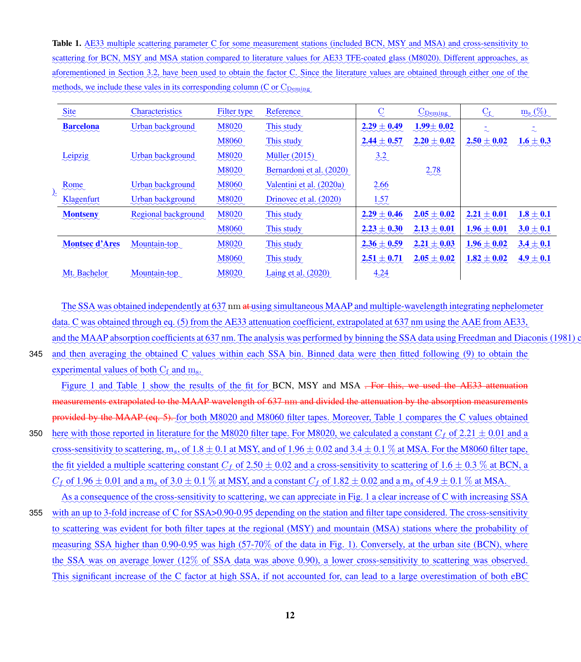<span id="page-11-0"></span>**Table 1.** AE33 multiple scattering parameter C for some measurement stations (included BCN, MSY and MSA) and cross-sensitivity to ✿✿✿✿✿✿✿ scattering for BCN, MSY and MSA station compared to literature values for AE33 TFE-coated glass (M8020). Different approaches, as aforementioned in Section [3.2,](#page-12-0) have been used to obtain the factor C. Since the literature values are obtained through either one of the methods, we include these vales in its corresponding column (C or C<sub>Deming</sub>)

|  | Site                                                      | <b>Characteristics</b><br>mmmmm     | Filter type                   | Reference                  |                 | <b>C</b> Deming         | $C_f$                              | $m_s (\%)$    |
|--|-----------------------------------------------------------|-------------------------------------|-------------------------------|----------------------------|-----------------|-------------------------|------------------------------------|---------------|
|  | <b>Barcelona</b><br>$\sim\sim\sim\sim\sim$                | Urban background                    | M8020<br>$\sim$               | This study                 | $2.29 \pm 0.49$ | $1.99 \pm 0.02$<br>mmmm | $\overline{\phantom{a}}$<br>$\sim$ | ۰<br>$\sim$   |
|  |                                                           |                                     | M8060<br>$\sim\sim\sim\sim$   | This study<br>manna        | $2.44 \pm 0.57$ | $2.20 \pm 0.02$         | $2.50 \pm 0.02$                    | $1.6 \pm 0.3$ |
|  | Leipzig                                                   | Urban background                    | <b>M8020</b>                  | Müller (2015)              | 3.2             |                         |                                    |               |
|  |                                                           |                                     | <b>M8020</b>                  | Bernardoni et al. (2020)   |                 | 2.78                    |                                    |               |
|  | Rome                                                      | Urban background                    | <b>M8060</b>                  | Valentini et al. (2020a)   | 2.66            |                         |                                    |               |
|  | Klagenfurt                                                | Urban background                    | <b>M8020</b>                  | Drinovec et al. (2020)     | 1.57            |                         |                                    |               |
|  | <b>Montseny</b>                                           | Regional background                 | <b>M8020</b>                  | This study                 | $2.29 \pm 0.46$ | $2.05 \pm 0.02$         | $2.21 \pm 0.01$                    | $1.8 \pm 0.1$ |
|  |                                                           |                                     | <b>M8060</b>                  | This study                 | $2.23 \pm 0.30$ | $2.13 \pm 0.01$         | $1.96 \pm 0.01$                    | $3.0 \pm 0.1$ |
|  | <b>Montsec d'Ares</b>                                     | Mountain-top                        | <b>M8020</b>                  | This study                 | $2.36 \pm 0.59$ | $2.21 \pm 0.03$         | $1.96 \pm 0.02$                    | $3.4 \pm 0.1$ |
|  |                                                           |                                     | <b>M8060</b>                  | This study                 | $2.51 \pm 0.71$ | $2.05 \pm 0.02$         | $1.82 \pm 0.02$                    | $4.9 \pm 0.1$ |
|  | Mt. Bachelor<br>$\sim$ $\sim$ $\sim$ $\sim$ $\sim$ $\sim$ | Mountain-top<br>$\ddotsc$ $\ddotsc$ | M8020<br>$\sim$ $\sim$ $\sim$ | <b>Laing et al.</b> (2020) | 4.24<br>$\sim$  |                         |                                    |               |

The SSA was obtained independently at 637 nm at using simultaneous MAAP and multiple-wavelength integrating nephelometer data. C was obtained through eq. [\(5\)](#page-7-1) from the AE33 attenuation coefficient, extrapolated at 637 nm using the AAE from AE33, and the MAAP absorption coefficients at 637 nm. The analysis was performed by binning the SSA data using [Freedman and Diaconis](#page-33-11) [\(1981\)](#page-33-11)

345 and then averaging the obtained C values within each SSA bin. Binned data were then fitted following [\(9\)](#page-9-2) to obtain the experimental values of both C<sub>f</sub> and m<sub>s</sub>.

Figure [1](#page-11-0) and Table 1 show the results of the fit for BCN, MSY and MSA <del>. For this, we used the AE33 attenuation</del> measurements extrapolated to the MAAP wavelength of 637 nm and divided the attenuation by the absorption measurements provided by the MAAP (eq. [5\)](#page-7-1). Let both M8020 and M8060 filter tapes. Moreover, Table [1](#page-11-0) compares the C values obtained 350 here with those reported in literature for the M8020 filter tape. For M8020, we calculated a constant  $C_f$  of  $2.21 \pm 0.01$  and a cross-sensitivity to scattering,  $m_s$ , of  $1.8 \pm 0.1$  at MSY, and of  $1.96 \pm 0.02$  and  $3.4 \pm 0.1$  % at MSA. For the M8060 filter tape, the fit yielded a multiple scattering constant  $C_f$  of 2.50  $\pm$  0.02 and a cross-sensitivity to scattering of 1.6  $\pm$  0.3 % at BCN, a  $C_f$  of  $1.96 \pm 0.01$  and a ms of  $3.0 \pm 0.1$  % at MSY, and a constant  $C_f$  of  $1.82 \pm 0.02$  and a ms of  $4.9 \pm 0.1$  % at MSA.

As a consequence of the cross-sensitivity to scattering, we can appreciate in Fig. [1](#page-13-0) a clear increase of C with increasing SSA 355 with an up to 3-fold increase of C for SSA>0.90-0.95 depending on the station and filter tape considered. The cross-sensitivity to scattering was evident for both filter tapes at the regional (MSY) and mountain (MSA) stations where the probability of measuring SSA higher than 0.90-0.95 was high (57-70% of the data in Fig. [1\)](#page-13-0). Conversely, at the urban site (BCN), where the SSA was on average lower (12% of SSA data was above 0.90), a lower cross-sensitivity to scattering was observed. This significant increase of the C factor at high SSA, if not accounted for, can lead to a large overestimation of both eBC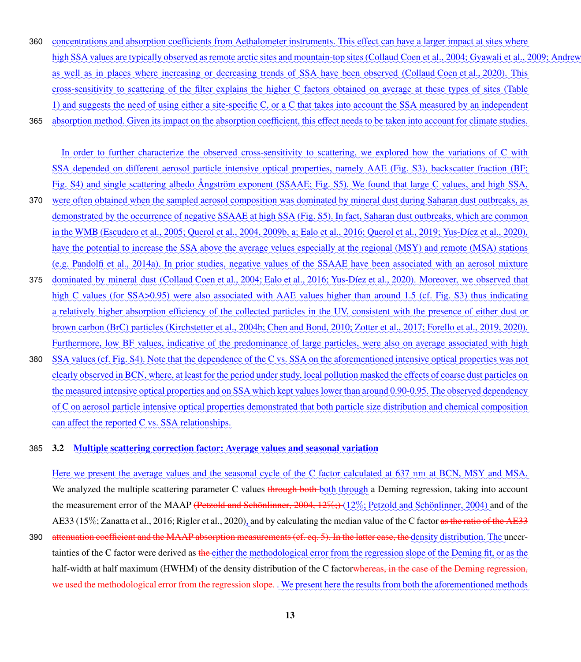- 360 concentrations and absorption coefficients from Aethalometer instruments. This effect can have a larger impact at sites where <u>high SSA values are typically observed as remote arctic sites and mountain-top sites [\(Collaud Coen et al., 2004;](#page-31-7) [Gyawali et al., 2009;](#page-33-12) Andre</u> as well as in places where increasing or decreasing trends of SSA have been observed [\(Collaud Coen et al., 2020\)](#page-31-8). This cross-sensitivity to scattering of the filter explains the higher C factors obtained on average at these types of sites (Table [1\)](#page-11-0) and suggests the need of using either a site-specific C, or a C that takes into account the SSA measured by an independent
- 365 absorption method. Given its impact on the absorption coefficient, this effect needs to be taken into account for climate studies.

In order to further characterize the observed cross-sensitivity to scattering, we explored how the variations of C with SSA depended on different aerosol particle intensive optical properties, namely AAE (Fig. S3), backscatter fraction (BF; Fig. S4) and single scattering albedo Angström exponent (SSAAE; Fig. S5). We found that large C values, and high SSA,

- 370 were often obtained when the sampled aerosol composition was dominated by mineral dust during Saharan dust outbreaks, as demonstrated by the occurrence of negative SSAAE at high SSA (Fig. S5). In fact, Saharan dust outbreaks, which are common <u>in the WMB [\(Escudero et al., 2005;](#page-32-7) [Querol et al., 2004,](#page-36-12) [2009b,](#page-36-9) [a;](#page-36-13) [Ealo et al., 2016;](#page-32-5) [Querol et al., 2019;](#page-36-11) [Yus-Díez et al., 2020\)](#page-38-11),</u> have the potential to increase the SSA above the average velues especially at the regional (MSY) and remote (MSA) stations (e.g. Pandolfi et al., 2014a). In prior studies, negative values of the SSAAE have been associated with an aerosol mixture
- 375 dominated by mineral dust [\(Collaud Coen et al., 2004;](#page-31-7) [Ealo et al., 2016;](#page-32-5) [Yus-Díez et al., 2020\)](#page-38-11). Moreover, we observed that high C values (for SSA>0.95) were also associated with AAE values higher than around 1.5 (cf. Fig. S3) thus indicating a relatively higher absorption efficiency of the collected particles in the UV, consistent with the presence of either dust or brown carbon (BrC) particles [\(Kirchstetter et al., 2004b;](#page-33-2) [Chen and Bond, 2010;](#page-31-9) [Zotter et al., 2017;](#page-39-1) [Forello et al., 2019,](#page-32-8) [2020\)](#page-32-9). Furthermore, low BF values, indicative of the predominance of large particles, were also on average associated with high
- 380 SSA values (cf. Fig. S4). Note that the dependence of the C vs. SSA on the aforementioned intensive optical properties was not <u>clearly observed in BCN, where, at least for the period under study, local pollution masked the effects of coarse dust particles on</u> the measured intensive optical properties and on SSA which kept values lower than around 0.90-0.95. The observed dependency of C on aerosol particle intensive optical properties demonstrated that both particle size distribution and chemical composition can affect the reported C vs. SSA relationships.

### <span id="page-12-0"></span>385 3.2 Multiple scattering correction factor: Average values and seasonal variation

Here we present the average values and the seasonal cycle of the C factor calculated at 637 nm at BCN, MSY and MSA. We analyzed the multiple scattering parameter C values through both both through a Deming regression, taking into account the measurement error of the MAAP <del>[\(Petzold and Schönlinner, 2004,](#page-36-2) 12%;)</del> (12%; [Petzold and Schönlinner, 2004\)](#page-36-2) and of the AE33 (15%; [Zanatta et al., 2016;](#page-38-12) [Rigler et al., 2020\)](#page-36-14), and by calculating the median value of the C factor <del>as the ratio of the AE33</del> 390 a<del>ttenuation coefficient and the MAAP absorption measurements (cf. eq. [5\)](#page-7-1). In the latter case, the density distribution. The uncer-</del> tainties of the C factor were derived as the either the methodological error from the regression slope of the Deming fit, or as the half-width at half maximum (HWHM) of the density distribution of the C factorwhereas, in the case of the Deming regression, we used the methodological error from the regression slope. . We present here the results from both the aforementioned methods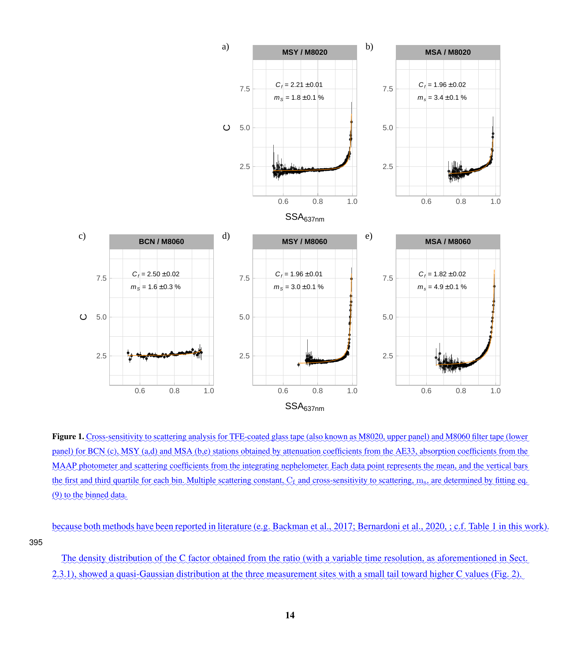<span id="page-13-0"></span>

Figure 1. Cross-sensitivity to scattering analysis for TFE-coated glass tape (also known as M8020, upper panel) and M8060 filter tape (lower panel) for BCN (c), MSY (a,d) and MSA (b,e) stations obtained by attenuation coefficients from the AE33, absorption coefficients from the MAAP photometer and scattering coefficients from the integrating nephelometer. Each data point represents the mean, and the vertical bars the first and third quartile for each bin. Multiple scattering constant,  $C_f$  and cross-sensitivity to scattering, m<sub>s</sub>, are determined by fitting eq.  $(9)$  to the binned data.

because both methods have been reported in literature (e.g. [Backman et al., 2017;](#page-30-8) [Bernardoni et al., 2020,](#page-30-9) ; c.f. Table [1](#page-11-0) in this work). 395

The density distribution of the C factor obtained from the ratio (with a variable time resolution, as aforementioned in Sect. [2.3.1\)](#page-8-0), showed a quasi-Gaussian distribution at the three measurement sites with a small tail toward higher C values (Fig. [2\)](#page-15-0).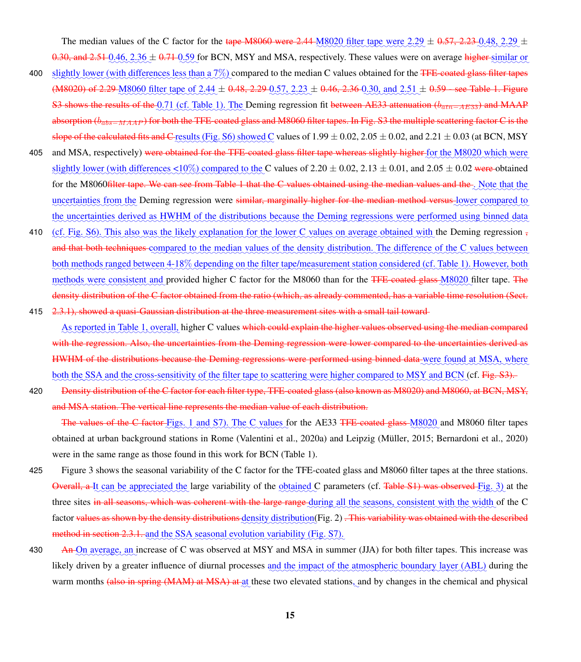The median values of the C factor for the tape M8060 were 2.44 M8020 filter tape were  $2.29 \pm 0.57$ ,  $2.23 \pm 0.48$ ,  $2.29 \pm 0.57$  $0.30$ , and  $2.51 \cdot 0.46$ ,  $2.36 \pm 0.71 \cdot 0.59$  for BCN, MSY and MSA, respectively. These values were on average higher similar or

- 400 slightly lower (with differences less than a 7%) compared to the median C values obtained for the <del>TFE-coated glass filter tapes</del>  $(0.48020)$  of 2.29  $(0.8000)$  filter tape of 2.44  $\pm$  0.48, 2.29  $(0.57, 2.23)$   $\pm$  0.46, 2.36  $(0.30, \text{ and } 2.51)$   $\pm$  0.59  $\text{-}$  see Table [1.](#page-11-0) Figure S3 shows the results of the  $0.71$  (cf. Table [1\)](#page-11-0). The Deming regression fit between AE33 attenuation ( $b_{atn-AE33}$ ) and MAAP absorption (b<sub>abs−MAAP</sub>) for both the TFE-coated glass and M8060 filter tapes. In Fig. S3 the multiple scattering factor C is the slope of the calculated fits and C results (Fig. S6) showed C values of  $1.99 \pm 0.02$ ,  $2.05 \pm 0.02$ , and  $2.21 \pm 0.03$  (at BCN, MSY
- 405 and MSA, respectively) <del>were obtained for the TFE-coated glass filter tape whereas slightly higher for the M8020 which were</del> slightly lower (with differences  $\leq 10\%$ ) compared to the C values of 2.20  $\pm$  0.02, 2.13  $\pm$  0.01, and 2.05  $\pm$  0.02 were obtained for the M8060<del>filter tape. We can see from Table [1](#page-11-0) that the C values obtained using the median values and the *Note that the*</del> uncertainties from the Deming regression were similar, marginally higher for the median method versus lower compared to the uncertainties derived as HWHM of the distributions because the Deming regressions were performed using binned data
- 410 (cf. Fig. S6). This also was the likely explanation for the lower C values on average obtained with the Deming regression , and that both techniques compared to the median values of the density distribution. The difference of the C values between both methods ranged between 4-18% depending on the filter tape/measurement station considered (cf. Table [1\)](#page-11-0). However, both methods were consistent and provided higher C factor for the M8060 than for the TFE-coated glass M8020 filter tape. The density distribution of the C factor obtained from the ratio (which, as already commented, has a variable time resolution (Sect.
- 415  $2.3.1$ ), showed a quasi-Gaussian distribution at the three measurement sites with a small tail toward-

As reported in Table [1,](#page-11-0) overall, higher C values which could explain the higher values observed using the median compared with the regression. Also, the uncertainties from the Deming regression were lower compared to the uncertainties derived as HWHM of the distributions because the Deming regressions were performed using binned data-were found at MSA, where both the SSA and the cross-sensitivity of the filter tape to scattering were higher compared to MSY and BCN (cf. Fig. S3).

420 Density distribution of the C factor for each filter type, TFE-coated glass (also known as M8020) and M8060, at BCN, MSY, and MSA station. The vertical line represents the median value of each distribution.

The values of the C factor Figs. [1](#page-13-0) and S7). The C values for the AE33 <del>TFE-coated glass M8020</del> and M8060 filter tapes obtained at urban background stations in Rome [\(Valentini et al., 2020a\)](#page-38-9) and Leipzig [\(Müller, 2015;](#page-34-9) [Bernardoni et al., 2020\)](#page-30-9) were in the same range as those found in this work for BCN (Table [1\)](#page-11-0).

- 425 Figure [3](#page-16-0) shows the seasonal variability of the C factor for the TFE-coated glass and M8060 filter tapes at the three stations. Overall, a It can be appreciated the large variability of the obtained C parameters (cf. Table S1) was observed Fig. [3\)](#page-16-0) at the three sites in all seasons, which was coherent with the large range during all the seasons, consistent with the width of the C factor <del>values as shown by the density distributions density distribution(Fig. [2\)](#page-15-0) . This variability was obtained with the described</del> method in section [2.3.1.](#page-8-0) and the SSA seasonal evolution variability (Fig. S7).
- 430 **An-On** average, an increase of C was observed at MSY and MSA in summer (JJA) for both filter tapes. This increase was likely driven by a greater influence of diurnal processes and the impact of the atmospheric boundary layer (ABL) during the warm months (also in spring (MAM) at MSA) at at these two elevated stations, and by changes in the chemical and physical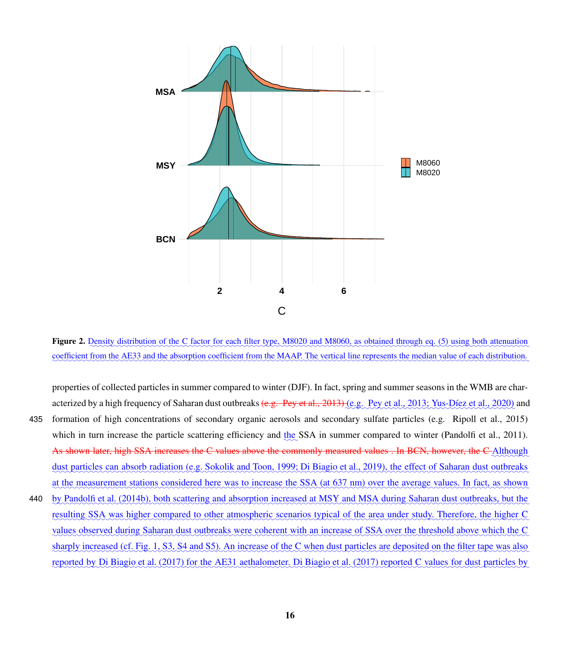<span id="page-15-0"></span>

Figure 2. Density distribution of the C factor for each filter type, M8020 and M8060, as obtained through eq. [\(5\)](#page-7-1) using both attenuation coefficient from the AE33 and the absorption coefficient from the MAAP. The vertical line represents the median value of each distribution.

properties of collected particles in summer compared to winter (DJF). In fact, spring and summer seasons in the WMB are char-acterized by a high frequency of Saharan dust outbreaks <del>(e.g. [Pey et al., 2013\)](#page-36-15)</del> (e.g. [Pey et al., 2013;](#page-36-15) [Yus-Díez et al., 2020\)](#page-38-11) and 435 formation of high concentrations of secondary organic aerosols and secondary sulfate particles (e.g. [Ripoll et al., 2015\)](#page-37-11) which in turn increase the particle scattering efficiency and  $\underline{the}$  SSA in summer compared to winter [\(Pandolfi et al., 2011\)](#page-35-7). As shown later, high SSA increases the C values above the commonly measured values . In BCN, however, the C Although dust particles can absorb radiation (e.g. [Sokolik and Toon, 1999;](#page-37-12) [Di Biagio et al., 2019\)](#page-32-10), the effect of Saharan dust outbreaks at the measurement stations considered here was to increase the SSA (at 637 nm) over the average values. In fact, as shown 440 by [Pandolfi et al.](#page-35-10) [\(2014b\)](#page-35-10), both scattering and absorption increased at MSY and MSA during Saharan dust outbreaks, but the resulting SSA was higher compared to other atmospheric scenarios typical of the area under study. Therefore, the higher C values observed during Saharan dust outbreaks were coherent with an increase of SSA over the threshold above which the C sharply increased (cf. Fig. [1,](#page-13-0) S3, S4 and S5). An increase of the C when dust particles are deposited on the filter tape was also reported by [Di Biagio et al.](#page-32-11) [\(2017\)](#page-32-11) for the AE31 aethalometer. Di Biagio et al. (2017) reported C values for dust particles by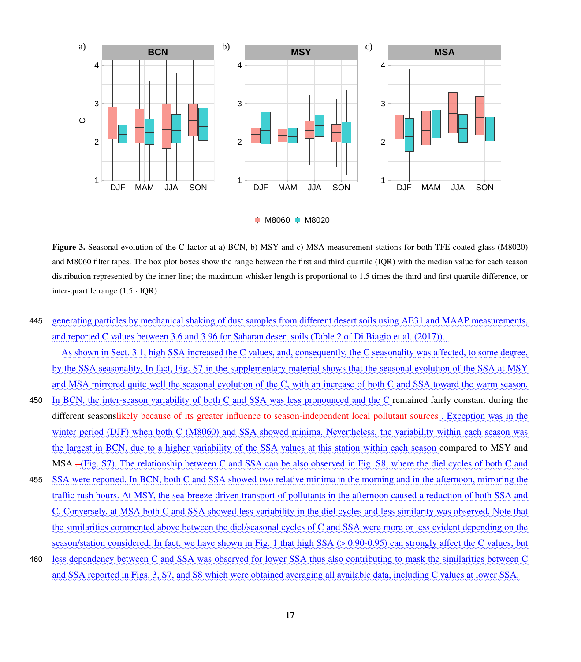<span id="page-16-0"></span>

 $\Rightarrow$  M8060  $\Rightarrow$  M8020

Figure 3. Seasonal evolution of the C factor at a) BCN, b) MSY and c) MSA measurement stations for both TFE-coated glass (M8020) and M8060 filter tapes. The box plot boxes show the range between the first and third quartile (IQR) with the median value for each season distribution represented by the inner line; the maximum whisker length is proportional to 1.5 times the third and first quartile difference, or inter-quartile range  $(1.5 \cdot IOR)$ .

445 generating particles by mechanical shaking of dust samples from different desert soils using AE31 and MAAP measurements, and reported C values between 3.6 and 3.96 for Saharan desert soils (Table 2 of [Di Biagio et al.](#page-32-11) [\(2017\)](#page-32-11)).

As shown in Sect. [3.1,](#page-10-0) high SSA increased the C values, and, consequently, the C seasonality was affected, to some degree, by the SSA seasonality. In fact, Fig. S7 in the supplementary material shows that the seasonal evolution of the SSA at MSY and MSA mirrored quite well the seasonal evolution of the C, with an increase of both C and SSA toward the warm season.

- 450 In BCN, the inter-season variability of both C and SSA was less pronounced and the C remained fairly constant during the different seasonslikely because of its greater influence to season-independent local pollutant sources. Exception was in the winter period (DJF) when both C (M8060) and SSA showed minima. Nevertheless, the variability within each season was the largest in BCN, due to a higher variability of the SSA values at this station within each season compared to MSY and MSA <del>.</del> (Fig. S7). The relationship between C and SSA can be also observed in Fig. S8, where the diel cycles of both C and
- 455 SSA were reported. In BCN, both C and SSA showed two relative minima in the morning and in the afternoon, mirroring the traffic rush hours. At MSY, the sea-breeze-driven transport of pollutants in the afternoon caused a reduction of both SSA and C. Conversely, at MSA both C and SSA showed less variability in the diel cycles and less similarity was observed. Note that the similarities commented above between the diel/seasonal cycles of C and SSA were more or less evident depending on the season/station considered. In fact, we have shown in Fig. [1](#page-13-0) that high SSA (> 0.90-0.95) can strongly affect the C values, but
- 460 less dependency between C and SSA was observed for lower SSA thus also contributing to mask the similarities between C and SSA reported in Figs. [3,](#page-16-0) S7, and S8 which were obtained averaging all available data, including C values at lower SSA.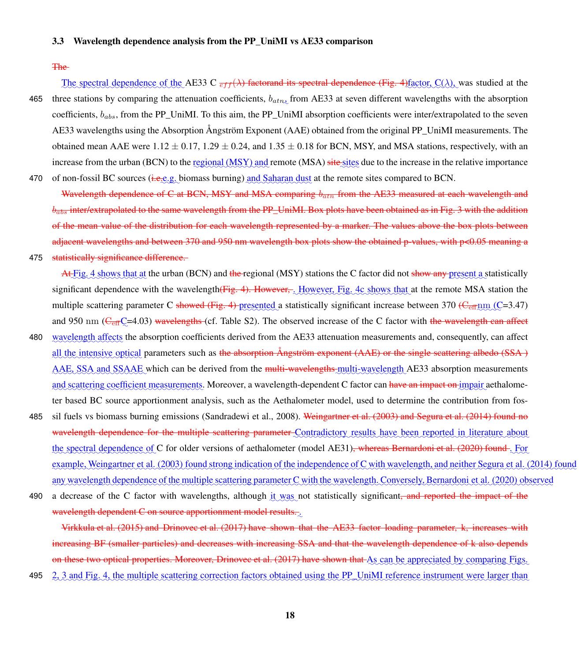### <span id="page-17-0"></span>3.3 Wavelength dependence analysis from the PP\_UniMI vs AE33 comparison

### The

The spectral dependence of the AE33 C  $_{eff}(\lambda)$  factorand its spectral dependence (Fig. [4\)](#page-18-0) factor, C( $\lambda$ ), was studied at the 465 three stations by comparing the attenuation coefficients,  $b_{atn_x}$  from AE33 at seven different wavelengths with the absorption coefficients,  $b_{abs}$ , from the PP\_UniMI. To this aim, the PP\_UniMI absorption coefficients were inter/extrapolated to the seven AE33 wavelengths using the Absorption Angström Exponent (AAE) obtained from the original PP\_UniMI measurements. The obtained mean AAE were  $1.12 \pm 0.17$ ,  $1.29 \pm 0.24$ , and  $1.35 \pm 0.18$  for BCN, MSY, and MSA stations, respectively, with an increase from the urban (BCN) to the regional (MSY) and remote (MSA) site sites due to the increase in the relative importance 470 of non-fossil BC sources (i.e.e.g. biomass burning) and Saharan dust at the remote sites compared to BCN.

Wavelength dependence of C at BCN, MSY and MSA comparing  $b_{atn}$  from the AE33 measured at each wavelength and  $b_{abs}$  inter/extrapolated to the same wavelength from the PP\_UniMI. Box plots have been obtained as in Fig. [3](#page-16-0) with the addition of the mean value of the distribution for each wavelength represented by a marker. The values above the box plots between adjacent wavelengths and between 370 and 950 nm wavelength box plots show the obtained p-values, with p<0.05 meaning a

475 statistically significance difference.

At Fig. [4](#page-18-0) shows that at the urban (BCN) and the regional (MSY) stations the C factor did not <del>show any present</del> a statistically significant dependence with the wavelength(Fig. [4\)](#page-18-0). However, Alowever, Fig. [4c](#page-18-0) shows that at the remote MSA station the multiple scattering parameter C showed (Fig. [4\)](#page-18-0) presented a statistically significant increase between 370 (C<sub>eff</sub> nm (C=3.47) and 950 nm ( $C_{\text{eff}}C$ =4.03) wavelengths (cf. Table S2). The observed increase of the C factor with the wavelength can affect

- 480 wavelength affects the absorption coefficients derived from the AE33 attenuation measurements and, consequently, can affect all the intensive optical parameters such as <del>the absorption Angström exponent (AAE) or the single scattering albedo (SSA)</del> AAE, SSA and SSAAE which can be derived from the multi-wavelengths-multi-wavelength AE33 absorption measurements and scattering coefficient measurements. Moreover, a wavelength-dependent C factor can have an impact on impair aethalometer based BC source apportionment analysis, such as the Aethalometer model, used to determine the contribution from fos-
- 485 sil fuels vs biomass burning emissions [\(Sandradewi et al., 2008\)](#page-37-13). [Weingartner et al.](#page-38-5) [\(2003\)](#page-38-5) and [Segura et al.](#page-37-3) [\(2014\)](#page-37-3) found no wavelength dependence for the multiple scattering parameter Contradictory results have been reported in literature about the spectral dependence of C for older versions of aethalometer (model AE31)<del>, whereas [Bernardoni et al.](#page-30-9) [\(2020\)](#page-30-9) found</del>. For example, [Weingartner et al.](#page-38-5) [\(2003\)](#page-38-5) found strong indication of the independence of C with wavelength, and neither [Segura et al.](#page-37-3) [\(2014\)](#page-37-3) foun any wavelength dependence of the multiple scattering parameter C with the wavelength. Conversely, [Bernardoni et al.](#page-30-9) [\(2020\)](#page-30-9) observed
- 490 a decrease of the C factor with wavelengths, although it was not statistically significant<del>, and reported the impact of the</del> wavelength dependent C on source apportionment model results. $\frac{1}{\sqrt{2}}$

[Virkkula et al.](#page-38-7) [\(2015\)](#page-38-7) and [Drinovec et al.](#page-32-2) [\(2017\)](#page-32-2) have shown that the AE33 factor loading parameter, k, increases with increasing BF (smaller particles) and decreases with increasing SSA and that the wavelength dependence of k also depends on these two optical properties. Moreover, [Drinovec et al.](#page-32-2) [\(2017\)](#page-32-2) have shown that As can be appreciated by comparing Figs.

495 [2,](#page-15-0) [3](#page-16-0) and Fig. [4,](#page-18-0) the multiple scattering correction factors obtained using the PP\_UniMI reference instrument were larger than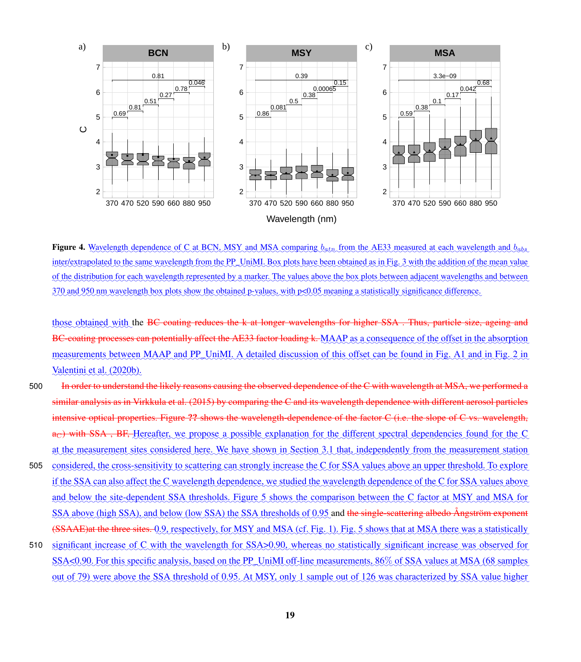<span id="page-18-0"></span>

Figure 4. Wavelength dependence of C at BCN, MSY and MSA comparing  $b_{atn}$  from the AE33 measured at each wavelength and  $b_{ab}s$ inter/extrapolated to the same wavelength from the PP\_UniMI. Box plots have been obtained as in Fig. [3](#page-16-0) with the addition of the mean value of the distribution for each wavelength represented by a marker. The values above the box plots between adjacent wavelengths and between  $\frac{370}{20}$  and  $\frac{950}{20}$  mm wavelength box plots show the obtained p-values, with p<0.05 meaning a statistically significance difference.

those obtained with the BC coating reduces the k at longer wavelengths for higher SSA. Thus, particle size, ageing and BC-coating processes can potentially affect the AE33 factor loading k. MAAP as a consequence of the offset in the absorption measurements between MAAP and PP\_UniMI. A detailed discussion of this offset can be found in Fig. A1 and in Fig. 2 in [Valentini et al.](#page-38-10) [\(2020b\)](#page-38-10).

- 500 In order to understand the likely reasons causing the observed dependence of the C with wavelength at MSA, we performed a similar analysis as in [Virkkula et al.](#page-38-7) [\(2015\)](#page-38-7) by comparing the C and its wavelength dependence with different aerosol particles intensive optical properties. Figure ?? shows the wavelength-dependence of the factor C (i.e. the slope of C vs. wavelength, a<sub>C</sub>) with SSA, BF, Hereafter, we propose a possible explanation for the different spectral dependencies found for the C at the measurement sites considered here. We have shown in Section [3.1](#page-10-0) that, independently from the measurement station
- 505 considered, the cross-sensitivity to scattering can strongly increase the C for SSA values above an upper threshold. To explore if the SSA can also affect the C wavelength dependence, we studied the wavelength dependence of the C for SSA values above and below the site-dependent SSA thresholds. Figure [5](#page-19-0) shows the comparison between the C factor at MSY and MSA for SSA above (high SSA), and below (low SSA) the SSA thresholds of 0.95 and the single-scattering albedo Ångström exponent (SSAAE)at the three sites. Q.Q, respectively, for MSY and MSA (cf. Fig. [1\)](#page-13-0). Fig. [5](#page-19-0) shows that at MSA there was a statistically
- 510 significant increase of C with the wavelength for SSA>0.90, whereas no statistically significant increase was observed for SSA<0.90. For this specific analysis, based on the PP\_UniMI off-line measurements, 86% of SSA values at MSA (68 samples out of 79) were above the SSA threshold of 0.95. At MSY, only 1 sample out of 126 was characterized by SSA value higher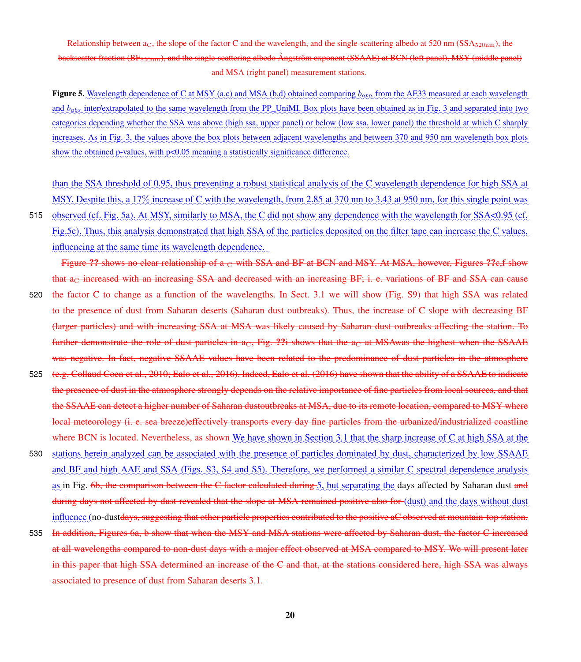### <span id="page-19-0"></span>Relationship between  $a_C$ , the slope of the factor C and the wavelength, and the single-scattering albedo at 520 nm (SSA $_{520nm}$ ), the backscatter fraction (BF520nm), and the single-scattering albedo Ångström exponent (SSAAE) at BCN (left panel), MSY (middle panel) and MSA (right panel) measurement stations.

**Figure 5.** Wavelength dependence of C at MSY (a,c) and MSA (b,d) obtained comparing  $b_{atn}$  from the AE33 measured at each wavelength and b<sub>abs</sub> inter/extrapolated to the same wavelength from the PP\_UniMI. Box plots have been obtained as in Fig. [3](#page-16-0) and separated into two categories depending whether the SSA was above (high ssa, upper panel) or below (low ssa, lower panel) the threshold at which C sharply increases. As in Fig. [3,](#page-16-0) the values above the box plots between adjacent wavelengths and between 370 and 950 nm wavelength box plots show the obtained p-values, with p<0.05 meaning a statistically significance difference.

than the SSA threshold of 0.95, thus preventing a robust statistical analysis of the C wavelength dependence for high SSA at <u>MSY. Despite this, a 17% increase of C with the wavelength, from 2.85 at 370 nm to 3.43 at 950 nm, for this single point was</u>

515 observed (cf. Fig. [5a](#page-19-0)). At MSY, similarly to MSA, the C did not show any dependence with the wavelength for SSA<0.95 (cf. Fig[.5c](#page-19-0)). Thus, this analysis demonstrated that high SSA of the particles deposited on the filter tape can increase the C values, influencing at the same time its wavelength dependence.

Figure ?? shows no clear relationship of a c with SSA and BF at BCN and MSY. At MSA, however, Figures ?? c, f show that  $a<sub>C</sub>$  increased with an increasing SSA and decreased with an increasing BF; i. e. variations of BF and SSA can cause

- 520 the factor C to change as a function of the wavelengths. In Sect. [3.1](#page-10-0) we will show (Fig. S9) that high SSA was related to the presence of dust from Saharan deserts (Saharan dust outbreaks). Thus, the increase of C slope with decreasing BF (larger particles) and with increasing SSA at MSA was likely caused by Saharan dust outbreaks affecting the station. To further demonstrate the role of dust particles in  $a<sub>C</sub>$ , Fig. ??i shows that the  $a<sub>C</sub>$  at MSAwas the highest when the SSAAE was negative. In fact, negative SSAAE values have been related to the predominance of dust particles in the atmosphere
- 525 (e.g. [Collaud Coen et al., 2010;](#page-31-2) [Ealo et al., 2016\)](#page-32-5). Indeed, [Ealo et al.](#page-32-5) [\(2016\)](#page-32-5) have shown that the ability of a SSAAE to indicate the presence of dust in the atmosphere strongly depends on the relative importance of fine particles from local sources, and that the SSAAE can detect a higher number of Saharan dustoutbreaks at MSA, due to its remote location, compared to MSY where local meteorology (i. e. sea breeze)effectively transports every day fine particles from the urbanized/industrialized coastline where BCN is located. Nevertheless, as shown We have shown in Section [3.1](#page-10-0) that the sharp increase of C at high SSA at the
- 530 stations herein analyzed can be associated with the presence of particles dominated by dust, characterized by low SSAAE and BF and high AAE and SSA (Figs. S3, S4 and S5). Therefore, we performed a similar C spectral dependence analysis as in Fig. <del>[6b](#page-20-0), the comparison between the C factor calculated during [5,](#page-19-0) but separating the</del> days affected by Saharan dust <del>and</del> during days not affected by dust revealed that the slope at MSA remained positive also for (dust) and the days without dust influence (no-dust<del>days, suggesting that other particle properties contributed to the positive aC observed at mountain-top station.</del>
- 535 In addition, Figures [6a](#page-20-0), b show that when the MSY and MSA stations were affected by Saharan dust, the factor C increased at all wavelengths compared to non-dust days with a major effect observed at MSA compared to MSY. We will present later in this paper that high SSA determined an increase of the C and that, at the stations considered here, high SSA was always associated to presence of dust from Saharan deserts [3.1.](#page-10-0)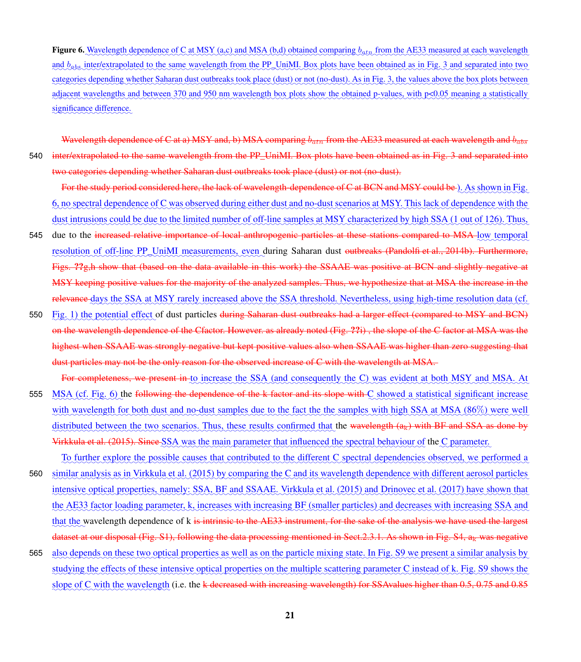<span id="page-20-0"></span>**Figure 6.** Wavelength dependence of C at MSY (a,c) and MSA (b,d) obtained comparing  $b_{a t n}$  from the AE33 measured at each wavelength and b<sub>abs</sub> interlextrapolated to the same wavelength from the PP\_UniMI. Box plots have been obtained as in Fig. [3](#page-16-0) and separated into two categories depending whether Saharan dust outbreaks took place (dust) or not (no-dust). As in Fig. [3,](#page-16-0) the values above the box plots between adjacent wavelengths and between 370 and 950 nm wavelength box plots show the obtained p-values, with p<0.05 meaning a statistically significance difference.

Wavelength dependence of C at a) MSY and, b) MSA comparing  $b_{\sigma}$  from the AE33 measured at each wavelength and  $b_{\sigma}$ 540 inter/extrapolated to the same wavelength from the PP\_UniMI. Box plots have been obtained as in Fig. [3](#page-16-0) and separated into two categories depending whether Saharan dust outbreaks took place (dust) or not (no-dust).

For the study period considered here, the lack of wavelength-dependence of C at BCN and MSY could be ). As shown in Fig. [6,](#page-20-0) no spectral dependence of C was observed during either dust and no-dust scenarios at MSY. This lack of dependence with the dust intrusions could be due to the limited number of off-line samples at MSY characterized by high SSA (1 out of 126). Thus,

- 545 due to the <del>increased relative importance of local anthropogenic particles at these stations compared to MSA-low temporal</del> resolution of off-line PP\_UniMI measurements, even during Saharan dust outbreaks [\(Pandolfi et al., 2014b\)](#page-35-10). Furthermore, Figs. ??g,h show that (based on the data available in this work) the SSAAE was positive at BCN and slightly negative at MSY keeping positive values for the majority of the analyzed samples. Thus, we hypothesize that at MSA the increase in the relevance days the SSA at MSY rarely increased above the SSA threshold. Nevertheless, using high-time resolution data (cf.
- 550 Fig. [1\)](#page-13-0) the potential effect of dust particles during Saharan dust outbreaks had a larger effect (compared to MSY and BCN) on the wavelength dependence of the Cfactor. However. as already noted (Fig. ??i) , the slope of the C factor at MSA was the highest when SSAAE was strongly negative but kept positive values also when SSAAE was higher than zero suggesting that dust particles may not be the only reason for the observed increase of C with the wavelength at MSA.
- For completeness, we present in to increase the SSA (and consequently the C) was evident at both MSY and MSA. At 555 MSA (cf. Fig. [6\)](#page-20-0) the following the dependence of the k factor and its slope with C showed a statistical significant increase with wavelength for both dust and no-dust samples due to the fact the the samples with high SSA at MSA (86%) were well distributed between the two scenarios. Thus, these results confirmed that the wavelength  $(a_k)$  with BF and SSA as done by [Virkkula et al.](#page-38-7) [\(2015\)](#page-38-7). Since SSA was the main parameter that influenced the spectral behaviour of the C parameter.

To further explore the possible causes that contributed to the different C spectral dependencies observed, we performed a 560 similar analysis as in [Virkkula et al.](#page-38-7) [\(2015\)](#page-38-7) by comparing the C and its wavelength dependence with different aerosol particles

- intensive optical properties, namely: SSA, BF and SSAAE. [Virkkula et al.](#page-38-7) [\(2015\)](#page-38-7) and [Drinovec et al.](#page-32-2) [\(2017\)](#page-32-2) have shown that the AE33 factor loading parameter, k, increases with increasing BF (smaller particles) and decreases with increasing SSA and that the wavelength dependence of k is intrinsic to the AE33 instrument, for the sake of the analysis we have used the largest dataset at our disposal (Fig. S1), following the data processing mentioned in Sect.  $2.3.1$ . As shown in Fig.  $S4$ ,  $a_k$  was negative
- 565 also depends on these two optical properties as well as on the particle mixing state. In Fig. S9 we present a similar analysis by studying the effects of these intensive optical properties on the multiple scattering parameter C instead of k. Fig. S9 shows the slope of C with the wavelength (i.e. the <del>k decreased with increasing wavelength) for SSAvalues higher than 0.5, 0.75 and 0.85</del>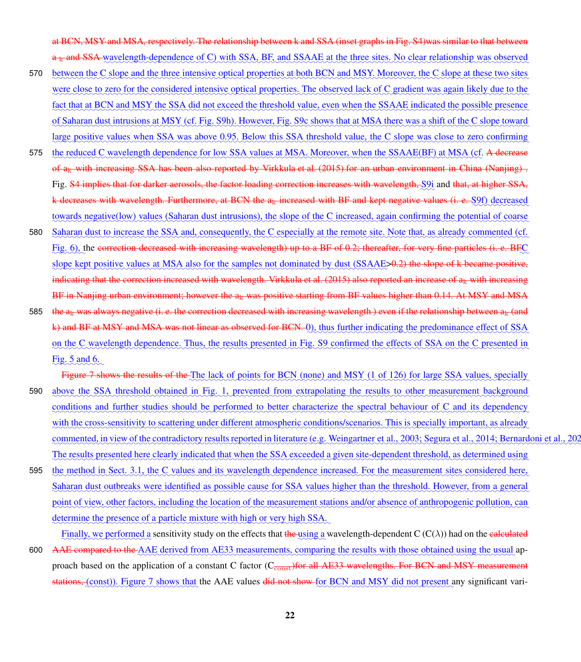at BCN, MSY and MSA, respectively. The relationship between k and SSA (inset graphs in Fig. S4)was similar to that between  $a_k$  and SSA wavelength-dependence of C) with SSA, BF, and SSAAE at the three sites. No clear relationship was observed

- 570 between the C slope and the three intensive optical properties at both BCN and MSY. Moreover, the C slope at these two sites were close to zero for the considered intensive optical properties. The observed lack of C gradient was again likely due to the fact that at BCN and MSY the SSA did not exceed the threshold value, even when the SSAAE indicated the possible presence of Saharan dust intrusions at MSY (cf. Fig. S9h). However, Fig. S9c shows that at MSA there was a shift of the C slope toward large positive values when SSA was above 0.95. Below this SSA threshold value, the C slope was close to zero confirming
- 575 (the reduced C wavelength dependence for low SSA values at MSA. Moreover, when the SSAAE(BF) at MSA (cf. A decrease of a<sub>k</sub> with increasing SSA has been also reported by [Virkkula et al.](#page-38-7) [\(2015\)](#page-38-7) for an urban environment in China (Nanjing). Fig. <mark>S4 implies that for darker aerosols, the factor loading correction increases with wavelength, QQi</mark> and <del>that, at higher SSA</del>, k decreases with wavelength. Furthermore, at BCN the  $a_k$  increased with BF and kept negative values (i. e.  $\S9f)$  decreased towards negative(low) values (Saharan dust intrusions), the slope of the C increased, again confirming the potential of coarse
- 580 Saharan dust to increase the SSA and, consequently, the C especially at the remote site. Note that, as already commented (cf. Fig. [6\)](#page-20-0), the correction decreased with increasing wavelength) up to a BF of 0.2; thereafter, for very fine particles (i. e. BFC slope kept positive values at MSA also for the samples not dominated by dust (SSAAE>0.2) the slope of k became positive, indicating that the correction increased with wavelength. [Virkkula et al.](#page-38-7)  $(2015)$  also reported an increase of  $a_k$  with increasing BF in Nanjing urban environment; however the  $a_k$  was positive starting from BF values higher than 0.14. At MSY and MSA
- 585 the  $a_k$  was always negative (i. e. the correction decreased with increasing wavelength) even if the relationship between  $a_k$  (and k) and BF at MSY and MSA was not linear as observed for BCN. Q, thus further indicating the predominance effect of SSA on the C wavelength dependence. Thus, the results presented in Fig. S9 confirmed the effects of SSA on the C presented in Fig. [5](#page-19-0) and [6.](#page-20-0)

Figure [7](#page-22-0) shows the results of the The lack of points for BCN (none) and MSY (1 of 126) for large SSA values, specially

- 590 above the SSA threshold obtained in Fig. [1,](#page-13-0) prevented from extrapolating the results to other measurement background conditions and further studies should be performed to better characterize the spectral behaviour of C and its dependency with the cross-sensitivity to scattering under different atmospheric conditions/scenarios. This is specially important, as already commented, in view of the contradictory results reported in literature (e.g. [Weingartner et al., 2003;](#page-38-5) [Segura et al., 2014;](#page-37-3) Bernardoni et al., 2 The results presented here clearly indicated that when the SSA exceeded a given site-dependent threshold, as determined using
- 595 the method in Sect. [3.1,](#page-10-0) the C values and its wavelength dependence increased. For the measurement sites considered here, Saharan dust outbreaks were identified as possible cause for SSA values higher than the threshold. However, from a general point of view, other factors, including the location of the measurement stations and/or absence of anthropogenic pollution, can determine the presence of a particle mixture with high or very high SSA.

Finally, we performed a sensitivity study on the effects that the using a wavelength-dependent C (C( $\lambda$ )) had on the calculated 600 AAE compared to the AAE derived from AE33 measurements, comparing the results with those obtained using the usual approach based on the application of a constant C factor ( $C_{\overline{const}}$ )for all AE33 wavelengths. For BCN and MSY measurement stations, (const)). Figure [7](#page-22-0) shows that the AAE values did not show for BCN and MSY did not present any significant vari-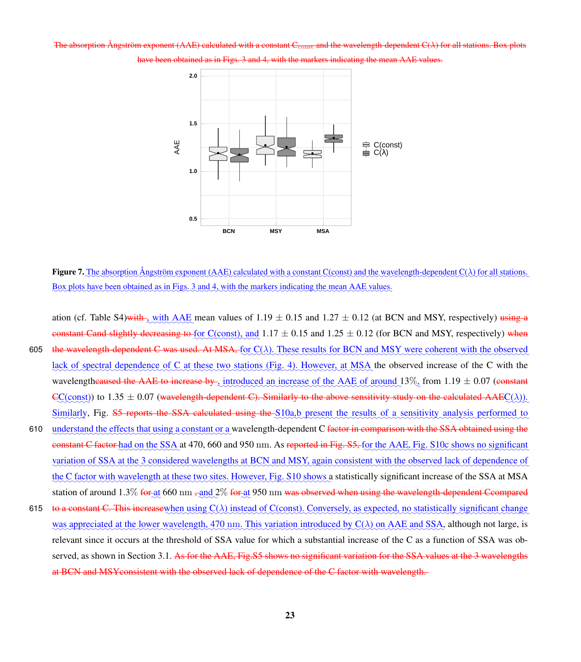#### <span id="page-22-0"></span>The absorption Ångström exponent (AAE) calculated with a constant  $C_{\text{const}}$  and the wavelength-dependent  $C(\lambda)$  for all stations. Boy



[3](#page-16-0) and [4,](#page-18-0) with the markers indicating the mean AAE values.

**Figure 7.** The absorption Angström exponent (AAE) calculated with a constant  $C$ (const) and the wavelength-dependent  $C(\lambda)$  for all stations. Box plots have been obtained as in Figs. [3](#page-16-0) and [4,](#page-18-0) with the markers indicating the mean AAE values.

- ation (cf. Table S4) with  $\angle$  with  $\angle$  AAE mean values of 1.19  $\pm$  0.15 and 1.27  $\pm$  0.12 (at BCN and MSY, respectively) using a constant Cand slightly decreasing to for C(const), and  $1.17 \pm 0.15$  and  $1.25 \pm 0.12$  (for BCN and MSY, respectively) when 605 the wavelength-dependent C was used. At MSA,  $f_{\text{OC}}(\lambda)$ . These results for BCN and MSY were coherent with the observed lack of spectral dependence of C at these two stations (Fig. [4\)](#page-18-0). However, at MSA the observed increase of the C with the wavelengthcaused the AAE to increase by , introduced an increase of the AAE of around  $13\%$ , from  $1.19 \pm 0.07$  (constant  $\text{C}\text{C}(\text{const})$ ) to 1.35  $\pm$  0.07 (wavelength-dependent C). Similarly to the above sensitivity study on the calculated AAE $\text{C}(\lambda)$ ). Similarly, Fig. S5 reports the SSA calculated using the S10a,b present the results of a sensitivity analysis performed to 610 understand the effects that using a constant or a wavelength-dependent C factor in comparison with the SSA obtained using the constant C factor had on the SSA at 470, 660 and 950 nm. As reported in Fig. S5, for the AAE, Fig. S10c shows no significant variation of SSA at the 3 considered wavelengths at BCN and MSY, again consistent with the observed lack of dependence of the C factor with wavelength at these two sites. However, Fig. S10 shows a statistically significant increase of the SSA at MSA station of around 1.3% <del>for a</del>t 660 nm <del>, and</del> 2% <del>for a</del>t 950 nm <del>was observed when using the wavelength-dependent Ccompared</del>
- 615 to a constant C. This increasewhen using  $C(\lambda)$  instead of  $C(\text{const})$ . Conversely, as expected, no statistically significant change was appreciated at the lower wavelength,  $470$  nm. This variation introduced by  $C(\lambda)$  on AAE and SSA, although not large, is relevant since it occurs at the threshold of SSA value for which a substantial increase of the C as a function of SSA was ob-served, as shown in Section [3.1.](#page-10-0) As for the AAE, Fig.S5 shows no significant variation for the SSA values at the 3 wavelengths at BCN and MSYconsistent with the observed lack of dependence of the C factor with wavelength.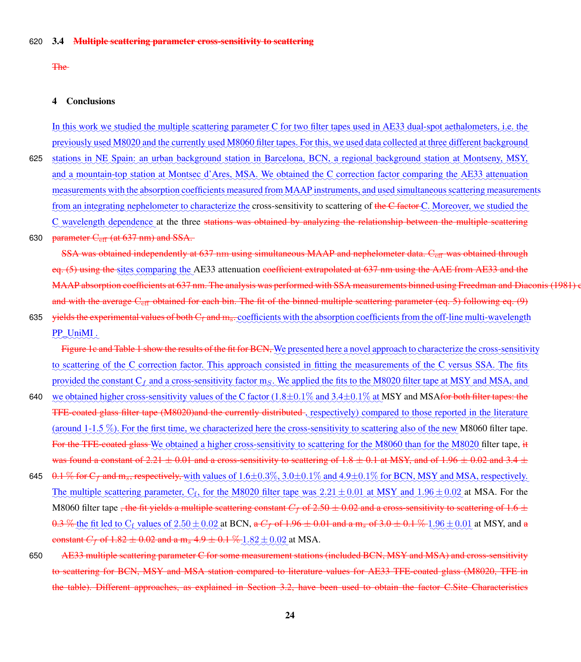The

### 4 Conclusions

In this work we studied the multiple scattering parameter C for two filter tapes used in AE33 dual-spot aethalometers, i.e. the previously used M8020 and the currently used M8060 filter tapes. For this, we used data collected at three different background

625 stations in NE Spain: an urban background station in Barcelona, BCN, a regional background station at Montseny, MSY, and a mountain-top station at Montsec d'Ares, MSA. We obtained the C correction factor comparing the AE33 attenuation measurements with the absorption coefficients measured from MAAP instruments, and used simultaneous scattering measurements from an integrating nephelometer to characterize the cross-sensitivity to scattering of the C factor C. Moreover, we studied the C wavelength dependence at the three stations was obtained by analyzing the relationship between the multiple scattering

### 630 parameter  $C_{\text{eff}}$  (at 637 nm) and SSA.

SSA was obtained independently at 637 nm using simultaneous MAAP and nephelometer data. C<sub>eft</sub> was obtained through eq. [\(5\)](#page-7-1) using the sites comparing the AE33 attenuation <del>coefficient extrapolated at 637 nm using the AAE from AE33 and the</del> MAAP absorption coefficients at 637 nm. The analysis was performed with SSA measurements binned using [Freedman and Diaconis](#page-33-11) [\(1981\)](#page-33-11) and with the average  $C_{\text{eff}}$  obtained for each bin. The fit of the binned multiple scattering parameter (eq. [5\)](#page-7-1) following eq. [\(9\)](#page-9-2)

635 <del>yields the experimental values of both C<sub>f</sub> and m<sub>s</sub>. coefficients with the absorption coefficients from the off-line multi-wavelength</del> PP\_UniMI.

Figure [1c](#page-13-0) and Table [1](#page-11-0) show the results of the fit for BCN, We presented here a novel approach to characterize the cross-sensitivity to scattering of the C correction factor. This approach consisted in fitting the measurements of the C versus SSA. The fits provided the constant C<sub>L</sub> and a cross-sensitivity factor m<sub>S</sub>. We applied the fits to the M8020 filter tape at MSY and MSA, and

- 640 we obtained higher cross-sensitivity values of the C factor  $(1.8 \pm 0.1\%$  and  $3.4 \pm 0.1\%$  at MSY and MSA<del>for both filter tapes: the</del> TFE-coated glass filter tape (M8020)and the currently distributed-, respectively) compared to those reported in the literature (around 1-1.5 %). For the first time, we characterized here the cross-sensitivity to scattering also of the new M8060 filter tape. For the TFE-coated glass We obtained a higher cross-sensitivity to scattering for the M8060 than for the M8020 filter tape, it was found a constant of 2.21  $\pm$  0.01 and a cross-sensitivity to scattering of 1.8  $\pm$  0.1 at MSY, and of 1.96  $\pm$  0.02 and 3.4  $\pm$
- 645  $\theta$ .1 % for  $C_f$  and  $m_s$ , respectively, with values of  $1.6\pm0.3\%$ ,  $3.0\pm0.1\%$  and  $4.9\pm0.1\%$  for BCN, MSY and MSA, respectively. The multiple scattering parameter,  $C_f$ , for the M8020 filter tape was  $2.21 \pm 0.01$  at MSY and  $1.96 \pm 0.02$  at MSA. For the M8060 filter tape , the fit yields a multiple scattering constant  $C_f$  of 2.50  $\pm$  0.02 and a cross-sensitivity to scattering of 1.6  $\pm$  $0.3\%$  the fit led to  $C_f$  values of  $2.50\pm0.02$  at BCN, a  $C_f$  of 1.96  $\pm$  0.01 and a m<sub>s</sub> of 3.0  $\pm$  0.1 %  $1.96\pm0.01$  at MSY, and a constant  $C_f$  of  $1.82 \pm 0.02$  and a m<sub>s</sub>  $4.9 \pm 0.1\%$   $1.82 \pm 0.02$  at MSA.
- 650 AE33 multiple scattering parameter C for some measurement stations (included BCN, MSY and MSA) and cross-sensitivity to scattering for BCN, MSY and MSA station compared to literature values for AE33 TFE-coated glass (M8020, TFE in the table). Different approaches, as explained in Section [3.2,](#page-12-0) have been used to obtain the factor C.Site Characteristics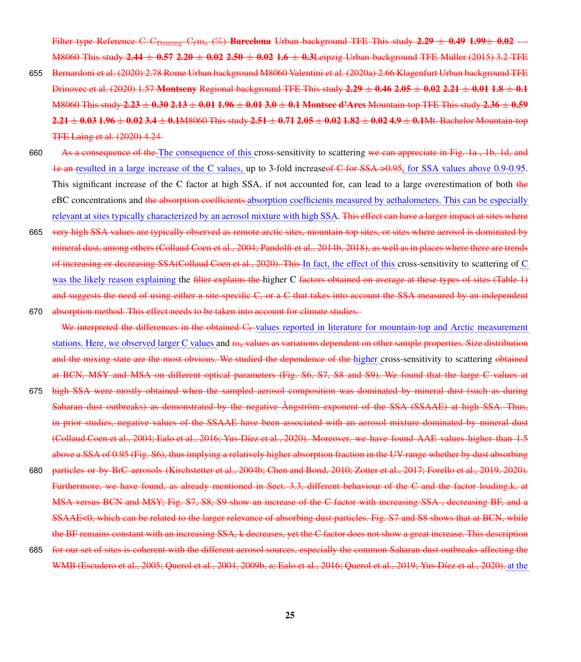Filter type Reference C  $C_{\text{Demine}} C_f m_s$  (%) Barcelona Urban background TFE This study 2.29  $\pm$  0.49 1.99 $\pm$  0.02 -M8060 This study 2.44  $\pm$  0.57 2.20  $\pm$  0.02 2.50  $\pm$  0.02 1.6  $\pm$  0.3Leipzig Urban background TFE [Müller](#page-34-9) [\(2015\)](#page-34-9) 3.2 TFE

- 655 [Bernardoni et al.](#page-30-9) [\(2020\)](#page-30-9) 2.78 Rome Urban background M8060 [Valentini et al.](#page-38-9) [\(2020a\)](#page-38-9) 2.66 Klagenfurt Urban background TFE [Drinovec et al.](#page-32-3) [\(2020\)](#page-32-3) 1.57 Montseny Regional background TFE This study  $2.29 \pm 0.46$   $2.05 \pm 0.02$   $2.21 \pm 0.01$   $1.8 \pm 0.1$ M8060 This study 2.23  $\pm$  0.30 2.13  $\pm$  0.01 1.96  $\pm$  0.01 3.0  $\pm$  0.1 Montsec d'Ares Mountain-top TFE This study 2.36  $\pm$  0.59  $2.21 \pm 0.03$  1.96  $\pm$  0.02 3.4  $\pm$  0.1M8060 This study 2.51  $\pm$  0.71 2.05  $\pm$  0.02 1.82  $\pm$  0.02 4.9  $\pm$  0.1Mt. Bachelor Mountain-top TFE [Laing et al.](#page-33-7) [\(2020\)](#page-33-7) 4.24
- 660 As a consequence of the The consequence of this cross-sensitivity to scattering we can appreciate in Fig. [1a](#page-13-0), [1b](#page-13-0), [1d](#page-13-0), and [1e](#page-13-0) an resulted in a large increase of the C values, up to 3-fold increase<del>of C for SSA >0.95</del>, for SSA values above 0.9-0.95. This significant increase of the C factor at high SSA, if not accounted for, can lead to a large overestimation of both the eBC concentrations and <del>the absorption coefficients</del> absorption coefficients measured by aethalometers. This can be especially relevant at sites typically characterized by an aerosol mixture with high SSA. This effect can have a larger impact at sites where
- 665 very high SSA values are typically observed as remote arctic sites, mountain-top sites, or sites where aerosol is dominated by mineral dust, among others [\(Collaud Coen et al., 2004;](#page-31-7) [Pandolfi et al., 2014b,](#page-35-10) [2018\)](#page-35-12), as well as in places where there are trends of increasing or decreasing SSA[\(Collaud Coen et al., 2020\)](#page-31-8). This In fact, the effect of this cross-sensitivity to scattering of  $\mathbb{C}$ was the likely reason explaining the <del>filter explains the </del>higher C <del>factors obtained on average at these types of sites (Table 1</del>) and suggests the need of using either a site-specific C, or a C that takes into account the SSA measured by an independent 670 absorption method. This effect needs to be taken into account for climate studies.

We interpreted the differences in the obtained  $C_f$  values reported in literature for mountain-top and Arctic measurement stations. Here, we observed larger C values and m<sub>s</sub> values as variations dependent on other sample properties. Size distribution and the mixing state are the most obvious. We studied the dependence of the higher cross-sensitivity to scattering obtained at BCN, MSY and MSA on different optical parameters (Fig. S6, S7, S8 and S9). We found that the large C values at

- 675 high SSA were mostly obtained when the sampled aerosol composition was dominated by mineral dust (such as during Saharan dust outbreaks) as demonstrated by the negative Ångström exponent of the SSA (SSAAE) at high SSA. Thus, in prior studies, negative values of the SSAAE have been associated with an aerosol mixture dominated by mineral dust [\(Collaud Coen et al., 2004;](#page-31-7) [Ealo et al., 2016;](#page-32-5) [Yus-Díez et al., 2020\)](#page-38-11). Moreover, we have found AAE values higher than 1.5 above a SSA of 0.95 (Fig. S6), thus implying a relatively higher absorption fraction in the UV range whether by dust absorbing
- 680 particles or by BrC aerosols [\(Kirchstetter et al., 2004b;](#page-33-2) [Chen and Bond, 2010;](#page-31-9) [Zotter et al., 2017;](#page-39-1) [Forello et al., 2019,](#page-32-8) [2020\)](#page-32-9). Furthermore, we have found, as already mentioned in Sect. [3.3,](#page-17-0) different behaviour of the C and the factor loading, k, at MSA versus BCN and MSY; Fig. S7, S8, S9 show an increase of the C factor with increasing SSA , decreasing BF, and a SSAAE<0, which can be related to the larger relevance of absorbing dust particles. Fig. S7 and S8 shows that at BCN, while the BF remains constant with an increasing SSA, k decreases, yet the C factor does not show a great increase. This description
- 685 for our set of sites is coherent with the different aerosol sources, especially the common Saharan dust outbreaks affecting the WMB [\(Escudero et al., 2005;](#page-32-7) [Querol et al., 2004,](#page-36-12) [2009b,](#page-36-9) [a;](#page-36-13) [Ealo et al., 2016;](#page-32-5) [Querol et al., 2019;](#page-36-11) [Yus-Díez et al., 2020\)](#page-38-11). at the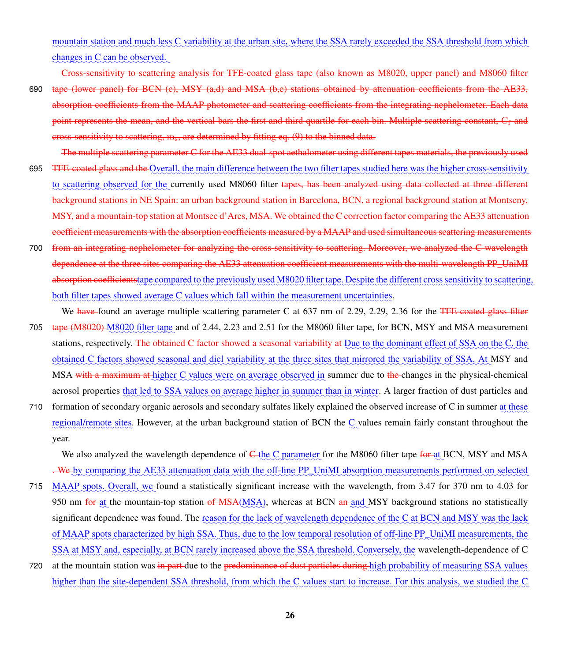mountain station and much less C variability at the urban site, where the SSA rarely exceeded the SSA threshold from which changes in C can be observed.

Cross-sensitivity to scattering analysis for TFE-coated glass tape (also known as M8020, upper panel) and M8060 filter

- 690 tape (lower panel) for BCN (c), MSY (a,d) and MSA (b,e) stations obtained by attenuation coefficients from the AE33, absorption coefficients from the MAAP photometer and scattering coefficients from the integrating nephelometer. Each data point represents the mean, and the vertical bars the first and third quartile for each bin. Multiple scattering constant,  $C_f$  and cross-sensitivity to scattering, ms, are determined by fitting eq. [\(9\)](#page-9-2) to the binned data.
- The multiple scattering parameter C for the AE33 dual-spot aethalometer using different tapes materials, the previously used 695 <del>TFE-coated glass and the</del> Overall, the main difference between the two filter tapes studied here was the higher cross-sensitivity to scattering observed for the currently used M8060 filter tapes<del>, has been analyzed using data collected at three different</del> background stations in NE Spain: an urban background station in Barcelona, BCN, a regional background station at Montseny, MSY, and a mountain-top station at Montsec d'Ares, MSA. We obtained the C correction factor comparing the AE33 attenuation coefficient measurements with the absorption coefficients measured by a MAAP and used simultaneous scattering measurements
- 700 from an integrating nephelometer for analyzing the cross-sensitivity to scattering. Moreover, we analyzed the C wavelength dependence at the three sites comparing the AE33 attenuation coefficient measurements with the multi-wavelength PP\_UniMI absorption coefficientstape compared to the previously used M8020 filter tape. Despite the different cross sensitivity to scattering, both filter tapes showed average C values which fall within the measurement uncertainties.
- We have found an average multiple scattering parameter C at 637 nm of 2.29, 2.29, 2.36 for the TFE-coated glass filter 705 tape (M8020) M8020 filter tape and of 2.44, 2.23 and 2.51 for the M8060 filter tape, for BCN, MSY and MSA measurement stations, respectively. <del>The obtained C factor showed a seasonal variability at Due to the dominant effect of SSA on the C, the</del> obtained C factors showed seasonal and diel variability at the three sites that mirrored the variability of SSA. At MSY and MSA with a maximum at higher C values were on average observed in summer due to the changes in the physical-chemical aerosol properties that led to SSA values on average higher in summer than in winter. A larger fraction of dust particles and
- 710 formation of secondary organic aerosols and secondary sulfates likely explained the observed increase of C in summer at these regional/remote sites. However, at the urban background station of BCN the  $C$  values remain fairly constant throughout the year.

We also analyzed the wavelength dependence of <del>C the C parameter</del> for the M8060 filter tape <del>for a</del>t BCN, MSY and MSA . We by comparing the AE33 attenuation data with the off-line PP\_UniMI absorption measurements performed on selected

- 715 MAAP spots. Overall, we found a statistically significant increase with the wavelength, from 3.47 for 370 nm to 4.03 for 950 nm <del>for at</del> the mountain-top station <del>of MSA</del>(MSA), whereas at BCN an and MSY background stations no statistically significant dependence was found. The reason for the lack of wavelength dependence of the C at BCN and MSY was the lack of MAAP spots characterized by high SSA. Thus, due to the low temporal resolution of off-line PP\_UniMI measurements, the SSA at MSY and, especially, at BCN rarely increased above the SSA threshold. Conversely, the wavelength-dependence of C
- 720 vat the mountain station was in part due to the predominance of dust particles during high probability of measuring SSA values higher than the site-dependent SSA threshold, from which the C values start to increase. For this analysis, we studied the C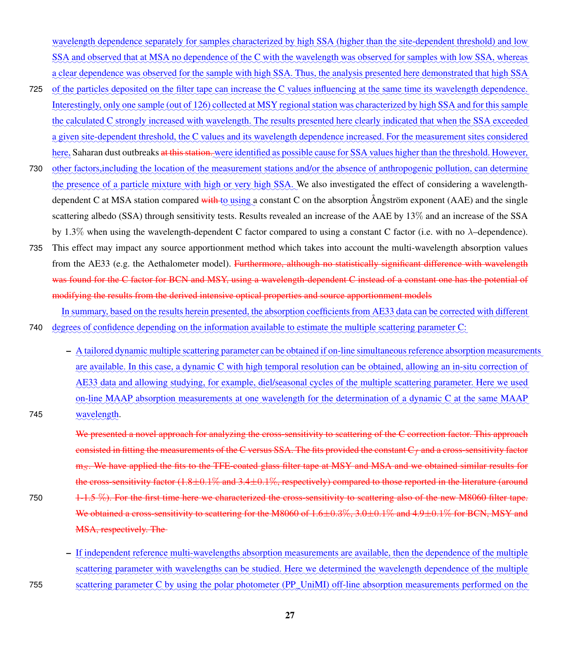wavelength dependence separately for samples characterized by high SSA (higher than the site-dependent threshold) and low SSA and observed that at MSA no dependence of the C with the wavelength was observed for samples with low SSA, whereas a clear dependence was observed for the sample with high SSA. Thus, the analysis presented here demonstrated that high SSA

- 725 of the particles deposited on the filter tape can increase the C values influencing at the same time its wavelength dependence. <u>Interestingly, only one sample (out of 126) collected at MSY regional station was characterized by high SSA and for this sample</u> the calculated C strongly increased with wavelength. The results presented here clearly indicated that when the SSA exceeded a given site-dependent threshold, the C values and its wavelength dependence increased. For the measurement sites considered here, Saharan dust outbreaks <del>at this station. w</del>ere <u>identified as possible cause for SSA values higher than the threshold. However,</u>
- 730 other factors, including the location of the measurement stations and/or the absence of anthropogenic pollution, can determine the presence of a particle mixture with high or very high SSA. We also investigated the effect of considering a wavelengthdependent C at MSA station compared with to using a constant C on the absorption Angström exponent (AAE) and the single scattering albedo (SSA) through sensitivity tests. Results revealed an increase of the AAE by 13% and an increase of the SSA by 1.3% when using the wavelength-dependent C factor compared to using a constant C factor (i.e. with no λ–dependence).
- 735 This effect may impact any source apportionment method which takes into account the multi-wavelength absorption values from the AE33 (e.g. the Aethalometer model). Furthermore, although no statistically significant difference with wavelength was found for the C factor for BCN and MSY, using a wavelength-dependent C instead of a constant one has the potential of modifying the results from the derived intensive optical properties and source apportionment models
- In summary, based on the results herein presented, the absorption coefficients from AE33 data can be corrected with different 740 degrees of confidence depending on the information available to estimate the multiple scattering parameter C:
- A tailored dynamic multiple scattering parameter can be obtained if on-line simultaneous reference absorption measurements <u>are available. In this case, a dynamic C with high temporal resolution can be obtained, allowing an in-situ correction of</u> AE33 data and allowing studying, for example, diel/seasonal cycles of the multiple scattering parameter. Here we used on-line MAAP absorption measurements at one wavelength for the determination of a dynamic C at the same MAAP 745 wavelength.

We presented a novel approach for analyzing the cross-sensitivity to scattering of the C correction factor. This approach consisted in fitting the measurements of the C versus SSA. The fits provided the constant  $C_f$  and a cross-sensitivity factor m<sub>S</sub>. We have applied the fits to the TFE-coated glass filter tape at MSY and MSA and we obtained similar results for the cross-sensitivity factor  $(1.8\pm0.1\%$  and  $3.4\pm0.1\%$ , respectively) compared to those reported in the literature (around 750  $1-1.5\%$ ). For the first time here we characterized the cross-sensitivity to scattering also of the new M8060 filter tape. We obtained a cross-sensitivity to scattering for the M8060 of 1.6 $\pm$ 0.3%, 3.0 $\pm$ 0.1% and 4.9 $\pm$ 0.1% for BCN, MSY and MSA, respectively. The

- If independent reference multi-wavelengths absorption measurements are available, then the dependence of the multiple scattering parameter with wavelengths can be studied. Here we determined the wavelength dependence of the multiple 755 scattering parameter C by using the polar photometer (PP\_UniMI) off-line absorption measurements performed on the

27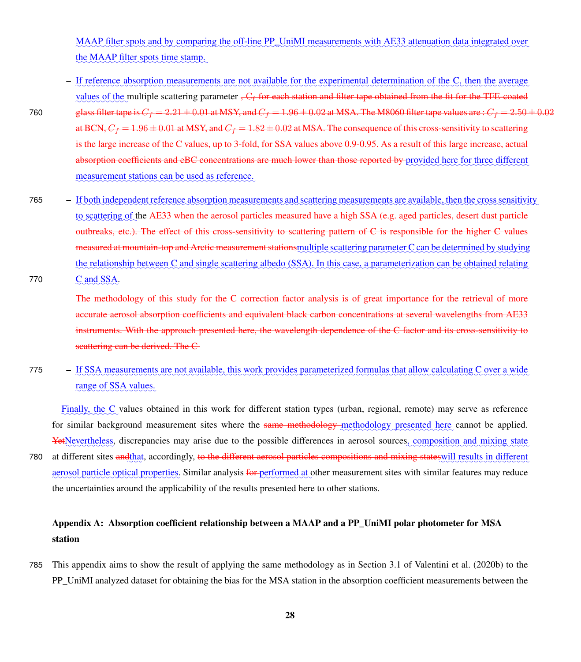MAAP filter spots and by comparing the off-line PP\_UniMI measurements with AE33 attenuation data integrated over the MAAP filter spots time stamp.

- If reference absorption measurements are not available for the experimental determination of the C, then the average values of the multiple scattering parameter <del>,  $C_f$  for each station and filter tape obtained from the fit for the TFE-coated</del> 760 glass filter tape is  $C_f = 2.21 \pm 0.01$  at MSY, and  $C_f = 1.96 \pm 0.02$  at MSA. The M8060 filter tape values are :  $C_f = 2.50 \pm 0.02$ at BCN,  $C_f = 1.96 \pm 0.01$  at MSY, and  $C_f = 1.82 \pm 0.02$  at MSA. The consequence of this cross-sensitivity to scattering is the large increase of the C values, up to 3-fold, for SSA values above 0.9-0.95. As a result of this large increase, actual absorption coefficients and eBC concentrations are much lower than those reported by provided here for three different measurement stations can be used as reference.
- 765 If both independent reference absorption measurements and scattering measurements are available, then the cross sensitivity to scattering of the <del>AE33 when the aerosol particles measured have a high SSA (e.g. aged particles, desert dust particle</del> outbreaks, etc.). The effect of this cross-sensitivity to scattering pattern of C is responsible for the higher C values measured at mountain-top and Arctic measurement stationsmultiple scattering parameter C can be determined by studying the relationship between C and single scattering albedo (SSA). In this case, a parameterization can be obtained relating

✿  $770$   $C \text{ and } SSA$ .

> The methodology of this study for the C correction factor analysis is of great importance for the retrieval of more accurate aerosol absorption coefficients and equivalent black carbon concentrations at several wavelengths from AE33 instruments. With the approach presented here, the wavelength dependence of the C factor and its cross-sensitivity to scattering can be derived. The C

775 - If SSA measurements are not available, this work provides parameterized formulas that allow calculating C over a wide range of SSA values.

Finally, the C values obtained in this work for different station types (urban, regional, remote) may serve as reference for similar background measurement sites where the same methodology methodology presented here cannot be applied. YetNevertheless, discrepancies may arise due to the possible differences in aerosol sources, composition and mixing state 780 at different sites andthat, accordingly, <del>to the different aerosol particles compositions and mixing stateswill results in different</del> aerosol particle optical properties. Similar analysis for performed at other measurement sites with similar features may reduce the uncertainties around the applicability of the results presented here to other stations.

## Appendix A: Absorption coefficient relationship between a MAAP and a PP\_UniMI polar photometer for MSA station

785 This appendix aims to show the result of applying the same methodology as in Section 3.1 of [Valentini et al.](#page-38-10) [\(2020b\)](#page-38-10) to the PP\_UniMI analyzed dataset for obtaining the bias for the MSA station in the absorption coefficient measurements between the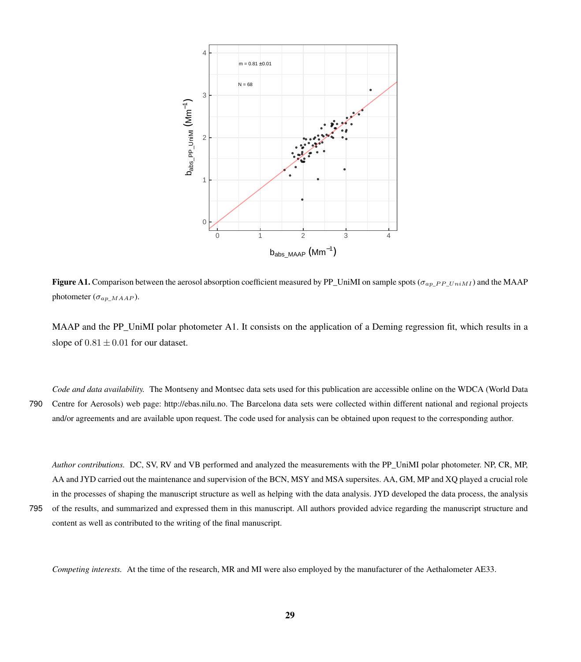<span id="page-28-0"></span>

**Figure A1.** Comparison between the aerosol absorption coefficient measured by PP\_UniMI on sample spots ( $\sigma_{ap\_PP}$   $U_{niM1}$ ) and the MAAP photometer  $(\sigma_{ap\_MMAP})$ .

MAAP and the PP\_UniMI polar photometer [A1.](#page-28-0) It consists on the application of a Deming regression fit, which results in a slope of  $0.81 \pm 0.01$  for our dataset.

*Code and data availability.* The Montseny and Montsec data sets used for this publication are accessible online on the WDCA (World Data 790 Centre for Aerosols) web page: [http://ebas.nilu.no.](http://ebas.nilu.no) The Barcelona data sets were collected within different national and regional projects and/or agreements and are available upon request. The code used for analysis can be obtained upon request to the corresponding author.

*Author contributions.* DC, SV, RV and VB performed and analyzed the measurements with the PP\_UniMI polar photometer. NP, CR, MP, AA and JYD carried out the maintenance and supervision of the BCN, MSY and MSA supersites. AA, GM, MP and XQ played a crucial role in the processes of shaping the manuscript structure as well as helping with the data analysis. JYD developed the data process, the analysis 795 of the results, and summarized and expressed them in this manuscript. All authors provided advice regarding the manuscript structure and

content as well as contributed to the writing of the final manuscript.

*Competing interests.* At the time of the research, MR and MI were also employed by the manufacturer of the Aethalometer AE33.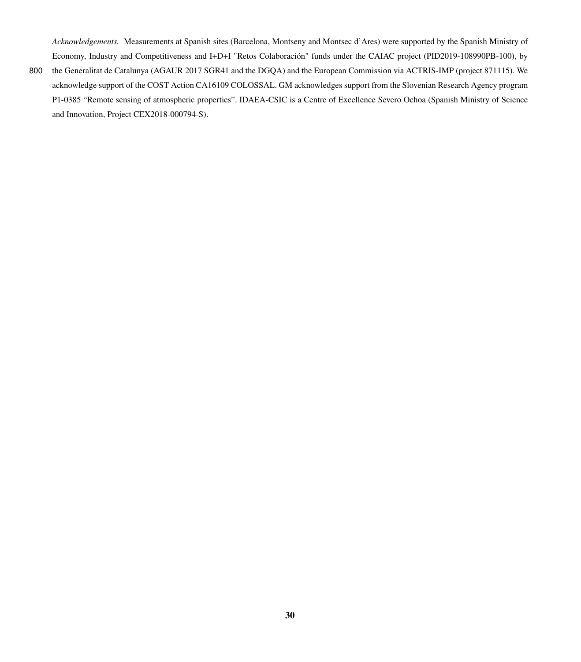*Acknowledgements.* Measurements at Spanish sites (Barcelona, Montseny and Montsec d'Ares) were supported by the Spanish Ministry of Economy, Industry and Competitiveness and I+D+I "Retos Colaboración" funds under the CAIAC project (PID2019-108990PB-100), by

800 the Generalitat de Catalunya (AGAUR 2017 SGR41 and the DGQA) and the European Commission via ACTRIS-IMP (project 871115). We acknowledge support of the COST Action CA16109 COLOSSAL. GM acknowledges support from the Slovenian Research Agency program P1-0385 "Remote sensing of atmospheric properties". IDAEA-CSIC is a Centre of Excellence Severo Ochoa (Spanish Ministry of Science and Innovation, Project CEX2018-000794-S).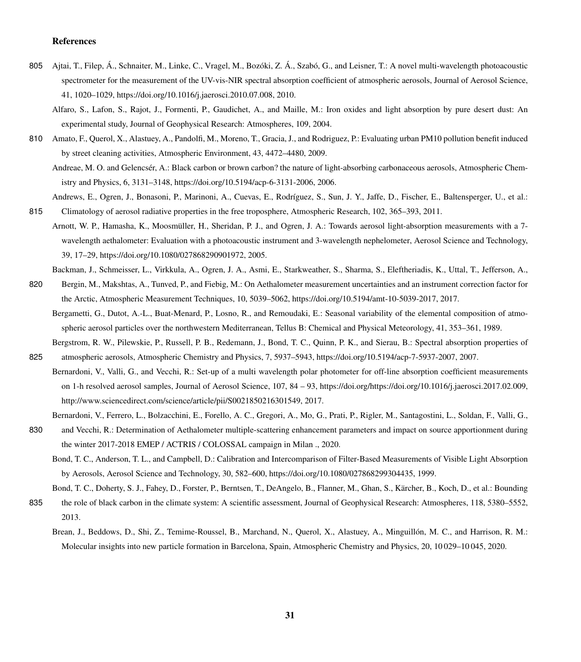### References

- <span id="page-30-4"></span><span id="page-30-1"></span>805 Ajtai, T., Filep, Á., Schnaiter, M., Linke, C., Vragel, M., Bozóki, Z. Á., Szabó, G., and Leisner, T.: A novel multi-wavelength photoacoustic spectrometer for the measurement of the UV-vis-NIR spectral absorption coefficient of atmospheric aerosols, Journal of Aerosol Science, 41, 1020–1029, https://doi.org[/10.1016/j.jaerosci.2010.07.008,](https://doi.org/10.1016/j.jaerosci.2010.07.008) 2010.
	- Alfaro, S., Lafon, S., Rajot, J., Formenti, P., Gaudichet, A., and Maille, M.: Iron oxides and light absorption by pure desert dust: An experimental study, Journal of Geophysical Research: Atmospheres, 109, 2004.
- <span id="page-30-11"></span>810 Amato, F., Querol, X., Alastuey, A., Pandolfi, M., Moreno, T., Gracia, J., and Rodriguez, P.: Evaluating urban PM10 pollution benefit induced by street cleaning activities, Atmospheric Environment, 43, 4472–4480, 2009.

<span id="page-30-2"></span>Andreae, M. O. and Gelencsér, A.: Black carbon or brown carbon? the nature of light-absorbing carbonaceous aerosols, Atmospheric Chemistry and Physics, 6, 3131–3148, https://doi.org[/10.5194/acp-6-3131-2006,](https://doi.org/10.5194/acp-6-3131-2006) 2006.

- <span id="page-30-13"></span>Andrews, E., Ogren, J., Bonasoni, P., Marinoni, A., Cuevas, E., Rodríguez, S., Sun, J. Y., Jaffe, D., Fischer, E., Baltensperger, U., et al.: 815 Climatology of aerosol radiative properties in the free troposphere, Atmospheric Research, 102, 365–393, 2011.
- <span id="page-30-7"></span>Arnott, W. P., Hamasha, K., Moosmüller, H., Sheridan, P. J., and Ogren, J. A.: Towards aerosol light-absorption measurements with a 7 wavelength aethalometer: Evaluation with a photoacoustic instrument and 3-wavelength nephelometer, Aerosol Science and Technology, 39, 17–29, https://doi.org[/10.1080/027868290901972,](https://doi.org/10.1080/027868290901972) 2005.
	- Backman, J., Schmeisser, L., Virkkula, A., Ogren, J. A., Asmi, E., Starkweather, S., Sharma, S., Eleftheriadis, K., Uttal, T., Jefferson, A.,
- <span id="page-30-12"></span><span id="page-30-8"></span>820 Bergin, M., Makshtas, A., Tunved, P., and Fiebig, M.: On Aethalometer measurement uncertainties and an instrument correction factor for the Arctic, Atmospheric Measurement Techniques, 10, 5039–5062, https://doi.org[/10.5194/amt-10-5039-2017,](https://doi.org/10.5194/amt-10-5039-2017) 2017.
	- Bergametti, G., Dutot, A.-L., Buat-Menard, P., Losno, R., and Remoudaki, E.: Seasonal variability of the elemental composition of atmospheric aerosol particles over the northwestern Mediterranean, Tellus B: Chemical and Physical Meteorology, 41, 353–361, 1989.
- <span id="page-30-6"></span><span id="page-30-3"></span>Bergstrom, R. W., Pilewskie, P., Russell, P. B., Redemann, J., Bond, T. C., Quinn, P. K., and Sierau, B.: Spectral absorption properties of 825 atmospheric aerosols, Atmospheric Chemistry and Physics, 7, 5937–5943, https://doi.org[/10.5194/acp-7-5937-2007,](https://doi.org/10.5194/acp-7-5937-2007) 2007.
	- Bernardoni, V., Valli, G., and Vecchi, R.: Set-up of a multi wavelength polar photometer for off-line absorption coefficient measurements on 1-h resolved aerosol samples, Journal of Aerosol Science, 107, 84 – 93, https://doi.org[/https://doi.org/10.1016/j.jaerosci.2017.02.009,](https://doi.org/https://doi.org/10.1016/j.jaerosci.2017.02.009) [http://www.sciencedirect.com/science/article/pii/S0021850216301549,](http://www.sciencedirect.com/science/article/pii/S0021850216301549) 2017.
		- Bernardoni, V., Ferrero, L., Bolzacchini, E., Forello, A. C., Gregori, A., Mo, G., Prati, P., Rigler, M., Santagostini, L., Soldan, F., Valli, G.,
- <span id="page-30-9"></span><span id="page-30-5"></span>830 and Vecchi, R.: Determination of Aethalometer multiple-scattering enhancement parameters and impact on source apportionment during the winter 2017-2018 EMEP / ACTRIS / COLOSSAL campaign in Milan ., 2020.
	- Bond, T. C., Anderson, T. L., and Campbell, D.: Calibration and Intercomparison of Filter-Based Measurements of Visible Light Absorption by Aerosols, Aerosol Science and Technology, 30, 582–600, https://doi.org[/10.1080/027868299304435,](https://doi.org/10.1080/027868299304435) 1999.

<span id="page-30-0"></span>Bond, T. C., Doherty, S. J., Fahey, D., Forster, P., Berntsen, T., DeAngelo, B., Flanner, M., Ghan, S., Kärcher, B., Koch, D., et al.: Bounding

- <span id="page-30-10"></span>835 the role of black carbon in the climate system: A scientific assessment, Journal of Geophysical Research: Atmospheres, 118, 5380–5552, 2013.
	- Brean, J., Beddows, D., Shi, Z., Temime-Roussel, B., Marchand, N., Querol, X., Alastuey, A., Minguillón, M. C., and Harrison, R. M.: Molecular insights into new particle formation in Barcelona, Spain, Atmospheric Chemistry and Physics, 20, 10 029–10 045, 2020.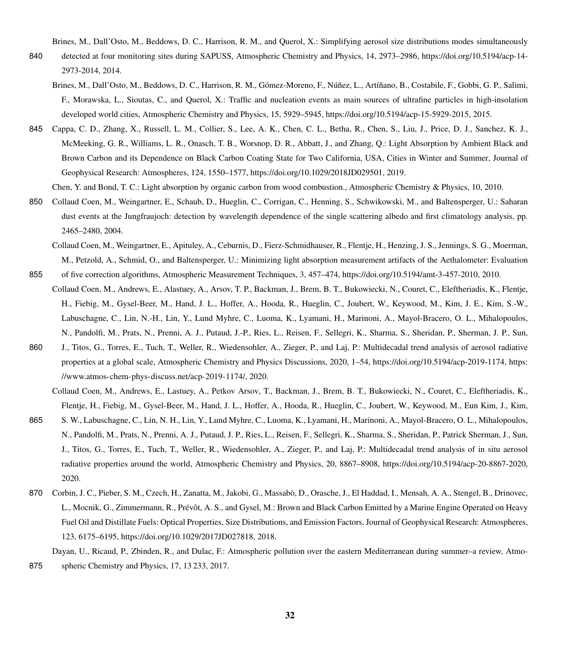Brines, M., Dall'Osto, M., Beddows, D. C., Harrison, R. M., and Querol, X.: Simplifying aerosol size distributions modes simultaneously

- <span id="page-31-5"></span><span id="page-31-4"></span>840 detected at four monitoring sites during SAPUSS, Atmospheric Chemistry and Physics, 14, 2973–2986, https://doi.org[/10.5194/acp-14-](https://doi.org/10.5194/acp-14-2973-2014) [2973-2014,](https://doi.org/10.5194/acp-14-2973-2014) 2014.
	- Brines, M., Dall'Osto, M., Beddows, D. C., Harrison, R. M., Gómez-Moreno, F., Núñez, L., Artíñano, B., Costabile, F., Gobbi, G. P., Salimi, F., Morawska, L., Sioutas, C., and Querol, X.: Traffic and nucleation events as main sources of ultrafine particles in high-insolation developed world cities, Atmospheric Chemistry and Physics, 15, 5929–5945, https://doi.org[/10.5194/acp-15-5929-2015,](https://doi.org/10.5194/acp-15-5929-2015) 2015.
- <span id="page-31-1"></span>845 Cappa, C. D., Zhang, X., Russell, L. M., Collier, S., Lee, A. K., Chen, C. L., Betha, R., Chen, S., Liu, J., Price, D. J., Sanchez, K. J., McMeeking, G. R., Williams, L. R., Onasch, T. B., Worsnop, D. R., Abbatt, J., and Zhang, Q.: Light Absorption by Ambient Black and Brown Carbon and its Dependence on Black Carbon Coating State for Two California, USA, Cities in Winter and Summer, Journal of Geophysical Research: Atmospheres, 124, 1550–1577, https://doi.org[/10.1029/2018JD029501,](https://doi.org/10.1029/2018JD029501) 2019.

<span id="page-31-9"></span>Chen, Y. and Bond, T. C.: Light absorption by organic carbon from wood combustion., Atmospheric Chemistry & Physics, 10, 2010.

- <span id="page-31-7"></span><span id="page-31-2"></span>850 Collaud Coen, M., Weingartner, E., Schaub, D., Hueglin, C., Corrigan, C., Henning, S., Schwikowski, M., and Baltensperger, U.: Saharan dust events at the Jungfraujoch: detection by wavelength dependence of the single scattering albedo and first climatology analysis, pp. 2465–2480, 2004.
	- Collaud Coen, M., Weingartner, E., Apituley, A., Ceburnis, D., Fierz-Schmidhauser, R., Flentje, H., Henzing, J. S., Jennings, S. G., Moerman, M., Petzold, A., Schmid, O., and Baltensperger, U.: Minimizing light absorption measurement artifacts of the Aethalometer: Evaluation
- <span id="page-31-0"></span>855 of five correction algorithms, Atmospheric Measurement Techniques, 3, 457–474, https://doi.org[/10.5194/amt-3-457-2010,](https://doi.org/10.5194/amt-3-457-2010) 2010. Collaud Coen, M., Andrews, E., Alastuey, A., Arsov, T. P., Backman, J., Brem, B. T., Bukowiecki, N., Couret, C., Eleftheriadis, K., Flentje, H., Fiebig, M., Gysel-Beer, M., Hand, J. L., Hoffer, A., Hooda, R., Hueglin, C., Joubert, W., Keywood, M., Kim, J. E., Kim, S.-W., Labuschagne, C., Lin, N.-H., Lin, Y., Lund Myhre, C., Luoma, K., Lyamani, H., Marinoni, A., Mayol-Bracero, O. L., Mihalopoulos, N., Pandolfi, M., Prats, N., Prenni, A. J., Putaud, J.-P., Ries, L., Reisen, F., Sellegri, K., Sharma, S., Sheridan, P., Sherman, J. P., Sun,
- 860 J., Titos, G., Torres, E., Tuch, T., Weller, R., Wiedensohler, A., Zieger, P., and Laj, P.: Multidecadal trend analysis of aerosol radiative properties at a global scale, Atmospheric Chemistry and Physics Discussions, 2020, 1–54, https://doi.org[/10.5194/acp-2019-1174,](https://doi.org/10.5194/acp-2019-1174) [https:](https://www.atmos-chem-phys-discuss.net/acp-2019-1174/) [//www.atmos-chem-phys-discuss.net/acp-2019-1174/,](https://www.atmos-chem-phys-discuss.net/acp-2019-1174/) 2020.
	- Collaud Coen, M., Andrews, E., Lastuey, A., Petkov Arsov, T., Backman, J., Brem, B. T., Bukowiecki, N., Couret, C., Eleftheriadis, K., Flentje, H., Fiebig, M., Gysel-Beer, M., Hand, J. L., Hoffer, A., Hooda, R., Hueglin, C., Joubert, W., Keywood, M., Eun Kim, J., Kim,
- <span id="page-31-8"></span>865 S. W., Labuschagne, C., Lin, N. H., Lin, Y., Lund Myhre, C., Luoma, K., Lyamani, H., Marinoni, A., Mayol-Bracero, O. L., Mihalopoulos, N., Pandolfi, M., Prats, N., Prenni, A. J., Putaud, J. P., Ries, L., Reisen, F., Sellegri, K., Sharma, S., Sheridan, P., Patrick Sherman, J., Sun, J., Titos, G., Torres, E., Tuch, T., Weller, R., Wiedensohler, A., Zieger, P., and Laj, P.: Multidecadal trend analysis of in situ aerosol radiative properties around the world, Atmospheric Chemistry and Physics, 20, 8867–8908, https://doi.org[/10.5194/acp-20-8867-2020,](https://doi.org/10.5194/acp-20-8867-2020) 2020.
- <span id="page-31-3"></span>870 Corbin, J. C., Pieber, S. M., Czech, H., Zanatta, M., Jakobi, G., Massabò, D., Orasche, J., El Haddad, I., Mensah, A. A., Stengel, B., Drinovec, L., Mocnik, G., Zimmermann, R., Prévôt, A. S., and Gysel, M.: Brown and Black Carbon Emitted by a Marine Engine Operated on Heavy Fuel Oil and Distillate Fuels: Optical Properties, Size Distributions, and Emission Factors, Journal of Geophysical Research: Atmospheres, 123, 6175–6195, https://doi.org[/10.1029/2017JD027818,](https://doi.org/10.1029/2017JD027818) 2018.

<span id="page-31-6"></span>Dayan, U., Ricaud, P., Zbinden, R., and Dulac, F.: Atmospheric pollution over the eastern Mediterranean during summer–a review, Atmo-875 spheric Chemistry and Physics, 17, 13 233, 2017.

32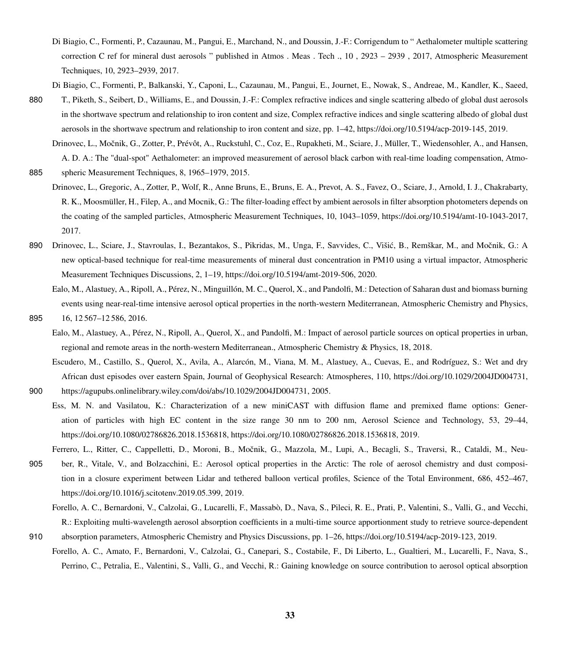- <span id="page-32-11"></span>Di Biagio, C., Formenti, P., Cazaunau, M., Pangui, E., Marchand, N., and Doussin, J.-F.: Corrigendum to " Aethalometer multiple scattering correction C ref for mineral dust aerosols " published in Atmos . Meas . Tech ., 10 , 2923 – 2939 , 2017, Atmospheric Measurement Techniques, 10, 2923–2939, 2017.
- <span id="page-32-10"></span>Di Biagio, C., Formenti, P., Balkanski, Y., Caponi, L., Cazaunau, M., Pangui, E., Journet, E., Nowak, S., Andreae, M., Kandler, K., Saeed,
- 880 T., Piketh, S., Seibert, D., Williams, E., and Doussin, J.-F.: Complex refractive indices and single scattering albedo of global dust aerosols in the shortwave spectrum and relationship to iron content and size, Complex refractive indices and single scattering albedo of global dust aerosols in the shortwave spectrum and relationship to iron content and size, pp. 1–42, https://doi.org[/10.5194/acp-2019-145,](https://doi.org/10.5194/acp-2019-145) 2019.

<span id="page-32-1"></span>Drinovec, L., Močnik, G., Zotter, P., Prévôt, A., Ruckstuhl, C., Coz, E., Rupakheti, M., Sciare, J., Müller, T., Wiedensohler, A., and Hansen, A. D. A.: The "dual-spot" Aethalometer: an improved measurement of aerosol black carbon with real-time loading compensation, Atmo-885 spheric Measurement Techniques, 8, 1965–1979, 2015.

- <span id="page-32-2"></span>Drinovec, L., Gregoric, A., Zotter, P., Wolf, R., Anne Bruns, E., Bruns, E. A., Prevot, A. S., Favez, O., Sciare, J., Arnold, I. J., Chakrabarty, R. K., Moosmüller, H., Filep, A., and Mocnik, G.: The filter-loading effect by ambient aerosols in filter absorption photometers depends on the coating of the sampled particles, Atmospheric Measurement Techniques, 10, 1043–1059, https://doi.org[/10.5194/amt-10-1043-2017,](https://doi.org/10.5194/amt-10-1043-2017) 2017.
- <span id="page-32-3"></span>890 Drinovec, L., Sciare, J., Stavroulas, I., Bezantakos, S., Pikridas, M., Unga, F., Savvides, C., Višić, B., Remškar, M., and Močnik, G.: A new optical-based technique for real-time measurements of mineral dust concentration in PM10 using a virtual impactor, Atmospheric Measurement Techniques Discussions, 2, 1–19, https://doi.org[/10.5194/amt-2019-506,](https://doi.org/10.5194/amt-2019-506) 2020.
- <span id="page-32-5"></span>Ealo, M., Alastuey, A., Ripoll, A., Pérez, N., Minguillón, M. C., Querol, X., and Pandolfi, M.: Detection of Saharan dust and biomass burning events using near-real-time intensive aerosol optical properties in the north-western Mediterranean, Atmospheric Chemistry and Physics, 895 16, 12 567–12 586, 2016.
- <span id="page-32-4"></span>
	- Ealo, M., Alastuey, A., Pérez, N., Ripoll, A., Querol, X., and Pandolfi, M.: Impact of aerosol particle sources on optical properties in urban, regional and remote areas in the north-western Mediterranean., Atmospheric Chemistry & Physics, 18, 2018.
- <span id="page-32-7"></span><span id="page-32-0"></span>Escudero, M., Castillo, S., Querol, X., Avila, A., Alarcón, M., Viana, M. M., Alastuey, A., Cuevas, E., and Rodríguez, S.: Wet and dry African dust episodes over eastern Spain, Journal of Geophysical Research: Atmospheres, 110, https://doi.org[/10.1029/2004JD004731,](https://doi.org/10.1029/2004JD004731) 900 [https://agupubs.onlinelibrary.wiley.com/doi/abs/10.1029/2004JD004731,](https://agupubs.onlinelibrary.wiley.com/doi/abs/10.1029/2004JD004731) 2005.
	- Ess, M. N. and Vasilatou, K.: Characterization of a new miniCAST with diffusion flame and premixed flame options: Generation of particles with high EC content in the size range 30 nm to 200 nm, Aerosol Science and Technology, 53, 29–44, https://doi.org[/10.1080/02786826.2018.1536818, https://doi.org/10.1080/02786826.2018.1536818,](https://doi.org/10.1080/02786826.2018.1536818) 2019.
- <span id="page-32-6"></span>Ferrero, L., Ritter, C., Cappelletti, D., Moroni, B., Močnik, G., Mazzola, M., Lupi, A., Becagli, S., Traversi, R., Cataldi, M., Neu-905 ber, R., Vitale, V., and Bolzacchini, E.: Aerosol optical properties in the Arctic: The role of aerosol chemistry and dust composition in a closure experiment between Lidar and tethered balloon vertical profiles, Science of the Total Environment, 686, 452–467, https://doi.org[/10.1016/j.scitotenv.2019.05.399,](https://doi.org/10.1016/j.scitotenv.2019.05.399) 2019.
- <span id="page-32-9"></span><span id="page-32-8"></span>Forello, A. C., Bernardoni, V., Calzolai, G., Lucarelli, F., Massabò, D., Nava, S., Pileci, R. E., Prati, P., Valentini, S., Valli, G., and Vecchi, R.: Exploiting multi-wavelength aerosol absorption coefficients in a multi-time source apportionment study to retrieve source-dependent 910 absorption parameters, Atmospheric Chemistry and Physics Discussions, pp. 1–26, https://doi.org[/10.5194/acp-2019-123,](https://doi.org/10.5194/acp-2019-123) 2019.
	- Forello, A. C., Amato, F., Bernardoni, V., Calzolai, G., Canepari, S., Costabile, F., Di Liberto, L., Gualtieri, M., Lucarelli, F., Nava, S., Perrino, C., Petralia, E., Valentini, S., Valli, G., and Vecchi, R.: Gaining knowledge on source contribution to aerosol optical absorption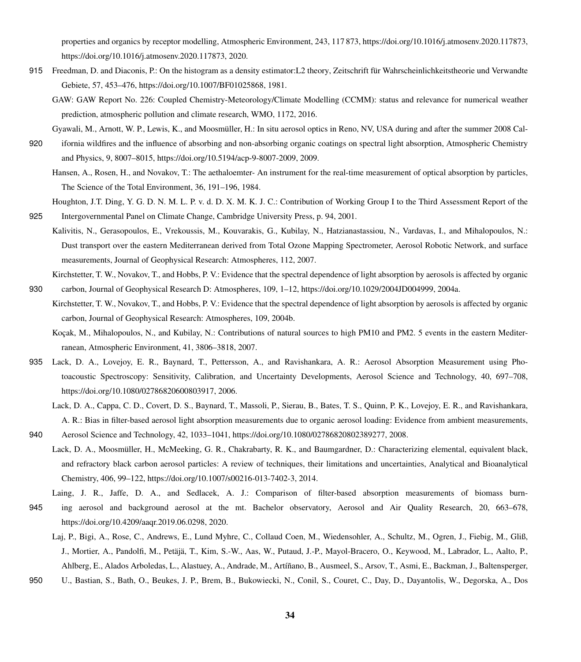properties and organics by receptor modelling, Atmospheric Environment, 243, 117 873, https://doi.org[/10.1016/j.atmosenv.2020.117873,](https://doi.org/10.1016/j.atmosenv.2020.117873) [https://doi.org/10.1016/j.atmosenv.2020.117873,](https://doi.org/10.1016/j.atmosenv.2020.117873) 2020.

- <span id="page-33-11"></span><span id="page-33-10"></span>915 Freedman, D. and Diaconis, P.: On the histogram as a density estimator:L2 theory, Zeitschrift für Wahrscheinlichkeitstheorie und Verwandte Gebiete, 57, 453–476, https://doi.org[/10.1007/BF01025868,](https://doi.org/10.1007/BF01025868) 1981.
	- GAW: GAW Report No. 226: Coupled Chemistry-Meteorology/Climate Modelling (CCMM): status and relevance for numerical weather prediction, atmospheric pollution and climate research, WMO, 1172, 2016.
- <span id="page-33-12"></span>Gyawali, M., Arnott, W. P., Lewis, K., and Moosmüller, H.: In situ aerosol optics in Reno, NV, USA during and after the summer 2008 Cal-
- 920 ifornia wildfires and the influence of absorbing and non-absorbing organic coatings on spectral light absorption, Atmospheric Chemistry and Physics, 9, 8007–8015, https://doi.org[/10.5194/acp-9-8007-2009,](https://doi.org/10.5194/acp-9-8007-2009) 2009.

<span id="page-33-3"></span>Hansen, A., Rosen, H., and Novakov, T.: The aethaloemter- An instrument for the real-time measurement of optical absorption by particles, The Science of the Total Environment, 36, 191–196, 1984.

- <span id="page-33-0"></span>Houghton, J.T. Ding, Y. G. D. N. M. L. P. v. d. D. X. M. K. J. C.: Contribution of Working Group I to the Third Assessment Report of the 925 Intergovernmental Panel on Climate Change, Cambridge University Press, p. 94, 2001.
- <span id="page-33-9"></span>Kalivitis, N., Gerasopoulos, E., Vrekoussis, M., Kouvarakis, G., Kubilay, N., Hatzianastassiou, N., Vardavas, I., and Mihalopoulos, N.: Dust transport over the eastern Mediterranean derived from Total Ozone Mapping Spectrometer, Aerosol Robotic Network, and surface measurements, Journal of Geophysical Research: Atmospheres, 112, 2007.
- <span id="page-33-2"></span><span id="page-33-1"></span>Kirchstetter, T. W., Novakov, T., and Hobbs, P. V.: Evidence that the spectral dependence of light absorption by aerosols is affected by organic 930 carbon, Journal of Geophysical Research D: Atmospheres, 109, 1–12, https://doi.org[/10.1029/2004JD004999,](https://doi.org/10.1029/2004JD004999) 2004a.
	- Kirchstetter, T. W., Novakov, T., and Hobbs, P. V.: Evidence that the spectral dependence of light absorption by aerosols is affected by organic carbon, Journal of Geophysical Research: Atmospheres, 109, 2004b.
		- Koçak, M., Mihalopoulos, N., and Kubilay, N.: Contributions of natural sources to high PM10 and PM2. 5 events in the eastern Mediterranean, Atmospheric Environment, 41, 3806–3818, 2007.
- <span id="page-33-8"></span><span id="page-33-6"></span><span id="page-33-4"></span>935 Lack, D. A., Lovejoy, E. R., Baynard, T., Pettersson, A., and Ravishankara, A. R.: Aerosol Absorption Measurement using Photoacoustic Spectroscopy: Sensitivity, Calibration, and Uncertainty Developments, Aerosol Science and Technology, 40, 697–708, https://doi.org[/10.1080/02786820600803917,](https://doi.org/10.1080/02786820600803917) 2006.
	- Lack, D. A., Cappa, C. D., Covert, D. S., Baynard, T., Massoli, P., Sierau, B., Bates, T. S., Quinn, P. K., Lovejoy, E. R., and Ravishankara, A. R.: Bias in filter-based aerosol light absorption measurements due to organic aerosol loading: Evidence from ambient measurements,
- <span id="page-33-5"></span>Lack, D. A., Moosmüller, H., McMeeking, G. R., Chakrabarty, R. K., and Baumgardner, D.: Characterizing elemental, equivalent black, and refractory black carbon aerosol particles: A review of techniques, their limitations and uncertainties, Analytical and Bioanalytical Chemistry, 406, 99–122, https://doi.org[/10.1007/s00216-013-7402-3,](https://doi.org/10.1007/s00216-013-7402-3) 2014.

940 Aerosol Science and Technology, 42, 1033–1041, https://doi.org[/10.1080/02786820802389277,](https://doi.org/10.1080/02786820802389277) 2008.

- <span id="page-33-13"></span><span id="page-33-7"></span>Laing, J. R., Jaffe, D. A., and Sedlacek, A. J.: Comparison of filter-based absorption measurements of biomass burn-945 ing aerosol and background aerosol at the mt. Bachelor observatory, Aerosol and Air Quality Research, 20, 663–678, https://doi.org[/10.4209/aaqr.2019.06.0298,](https://doi.org/10.4209/aaqr.2019.06.0298) 2020.
	- Laj, P., Bigi, A., Rose, C., Andrews, E., Lund Myhre, C., Collaud Coen, M., Wiedensohler, A., Schultz, M., Ogren, J., Fiebig, M., Gliß, J., Mortier, A., Pandolfi, M., Petäjä, T., Kim, S.-W., Aas, W., Putaud, J.-P., Mayol-Bracero, O., Keywood, M., Labrador, L., Aalto, P., Ahlberg, E., Alados Arboledas, L., Alastuey, A., Andrade, M., Artíñano, B., Ausmeel, S., Arsov, T., Asmi, E., Backman, J., Baltensperger,
- 950 U., Bastian, S., Bath, O., Beukes, J. P., Brem, B., Bukowiecki, N., Conil, S., Couret, C., Day, D., Dayantolis, W., Degorska, A., Dos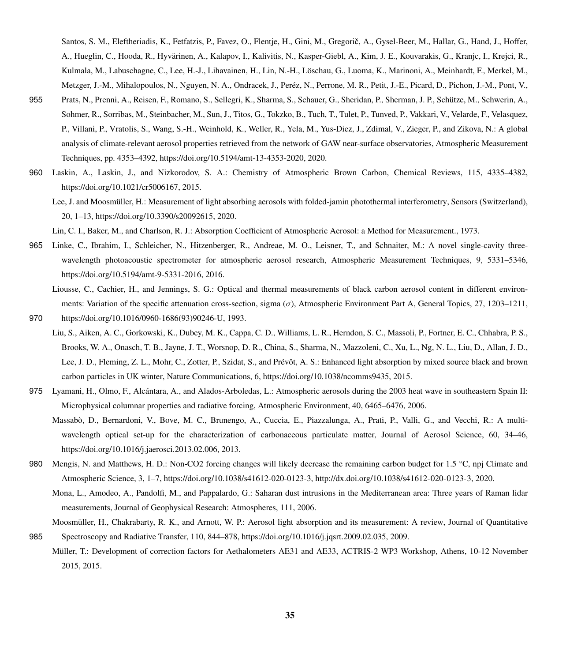Santos, S. M., Eleftheriadis, K., Fetfatzis, P., Favez, O., Flentje, H., Gini, M., Gregorič, A., Gysel-Beer, M., Hallar, G., Hand, J., Hoffer, A., Hueglin, C., Hooda, R., Hyvärinen, A., Kalapov, I., Kalivitis, N., Kasper-Giebl, A., Kim, J. E., Kouvarakis, G., Kranjc, I., Krejci, R., Kulmala, M., Labuschagne, C., Lee, H.-J., Lihavainen, H., Lin, N.-H., Löschau, G., Luoma, K., Marinoni, A., Meinhardt, F., Merkel, M., Metzger, J.-M., Mihalopoulos, N., Nguyen, N. A., Ondracek, J., Peréz, N., Perrone, M. R., Petit, J.-E., Picard, D., Pichon, J.-M., Pont, V.,

- 955 Prats, N., Prenni, A., Reisen, F., Romano, S., Sellegri, K., Sharma, S., Schauer, G., Sheridan, P., Sherman, J. P., Schütze, M., Schwerin, A., Sohmer, R., Sorribas, M., Steinbacher, M., Sun, J., Titos, G., Tokzko, B., Tuch, T., Tulet, P., Tunved, P., Vakkari, V., Velarde, F., Velasquez, P., Villani, P., Vratolis, S., Wang, S.-H., Weinhold, K., Weller, R., Yela, M., Yus-Diez, J., Zdimal, V., Zieger, P., and Zikova, N.: A global analysis of climate-relevant aerosol properties retrieved from the network of GAW near-surface observatories, Atmospheric Measurement Techniques, pp. 4353–4392, https://doi.org[/10.5194/amt-13-4353-2020,](https://doi.org/10.5194/amt-13-4353-2020) 2020.
- <span id="page-34-6"></span><span id="page-34-1"></span>960 Laskin, A., Laskin, J., and Nizkorodov, S. A.: Chemistry of Atmospheric Brown Carbon, Chemical Reviews, 115, 4335–4382, https://doi.org[/10.1021/cr5006167,](https://doi.org/10.1021/cr5006167) 2015.
	- Lee, J. and Moosmüller, H.: Measurement of light absorbing aerosols with folded-jamin photothermal interferometry, Sensors (Switzerland), 20, 1–13, https://doi.org[/10.3390/s20092615,](https://doi.org/10.3390/s20092615) 2020.

Lin, C. I., Baker, M., and Charlson, R. J.: Absorption Coefficient of Atmospheric Aerosol: a Method for Measurement., 1973.

- <span id="page-34-5"></span><span id="page-34-3"></span>965 Linke, C., Ibrahim, I., Schleicher, N., Hitzenberger, R., Andreae, M. O., Leisner, T., and Schnaiter, M.: A novel single-cavity threewavelength photoacoustic spectrometer for atmospheric aerosol research, Atmospheric Measurement Techniques, 9, 5331–5346, https://doi.org[/10.5194/amt-9-5331-2016,](https://doi.org/10.5194/amt-9-5331-2016) 2016.
- <span id="page-34-8"></span>Liousse, C., Cachier, H., and Jennings, S. G.: Optical and thermal measurements of black carbon aerosol content in different environments: Variation of the specific attenuation cross-section, sigma  $(\sigma)$ , Atmospheric Environment Part A, General Topics, 27, 1203–1211, 970 https://doi.org[/10.1016/0960-1686\(93\)90246-U,](https://doi.org/10.1016/0960-1686(93)90246-U) 1993.
- <span id="page-34-0"></span>
	- Liu, S., Aiken, A. C., Gorkowski, K., Dubey, M. K., Cappa, C. D., Williams, L. R., Herndon, S. C., Massoli, P., Fortner, E. C., Chhabra, P. S., Brooks, W. A., Onasch, T. B., Jayne, J. T., Worsnop, D. R., China, S., Sharma, N., Mazzoleni, C., Xu, L., Ng, N. L., Liu, D., Allan, J. D., Lee, J. D., Fleming, Z. L., Mohr, C., Zotter, P., Szidat, S., and Prévôt, A. S.: Enhanced light absorption by mixed source black and brown carbon particles in UK winter, Nature Communications, 6, https://doi.org[/10.1038/ncomms9435,](https://doi.org/10.1038/ncomms9435) 2015.
- <span id="page-34-10"></span><span id="page-34-7"></span>975 Lyamani, H., Olmo, F., Alcántara, A., and Alados-Arboledas, L.: Atmospheric aerosols during the 2003 heat wave in southeastern Spain II: Microphysical columnar properties and radiative forcing, Atmospheric Environment, 40, 6465–6476, 2006.
	- Massabò, D., Bernardoni, V., Bove, M. C., Brunengo, A., Cuccia, E., Piazzalunga, A., Prati, P., Valli, G., and Vecchi, R.: A multiwavelength optical set-up for the characterization of carbonaceous particulate matter, Journal of Aerosol Science, 60, 34–46, https://doi.org[/10.1016/j.jaerosci.2013.02.006,](https://doi.org/10.1016/j.jaerosci.2013.02.006) 2013.
- <span id="page-34-11"></span><span id="page-34-2"></span>980 Mengis, N. and Matthews, H. D.: Non-CO2 forcing changes will likely decrease the remaining carbon budget for 1.5 °C, npj Climate and Atmospheric Science, 3, 1–7, https://doi.org[/10.1038/s41612-020-0123-3,](https://doi.org/10.1038/s41612-020-0123-3) [http://dx.doi.org/10.1038/s41612-020-0123-3,](http://dx.doi.org/10.1038/s41612-020-0123-3) 2020.
	- Mona, L., Amodeo, A., Pandolfi, M., and Pappalardo, G.: Saharan dust intrusions in the Mediterranean area: Three years of Raman lidar measurements, Journal of Geophysical Research: Atmospheres, 111, 2006.
- <span id="page-34-9"></span><span id="page-34-4"></span>Moosmüller, H., Chakrabarty, R. K., and Arnott, W. P.: Aerosol light absorption and its measurement: A review, Journal of Quantitative 985 Spectroscopy and Radiative Transfer, 110, 844–878, https://doi.org[/10.1016/j.jqsrt.2009.02.035,](https://doi.org/10.1016/j.jqsrt.2009.02.035) 2009.
	- Müller, T.: Development of correction factors for Aethalometers AE31 and AE33, ACTRIS-2 WP3 Workshop, Athens, 10-12 November 2015, 2015.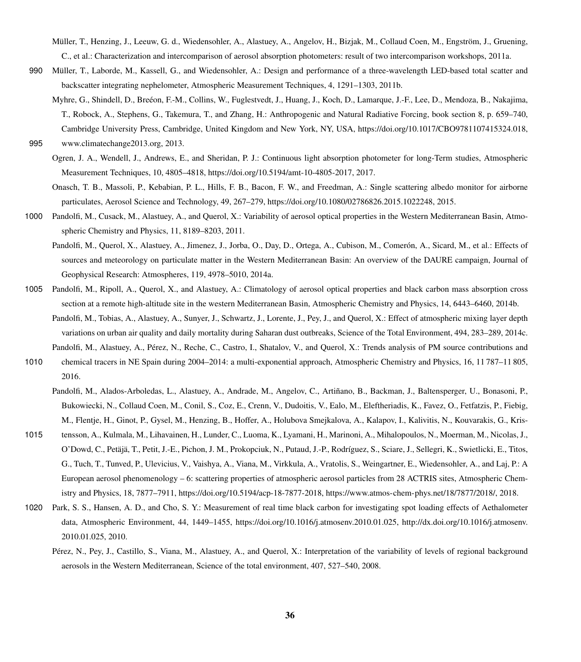<span id="page-35-5"></span>Müller, T., Henzing, J., Leeuw, G. d., Wiedensohler, A., Alastuey, A., Angelov, H., Bizjak, M., Collaud Coen, M., Engström, J., Gruening, C., et al.: Characterization and intercomparison of aerosol absorption photometers: result of two intercomparison workshops, 2011a.

- <span id="page-35-4"></span>990 Müller, T., Laborde, M., Kassell, G., and Wiedensohler, A.: Design and performance of a three-wavelength LED-based total scatter and backscatter integrating nephelometer, Atmospheric Measurement Techniques, 4, 1291–1303, 2011b.
- <span id="page-35-0"></span>Myhre, G., Shindell, D., Breéon, F.-M., Collins, W., Fuglestvedt, J., Huang, J., Koch, D., Lamarque, J.-F., Lee, D., Mendoza, B., Nakajima, T., Robock, A., Stephens, G., Takemura, T., and Zhang, H.: Anthropogenic and Natural Radiative Forcing, book section 8, p. 659–740, Cambridge University Press, Cambridge, United Kingdom and New York, NY, USA, https://doi.org[/10.1017/CBO9781107415324.018,](https://doi.org/10.1017/CBO9781107415324.018) 995 [www.climatechange2013.org,](www.climatechange2013.org) 2013.

- Ogren, J. A., Wendell, J., Andrews, E., and Sheridan, P. J.: Continuous light absorption photometer for long-Term studies, Atmospheric Measurement Techniques, 10, 4805–4818, https://doi.org[/10.5194/amt-10-4805-2017,](https://doi.org/10.5194/amt-10-4805-2017) 2017.
- <span id="page-35-1"></span>Onasch, T. B., Massoli, P., Kebabian, P. L., Hills, F. B., Bacon, F. W., and Freedman, A.: Single scattering albedo monitor for airborne particulates, Aerosol Science and Technology, 49, 267–279, https://doi.org[/10.1080/02786826.2015.1022248,](https://doi.org/10.1080/02786826.2015.1022248) 2015.
- <span id="page-35-8"></span><span id="page-35-7"></span>1000 Pandolfi, M., Cusack, M., Alastuey, A., and Querol, X.: Variability of aerosol optical properties in the Western Mediterranean Basin, Atmospheric Chemistry and Physics, 11, 8189–8203, 2011.
	- Pandolfi, M., Querol, X., Alastuey, A., Jimenez, J., Jorba, O., Day, D., Ortega, A., Cubison, M., Comerón, A., Sicard, M., et al.: Effects of sources and meteorology on particulate matter in the Western Mediterranean Basin: An overview of the DAURE campaign, Journal of Geophysical Research: Atmospheres, 119, 4978–5010, 2014a.
- <span id="page-35-11"></span><span id="page-35-10"></span>1005 Pandolfi, M., Ripoll, A., Querol, X., and Alastuey, A.: Climatology of aerosol optical properties and black carbon mass absorption cross section at a remote high-altitude site in the western Mediterranean Basin, Atmospheric Chemistry and Physics, 14, 6443–6460, 2014b.
	- Pandolfi, M., Tobias, A., Alastuey, A., Sunyer, J., Schwartz, J., Lorente, J., Pey, J., and Querol, X.: Effect of atmospheric mixing layer depth variations on urban air quality and daily mortality during Saharan dust outbreaks, Science of the Total Environment, 494, 283–289, 2014c. Pandolfi, M., Alastuey, A., Pérez, N., Reche, C., Castro, I., Shatalov, V., and Querol, X.: Trends analysis of PM source contributions and
- <span id="page-35-12"></span><span id="page-35-9"></span>1010 chemical tracers in NE Spain during 2004–2014: a multi-exponential approach, Atmospheric Chemistry and Physics, 16, 11 787–11 805, 2016.
	- Pandolfi, M., Alados-Arboledas, L., Alastuey, A., Andrade, M., Angelov, C., Artiñano, B., Backman, J., Baltensperger, U., Bonasoni, P., Bukowiecki, N., Collaud Coen, M., Conil, S., Coz, E., Crenn, V., Dudoitis, V., Ealo, M., Eleftheriadis, K., Favez, O., Fetfatzis, P., Fiebig, M., Flentje, H., Ginot, P., Gysel, M., Henzing, B., Hoffer, A., Holubova Smejkalova, A., Kalapov, I., Kalivitis, N., Kouvarakis, G., Kris-
- 1015 tensson, A., Kulmala, M., Lihavainen, H., Lunder, C., Luoma, K., Lyamani, H., Marinoni, A., Mihalopoulos, N., Moerman, M., Nicolas, J., O'Dowd, C., Petäjä, T., Petit, J.-E., Pichon, J. M., Prokopciuk, N., Putaud, J.-P., Rodríguez, S., Sciare, J., Sellegri, K., Swietlicki, E., Titos, G., Tuch, T., Tunved, P., Ulevicius, V., Vaishya, A., Viana, M., Virkkula, A., Vratolis, S., Weingartner, E., Wiedensohler, A., and Laj, P.: A European aerosol phenomenology – 6: scattering properties of atmospheric aerosol particles from 28 ACTRIS sites, Atmospheric Chemistry and Physics, 18, 7877–7911, https://doi.org[/10.5194/acp-18-7877-2018,](https://doi.org/10.5194/acp-18-7877-2018) [https://www.atmos-chem-phys.net/18/7877/2018/,](https://www.atmos-chem-phys.net/18/7877/2018/) 2018.
- <span id="page-35-6"></span><span id="page-35-3"></span>1020 Park, S. S., Hansen, A. D., and Cho, S. Y.: Measurement of real time black carbon for investigating spot loading effects of Aethalometer data, Atmospheric Environment, 44, 1449–1455, https://doi.org[/10.1016/j.atmosenv.2010.01.025,](https://doi.org/10.1016/j.atmosenv.2010.01.025) [http://dx.doi.org/10.1016/j.atmosenv.](http://dx.doi.org/10.1016/j.atmosenv.2010.01.025) [2010.01.025,](http://dx.doi.org/10.1016/j.atmosenv.2010.01.025) 2010.
	- Pérez, N., Pey, J., Castillo, S., Viana, M., Alastuey, A., and Querol, X.: Interpretation of the variability of levels of regional background aerosols in the Western Mediterranean, Science of the total environment, 407, 527–540, 2008.

<span id="page-35-2"></span>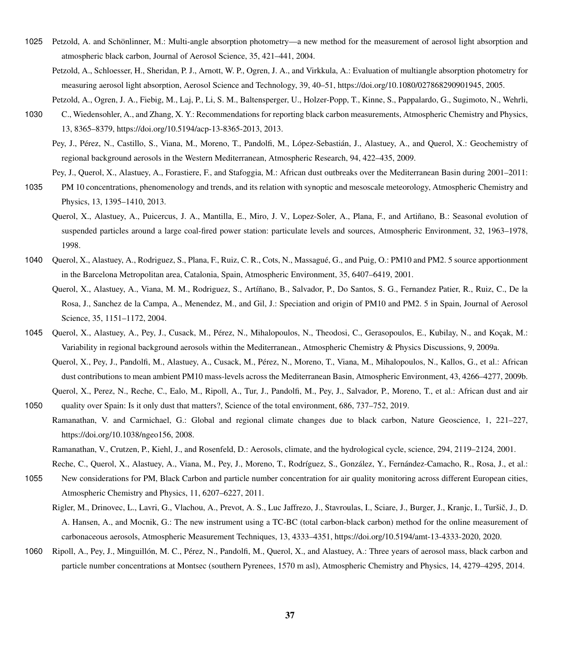- <span id="page-36-4"></span><span id="page-36-2"></span>1025 Petzold, A. and Schönlinner, M.: Multi-angle absorption photometry—a new method for the measurement of aerosol light absorption and atmospheric black carbon, Journal of Aerosol Science, 35, 421–441, 2004.
	- Petzold, A., Schloesser, H., Sheridan, P. J., Arnott, W. P., Ogren, J. A., and Virkkula, A.: Evaluation of multiangle absorption photometry for measuring aerosol light absorption, Aerosol Science and Technology, 39, 40–51, https://doi.org[/10.1080/027868290901945,](https://doi.org/10.1080/027868290901945) 2005.
	- Petzold, A., Ogren, J. A., Fiebig, M., Laj, P., Li, S. M., Baltensperger, U., Holzer-Popp, T., Kinne, S., Pappalardo, G., Sugimoto, N., Wehrli,
- <span id="page-36-7"></span><span id="page-36-3"></span>1030 C., Wiedensohler, A., and Zhang, X. Y.: Recommendations for reporting black carbon measurements, Atmospheric Chemistry and Physics, 13, 8365–8379, https://doi.org[/10.5194/acp-13-8365-2013,](https://doi.org/10.5194/acp-13-8365-2013) 2013.
	- Pey, J., Pérez, N., Castillo, S., Viana, M., Moreno, T., Pandolfi, M., López-Sebastián, J., Alastuey, A., and Querol, X.: Geochemistry of regional background aerosols in the Western Mediterranean, Atmospheric Research, 94, 422–435, 2009.

Pey, J., Querol, X., Alastuey, A., Forastiere, F., and Stafoggia, M.: African dust outbreaks over the Mediterranean Basin during 2001–2011:

- <span id="page-36-15"></span><span id="page-36-10"></span>1035 PM 10 concentrations, phenomenology and trends, and its relation with synoptic and mesoscale meteorology, Atmospheric Chemistry and Physics, 13, 1395–1410, 2013.
	- Querol, X., Alastuey, A., Puicercus, J. A., Mantilla, E., Miro, J. V., Lopez-Soler, A., Plana, F., and Artiñano, B.: Seasonal evolution of suspended particles around a large coal-fired power station: particulate levels and sources, Atmospheric Environment, 32, 1963–1978, 1998.
- <span id="page-36-12"></span><span id="page-36-5"></span>1040 Querol, X., Alastuey, A., Rodriguez, S., Plana, F., Ruiz, C. R., Cots, N., Massagué, G., and Puig, O.: PM10 and PM2. 5 source apportionment in the Barcelona Metropolitan area, Catalonia, Spain, Atmospheric Environment, 35, 6407–6419, 2001.
	- Querol, X., Alastuey, A., Viana, M. M., Rodriguez, S., Artíñano, B., Salvador, P., Do Santos, S. G., Fernandez Patier, R., Ruiz, C., De la Rosa, J., Sanchez de la Campa, A., Menendez, M., and Gil, J.: Speciation and origin of PM10 and PM2. 5 in Spain, Journal of Aerosol Science, 35, 1151–1172, 2004.
- <span id="page-36-13"></span><span id="page-36-9"></span>1045 Querol, X., Alastuey, A., Pey, J., Cusack, M., Pérez, N., Mihalopoulos, N., Theodosi, C., Gerasopoulos, E., Kubilay, N., and Koçak, M.: Variability in regional background aerosols within the Mediterranean., Atmospheric Chemistry & Physics Discussions, 9, 2009a.
	- Querol, X., Pey, J., Pandolfi, M., Alastuey, A., Cusack, M., Pérez, N., Moreno, T., Viana, M., Mihalopoulos, N., Kallos, G., et al.: African dust contributions to mean ambient PM10 mass-levels across the Mediterranean Basin, Atmospheric Environment, 43, 4266–4277, 2009b. Querol, X., Perez, N., Reche, C., Ealo, M., Ripoll, A., Tur, J., Pandolfi, M., Pey, J., Salvador, P., Moreno, T., et al.: African dust and air
- <span id="page-36-0"></span>Ramanathan, V. and Carmichael, G.: Global and regional climate changes due to black carbon, Nature Geoscience, 1, 221–227, https://doi.org[/10.1038/ngeo156,](https://doi.org/10.1038/ngeo156) 2008.

<span id="page-36-11"></span>1050 quality over Spain: Is it only dust that matters?, Science of the total environment, 686, 737–752, 2019.

- <span id="page-36-14"></span>Atmospheric Chemistry and Physics, 11, 6207–6227, 2011.
	- Rigler, M., Drinovec, L., Lavri, G., Vlachou, A., Prevot, A. S., Luc Jaffrezo, J., Stavroulas, I., Sciare, J., Burger, J., Kranjc, I., Turšič, J., D. A. Hansen, A., and Mocnik, G.: The new instrument using a TC-BC (total carbon-black carbon) method for the online measurement of carbonaceous aerosols, Atmospheric Measurement Techniques, 13, 4333–4351, https://doi.org[/10.5194/amt-13-4333-2020,](https://doi.org/10.5194/amt-13-4333-2020) 2020.
- <span id="page-36-8"></span>1060 Ripoll, A., Pey, J., Minguillón, M. C., Pérez, N., Pandolfi, M., Querol, X., and Alastuey, A.: Three years of aerosol mass, black carbon and particle number concentrations at Montsec (southern Pyrenees, 1570 m asl), Atmospheric Chemistry and Physics, 14, 4279–4295, 2014.

Ramanathan, V., Crutzen, P., Kiehl, J., and Rosenfeld, D.: Aerosols, climate, and the hydrological cycle, science, 294, 2119–2124, 2001.

<span id="page-36-6"></span><span id="page-36-1"></span>Reche, C., Querol, X., Alastuey, A., Viana, M., Pey, J., Moreno, T., Rodríguez, S., González, Y., Fernández-Camacho, R., Rosa, J., et al.: 1055 New considerations for PM, Black Carbon and particle number concentration for air quality monitoring across different European cities,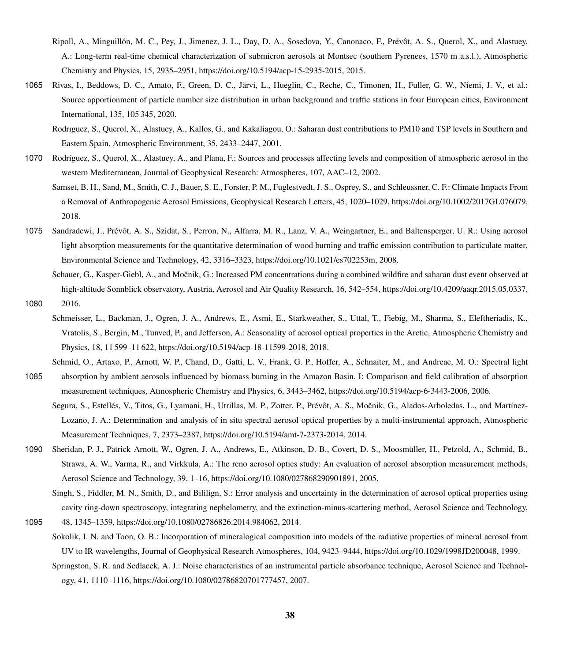- <span id="page-37-11"></span>Ripoll, A., Minguillón, M. C., Pey, J., Jimenez, J. L., Day, D. A., Sosedova, Y., Canonaco, F., Prévôt, A. S., Querol, X., and Alastuey, A.: Long-term real-time chemical characterization of submicron aerosols at Montsec (southern Pyrenees, 1570 m a.s.l.), Atmospheric Chemistry and Physics, 15, 2935–2951, https://doi.org[/10.5194/acp-15-2935-2015,](https://doi.org/10.5194/acp-15-2935-2015) 2015.
- <span id="page-37-7"></span><span id="page-37-5"></span>1065 Rivas, I., Beddows, D. C., Amato, F., Green, D. C., Järvi, L., Hueglin, C., Reche, C., Timonen, H., Fuller, G. W., Niemi, J. V., et al.: Source apportionment of particle number size distribution in urban background and traffic stations in four European cities, Environment International, 135, 105 345, 2020.
	- Rodrıguez, S., Querol, X., Alastuey, A., Kallos, G., and Kakaliagou, O.: Saharan dust contributions to PM10 and TSP levels in Southern and Eastern Spain, Atmospheric Environment, 35, 2433–2447, 2001.
- <span id="page-37-6"></span><span id="page-37-0"></span>1070 Rodríguez, S., Querol, X., Alastuey, A., and Plana, F.: Sources and processes affecting levels and composition of atmospheric aerosol in the western Mediterranean, Journal of Geophysical Research: Atmospheres, 107, AAC–12, 2002.
	- Samset, B. H., Sand, M., Smith, C. J., Bauer, S. E., Forster, P. M., Fuglestvedt, J. S., Osprey, S., and Schleussner, C. F.: Climate Impacts From a Removal of Anthropogenic Aerosol Emissions, Geophysical Research Letters, 45, 1020–1029, https://doi.org[/10.1002/2017GL076079,](https://doi.org/10.1002/2017GL076079) 2018.
- <span id="page-37-13"></span>1075 Sandradewi, J., Prévôt, A. S., Szidat, S., Perron, N., Alfarra, M. R., Lanz, V. A., Weingartner, E., and Baltensperger, U. R.: Using aerosol light absorption measurements for the quantitative determination of wood burning and traffic emission contribution to particulate matter, Environmental Science and Technology, 42, 3316–3323, https://doi.org[/10.1021/es702253m,](https://doi.org/10.1021/es702253m) 2008.
- <span id="page-37-8"></span>Schauer, G., Kasper-Giebl, A., and Močnik, G.: Increased PM concentrations during a combined wildfire and saharan dust event observed at high-altitude Sonnblick observatory, Austria, Aerosol and Air Quality Research, 16, 542–554, https://doi.org[/10.4209/aaqr.2015.05.0337,](https://doi.org/10.4209/aaqr.2015.05.0337) 1080 2016.
- <span id="page-37-10"></span>Schmeisser, L., Backman, J., Ogren, J. A., Andrews, E., Asmi, E., Starkweather, S., Uttal, T., Fiebig, M., Sharma, S., Eleftheriadis, K., Vratolis, S., Bergin, M., Tunved, P., and Jefferson, A.: Seasonality of aerosol optical properties in the Arctic, Atmospheric Chemistry and Physics, 18, 11 599–11 622, https://doi.org[/10.5194/acp-18-11599-2018,](https://doi.org/10.5194/acp-18-11599-2018) 2018.
- <span id="page-37-3"></span><span id="page-37-2"></span>Schmid, O., Artaxo, P., Arnott, W. P., Chand, D., Gatti, L. V., Frank, G. P., Hoffer, A., Schnaiter, M., and Andreae, M. O.: Spectral light 1085 absorption by ambient aerosols influenced by biomass burning in the Amazon Basin. I: Comparison and field calibration of absorption measurement techniques, Atmospheric Chemistry and Physics, 6, 3443–3462, https://doi.org[/10.5194/acp-6-3443-2006,](https://doi.org/10.5194/acp-6-3443-2006) 2006.
	- Segura, S., Estellés, V., Titos, G., Lyamani, H., Utrillas, M. P., Zotter, P., Prévôt, A. S., Močnik, G., Alados-Arboledas, L., and Martínez-Lozano, J. A.: Determination and analysis of in situ spectral aerosol optical properties by a multi-instrumental approach, Atmospheric Measurement Techniques, 7, 2373–2387, https://doi.org[/10.5194/amt-7-2373-2014,](https://doi.org/10.5194/amt-7-2373-2014) 2014.
- <span id="page-37-4"></span><span id="page-37-1"></span>1090 Sheridan, P. J., Patrick Arnott, W., Ogren, J. A., Andrews, E., Atkinson, D. B., Covert, D. S., Moosmüller, H., Petzold, A., Schmid, B., Strawa, A. W., Varma, R., and Virkkula, A.: The reno aerosol optics study: An evaluation of aerosol absorption measurement methods, Aerosol Science and Technology, 39, 1–16, https://doi.org[/10.1080/027868290901891,](https://doi.org/10.1080/027868290901891) 2005.
	- Singh, S., Fiddler, M. N., Smith, D., and Bililign, S.: Error analysis and uncertainty in the determination of aerosol optical properties using cavity ring-down spectroscopy, integrating nephelometry, and the extinction-minus-scattering method, Aerosol Science and Technology,
- <span id="page-37-12"></span><span id="page-37-9"></span>1095 48, 1345–1359, https://doi.org[/10.1080/02786826.2014.984062,](https://doi.org/10.1080/02786826.2014.984062) 2014.
	- Sokolik, I. N. and Toon, O. B.: Incorporation of mineralogical composition into models of the radiative properties of mineral aerosol from UV to IR wavelengths, Journal of Geophysical Research Atmospheres, 104, 9423–9444, https://doi.org[/10.1029/1998JD200048,](https://doi.org/10.1029/1998JD200048) 1999.
		- Springston, S. R. and Sedlacek, A. J.: Noise characteristics of an instrumental particle absorbance technique, Aerosol Science and Technology, 41, 1110–1116, https://doi.org[/10.1080/02786820701777457,](https://doi.org/10.1080/02786820701777457) 2007.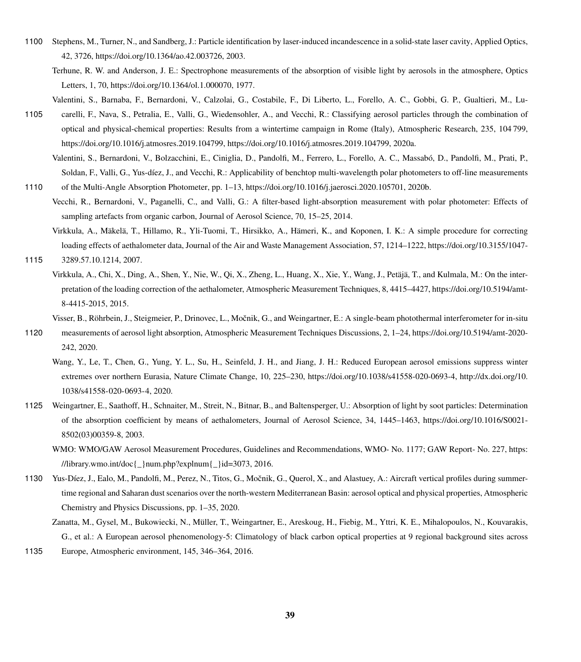- <span id="page-38-2"></span><span id="page-38-1"></span>1100 Stephens, M., Turner, N., and Sandberg, J.: Particle identification by laser-induced incandescence in a solid-state laser cavity, Applied Optics, 42, 3726, https://doi.org[/10.1364/ao.42.003726,](https://doi.org/10.1364/ao.42.003726) 2003.
	- Terhune, R. W. and Anderson, J. E.: Spectrophone measurements of the absorption of visible light by aerosols in the atmosphere, Optics Letters, 1, 70, https://doi.org[/10.1364/ol.1.000070,](https://doi.org/10.1364/ol.1.000070) 1977.

Valentini, S., Barnaba, F., Bernardoni, V., Calzolai, G., Costabile, F., Di Liberto, L., Forello, A. C., Gobbi, G. P., Gualtieri, M., Lu-

- <span id="page-38-10"></span><span id="page-38-9"></span>1105 carelli, F., Nava, S., Petralia, E., Valli, G., Wiedensohler, A., and Vecchi, R.: Classifying aerosol particles through the combination of optical and physical-chemical properties: Results from a wintertime campaign in Rome (Italy), Atmospheric Research, 235, 104 799, https://doi.org[/10.1016/j.atmosres.2019.104799, https://doi.org/10.1016/j.atmosres.2019.104799,](https://doi.org/10.1016/j.atmosres.2019.104799) 2020a.
	- Valentini, S., Bernardoni, V., Bolzacchini, E., Ciniglia, D., Pandolfi, M., Ferrero, L., Forello, A. C., Massabó, D., Pandolfi, M., Prati, P., Soldan, F., Valli, G., Yus-díez, J., and Vecchi, R.: Applicability of benchtop multi-wavelength polar photometers to off-line measurements
- <span id="page-38-3"></span>1110 of the Multi-Angle Absorption Photometer, pp. 1–13, https://doi.org[/10.1016/j.jaerosci.2020.105701,](https://doi.org/10.1016/j.jaerosci.2020.105701) 2020b.
	- Vecchi, R., Bernardoni, V., Paganelli, C., and Valli, G.: A filter-based light-absorption measurement with polar photometer: Effects of sampling artefacts from organic carbon, Journal of Aerosol Science, 70, 15–25, 2014.
- <span id="page-38-7"></span><span id="page-38-6"></span>Virkkula, A., Mäkelä, T., Hillamo, R., Yli-Tuomi, T., Hirsikko, A., Hämeri, K., and Koponen, I. K.: A simple procedure for correcting loading effects of aethalometer data, Journal of the Air and Waste Management Association, 57, 1214–1222, https://doi.org[/10.3155/1047-](https://doi.org/10.3155/1047-3289.57.10.1214) 1115 [3289.57.10.1214,](https://doi.org/10.3155/1047-3289.57.10.1214) 2007.
	- Virkkula, A., Chi, X., Ding, A., Shen, Y., Nie, W., Qi, X., Zheng, L., Huang, X., Xie, Y., Wang, J., Petäjä, T., and Kulmala, M.: On the interpretation of the loading correction of the aethalometer, Atmospheric Measurement Techniques, 8, 4415–4427, https://doi.org[/10.5194/amt-](https://doi.org/10.5194/amt-8-4415-2015)[8-4415-2015,](https://doi.org/10.5194/amt-8-4415-2015) 2015.
		- Visser, B., Röhrbein, J., Steigmeier, P., Drinovec, L., Močnik, G., and Weingartner, E.: A single-beam photothermal interferometer for in-situ
- <span id="page-38-4"></span><span id="page-38-0"></span>1120 measurements of aerosol light absorption, Atmospheric Measurement Techniques Discussions, 2, 1–24, https://doi.org[/10.5194/amt-2020-](https://doi.org/10.5194/amt-2020-242) [242,](https://doi.org/10.5194/amt-2020-242) 2020.
	- Wang, Y., Le, T., Chen, G., Yung, Y. L., Su, H., Seinfeld, J. H., and Jiang, J. H.: Reduced European aerosol emissions suppress winter extremes over northern Eurasia, Nature Climate Change, 10, 225–230, https://doi.org[/10.1038/s41558-020-0693-4,](https://doi.org/10.1038/s41558-020-0693-4) [http://dx.doi.org/10.](http://dx.doi.org/10.1038/s41558-020-0693-4) [1038/s41558-020-0693-4,](http://dx.doi.org/10.1038/s41558-020-0693-4) 2020.
- <span id="page-38-8"></span><span id="page-38-5"></span>1125 Weingartner, E., Saathoff, H., Schnaiter, M., Streit, N., Bitnar, B., and Baltensperger, U.: Absorption of light by soot particles: Determination of the absorption coefficient by means of aethalometers, Journal of Aerosol Science, 34, 1445–1463, https://doi.org[/10.1016/S0021-](https://doi.org/10.1016/S0021-8502(03)00359-8) [8502\(03\)00359-8,](https://doi.org/10.1016/S0021-8502(03)00359-8) 2003.
	- [W](https://library.wmo.int/doc{_}num.php?explnum{_}id=3073)MO: WMO/GAW Aerosol Measurement Procedures, Guidelines and Recommendations, WMO- No. 1177; GAW Report- No. 227, [https:](https://library.wmo.int/doc{_}num.php?explnum{_}id=3073) [//library.wmo.int/doc{\\_}num.php?explnum{\\_}id=3073,](https://library.wmo.int/doc{_}num.php?explnum{_}id=3073) 2016.
- <span id="page-38-12"></span><span id="page-38-11"></span>1130 Yus-Díez, J., Ealo, M., Pandolfi, M., Perez, N., Titos, G., Mocnik, G., Querol, X., and Alastuey, A.: Aircraft vertical profiles during summer- ˇ time regional and Saharan dust scenarios over the north-western Mediterranean Basin: aerosol optical and physical properties, Atmospheric Chemistry and Physics Discussions, pp. 1–35, 2020.
	- Zanatta, M., Gysel, M., Bukowiecki, N., Müller, T., Weingartner, E., Areskoug, H., Fiebig, M., Yttri, K. E., Mihalopoulos, N., Kouvarakis, G., et al.: A European aerosol phenomenology-5: Climatology of black carbon optical properties at 9 regional background sites across
- 1135 Europe, Atmospheric environment, 145, 346–364, 2016.